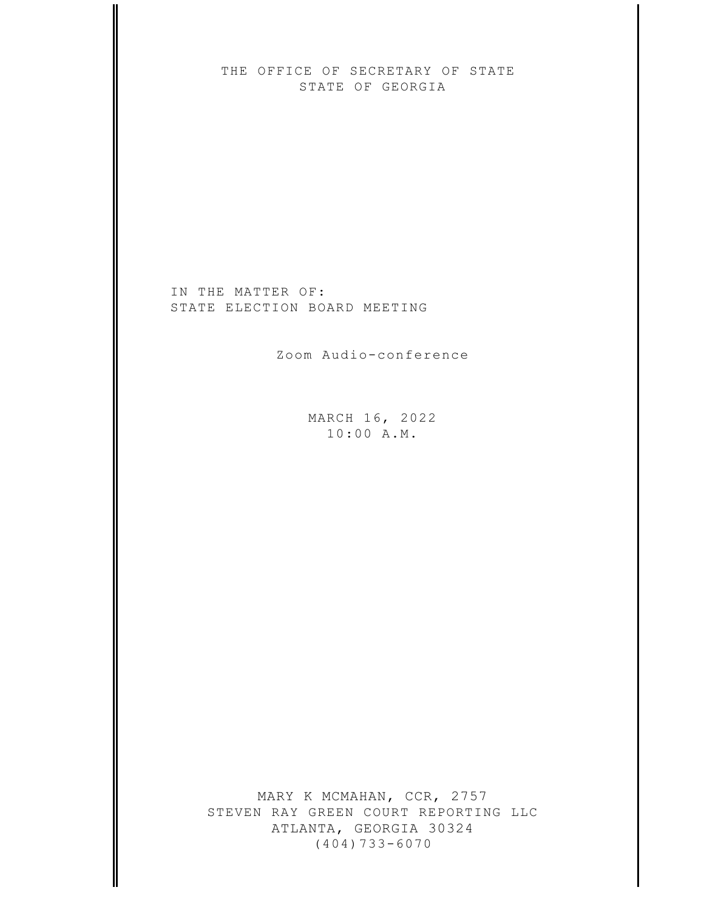THE OFFICE OF SECRETARY OF STATE STATE OF GEORGIA

IN THE MATTER OF: STATE ELECTION BOARD MEETING

Zoom Audio-conference

MARCH 16, 2022  $10:00 A.M.$ 

MARY K MCMAHAN, CCR, 2757 STEVEN RAY GREEN COURT REPORTING LLC ATLANTA, GEORGIA 30324  $(404)733-6070$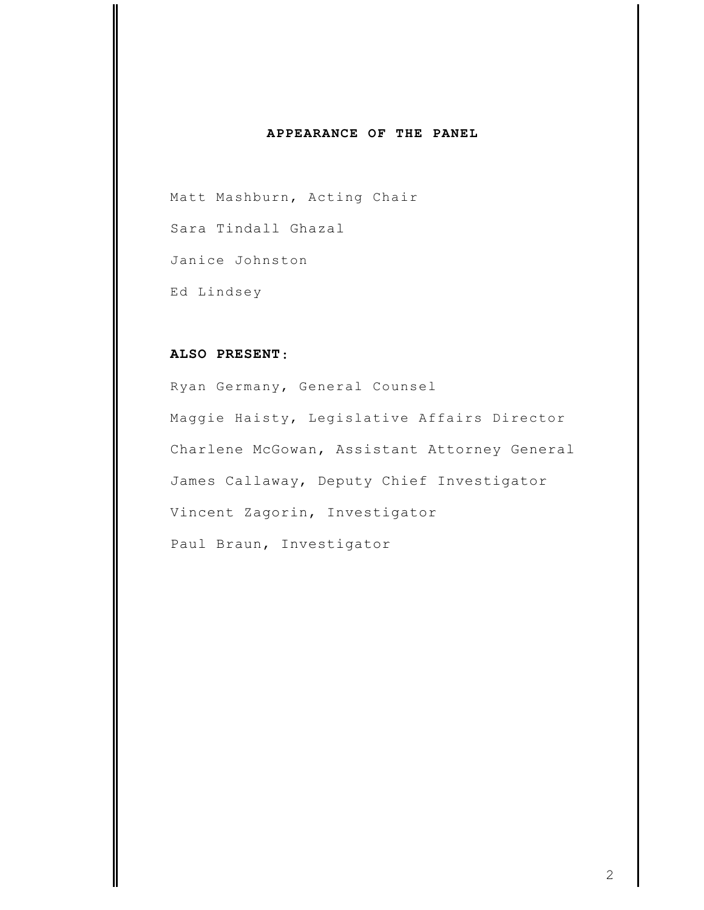## APPEARANCE OF THE PANEL

Matt Mashburn, Acting Chair Sara Tindall Ghazal Janice Johnston Ed Lindsey

## ALSO PRESENT:

Ryan Germany, General Counsel Maggie Haisty, Legislative Affairs Director Charlene McGowan, Assistant Attorney General James Callaway, Deputy Chief Investigator Vincent Zagorin, Investigator Paul Braun, Investigator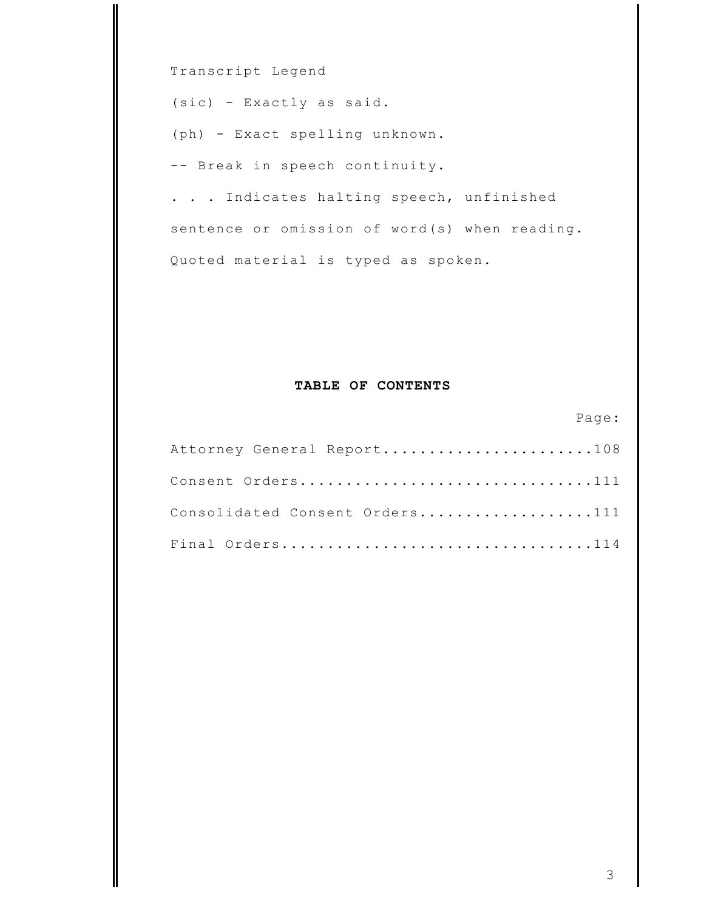Transcript Legend

(sic) - Exactly as said.

(ph) - Exact spelling unknown.

-- Break in speech continuity.

. . . Indicates halting speech, unfinished sentence or omission of word(s) when reading. Quoted material is typed as spoken.

## TABLE OF CONTENTS

| Attorney General Report108     |
|--------------------------------|
| Consent Orders111              |
| Consolidated Consent Orders111 |
| Final Orders114                |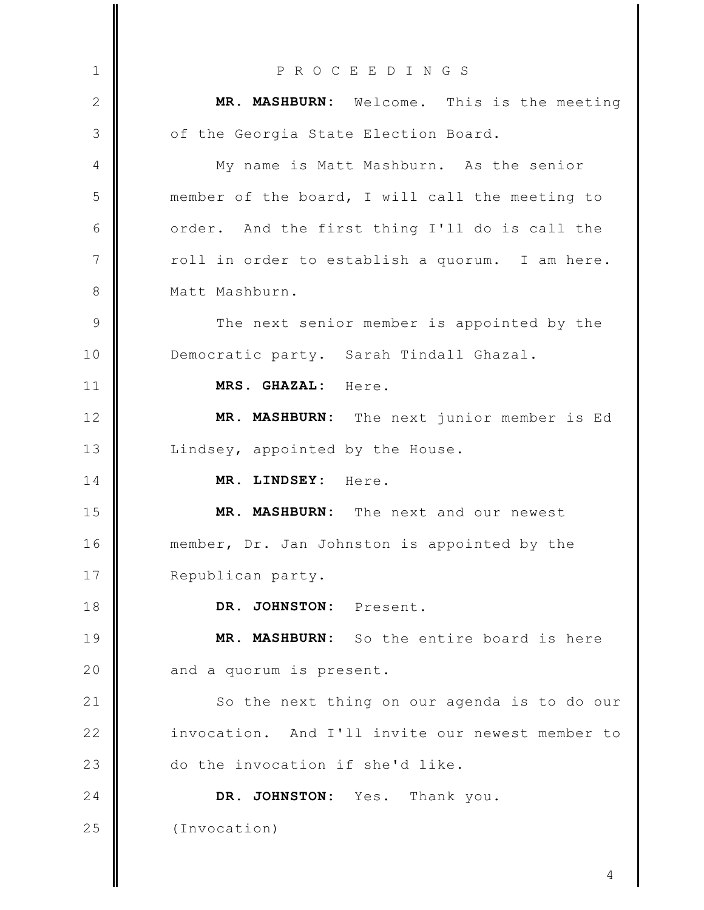PROCEEDINGS  $\mathbf{1}$ MR. MASHBURN: Welcome. This is the meeting 2 3 of the Georgia State Election Board. My name is Matt Mashburn. As the senior  $\overline{4}$ 5 member of the board, I will call the meeting to 6 order. And the first thing I'll do is call the  $\overline{7}$ roll in order to establish a quorum. I am here. 8 Matt Mashburn.  $\circ$ The next senior member is appointed by the  $10$ Democratic party. Sarah Tindall Ghazal. MRS. GHAZAL: Here.  $11$  $12$ MR. MASHBURN: The next junior member is Ed  $13$ Lindsey, appointed by the House. MR. LINDSEY: Here. 14 MR. MASHBURN: The next and our newest 15  $16$ member, Dr. Jan Johnston is appointed by the 17 Republican party. DR. JOHNSTON: Present. 18 19 MR. MASHBURN: So the entire board is here 20 and a quorum is present.  $21$ So the next thing on our agenda is to do our  $22$ invocation. And I'll invite our newest member to do the invocation if she'd like. 23  $24$ DR. JOHNSTON: Yes. Thank you. 25 (Invocation)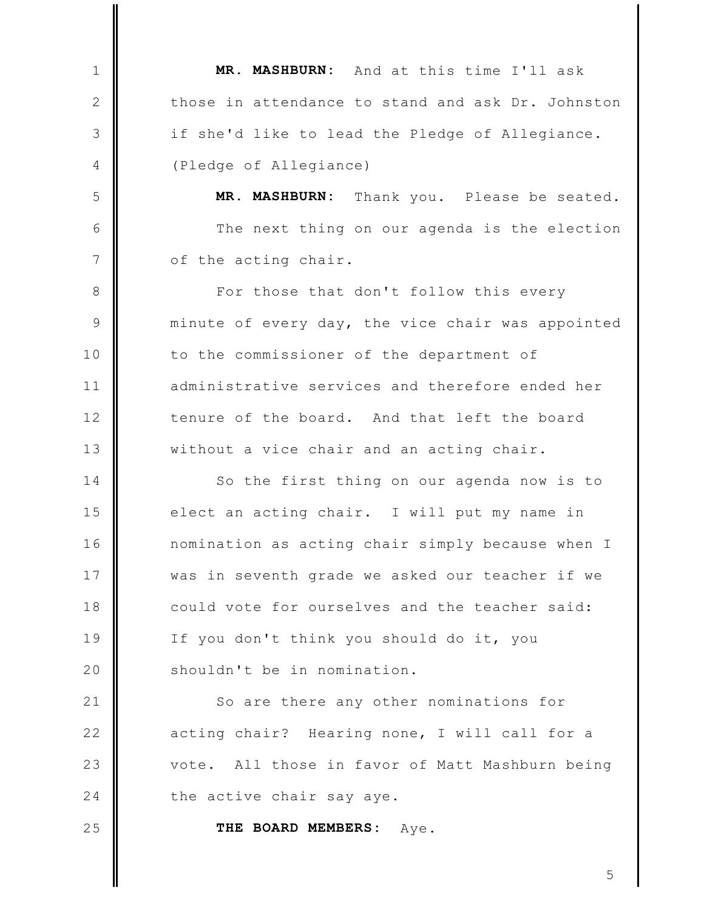MR. MASHBURN: And at this time I'll ask  $\mathbf{1}$  $\mathbf{2}$ those in attendance to stand and ask Dr. Johnston 3 if she'd like to lead the Pledge of Allegiance. (Pledge of Allegiance) 4 5 MR. MASHBURN: Thank you. Please be seated. 6 The next thing on our agenda is the election  $\overline{7}$ of the acting chair. 8 For those that don't follow this every 9 minute of every day, the vice chair was appointed 10 to the commissioner of the department of  $11$ administrative services and therefore ended her tenure of the board. And that left the board  $12$  $13$ without a vice chair and an acting chair. So the first thing on our agenda now is to 14 15 elect an acting chair. I will put my name in  $16$ nomination as acting chair simply because when I 17 was in seventh grade we asked our teacher if we 18 could vote for ourselves and the teacher said: 19 If you don't think you should do it, you 20 shouldn't be in nomination.  $21$ So are there any other nominations for  $22$ acting chair? Hearing none, I will call for a 23 All those in favor of Matt Mashburn being vote. 24 the active chair say aye. 25 THE BOARD MEMBERS: Aye.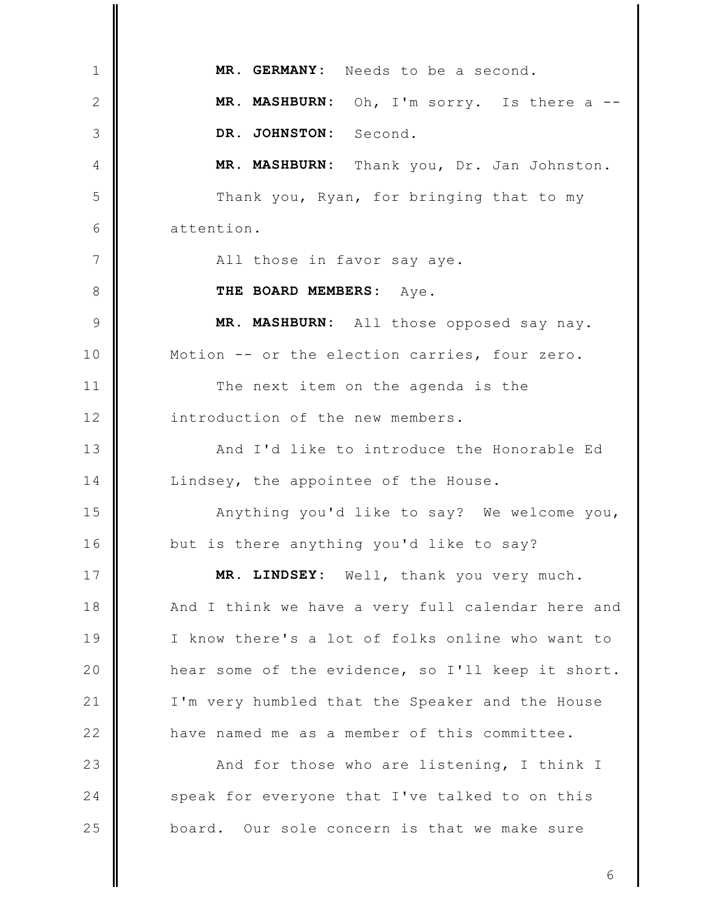MR. GERMANY: Needs to be a second.  $\mathbf{1}$ MR. MASHBURN: Oh, I'm sorry. Is there a --2 DR. JOHNSTON: 3 Second. MR. MASHBURN: Thank you, Dr. Jan Johnston.  $\overline{4}$ 5 Thank you, Ryan, for bringing that to my 6 attention.  $\overline{7}$ All those in favor say aye. 8 THE BOARD MEMBERS: Ave. MR. MASHBURN: All those opposed say nay. 9 Motion -- or the election carries, four zero.  $10$  $11$ The next item on the agenda is the introduction of the new members.  $12$  $13$ And I'd like to introduce the Honorable Ed Lindsey, the appointee of the House. 14 15 Anything you'd like to say? We welcome you, 16 but is there anything you'd like to say? 17 MR. LINDSEY: Well, thank you very much. 18 And I think we have a very full calendar here and 19 I know there's a lot of folks online who want to 20 hear some of the evidence, so I'll keep it short.  $21$ I'm very humbled that the Speaker and the House  $22$ have named me as a member of this committee. 23 And for those who are listening, I think I 24 speak for everyone that I've talked to on this 25 board. Our sole concern is that we make sure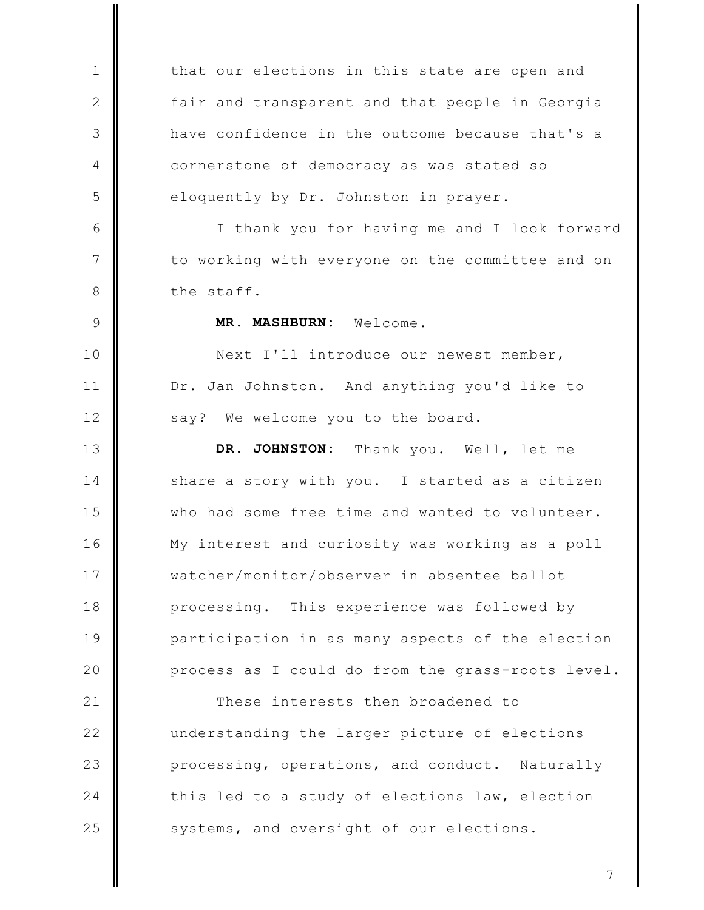that our elections in this state are open and  $\mathbf{1}$  $\mathbf{2}$ fair and transparent and that people in Georgia have confidence in the outcome because that's a 3 cornerstone of democracy as was stated so 4 5 eloquently by Dr. Johnston in prayer. 6 I thank you for having me and I look forward  $\overline{7}$ to working with everyone on the committee and on the staff. 8 MR. MASHBURN:  $\circ$ Welcome. Next I'll introduce our newest member,  $10$  $11$ Dr. Jan Johnston. And anything you'd like to  $12$ say? We welcome you to the board.  $13$ DR. JOHNSTON: Thank you. Well, let me 14 share a story with you. I started as a citizen 15 who had some free time and wanted to volunteer.  $16$ My interest and curiosity was working as a poll 17 watcher/monitor/observer in absentee ballot 18 processing. This experience was followed by 19 participation in as many aspects of the election 20 process as I could do from the grass-roots level.  $21$ These interests then broadened to  $22$ understanding the larger picture of elections 23 processing, operations, and conduct. Naturally  $24$ this led to a study of elections law, election 25 systems, and oversight of our elections.

 $\overline{7}$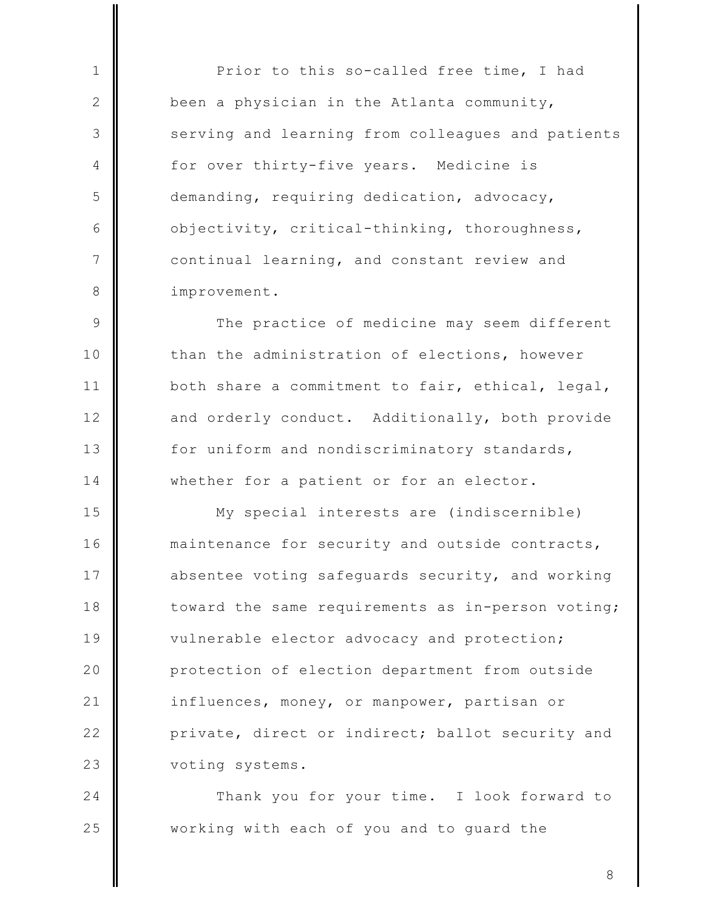Prior to this so-called free time, I had been a physician in the Atlanta community, serving and learning from colleagues and patients for over thirty-five years. Medicine is demanding, requiring dedication, advocacy, objectivity, critical-thinking, thoroughness, continual learning, and constant review and improvement.

 $\mathbf{1}$ 

2

3

 $\overline{4}$ 

5

6

 $\overline{7}$ 

8

 $\mathcal{Q}$ The practice of medicine may seem different than the administration of elections, however  $10$  $11$ both share a commitment to fair, ethical, legal,  $12$ and orderly conduct. Additionally, both provide  $13$ for uniform and nondiscriminatory standards, 14 whether for a patient or for an elector.

15 My special interests are (indiscernible)  $16$ maintenance for security and outside contracts, 17 absentee voting safequards security, and working toward the same requirements as in-person voting; 18 19 vulnerable elector advocacy and protection; 20 protection of election department from outside  $21$ influences, money, or manpower, partisan or  $22$ private, direct or indirect; ballot security and 23 voting systems.

24 Thank you for your time. I look forward to 25 working with each of you and to guard the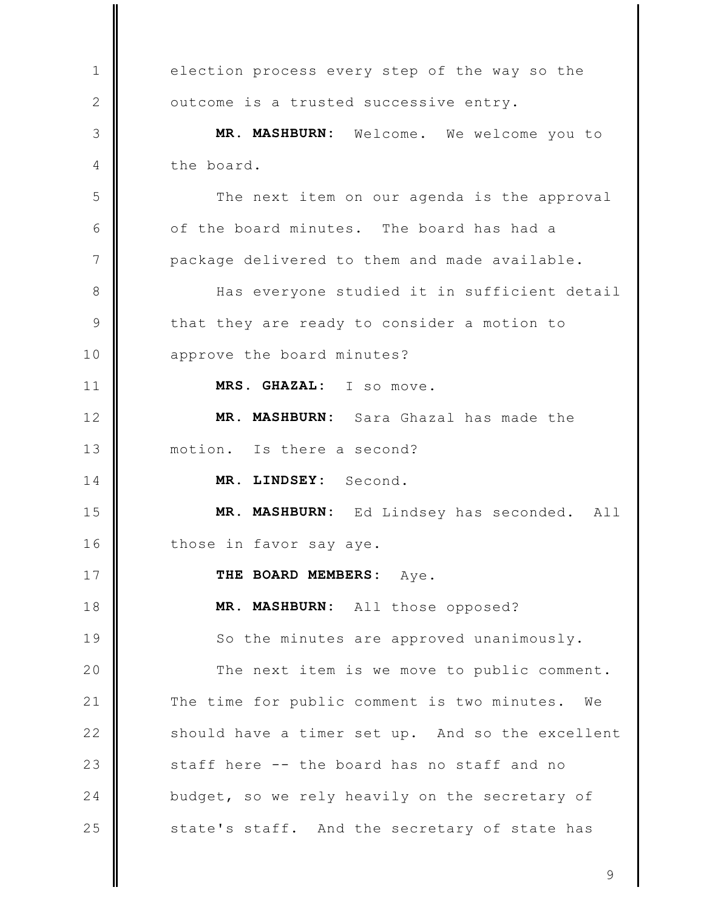election process every step of the way so the  $\mathbf{1}$  $\mathbf{2}$ outcome is a trusted successive entry. MR. MASHBURN: Welcome. We welcome you to 3 the board. 4 5 The next item on our agenda is the approval 6 of the board minutes. The board has had a  $\overline{7}$ package delivered to them and made available. Has everyone studied it in sufficient detail 8 9 that they are ready to consider a motion to approve the board minutes?  $10$  $11$ MRS. GHAZAL: I so move. MR. MASHBURN: Sara Ghazal has made the  $12$  $13$ motion. Is there a second? MR. LINDSEY: Second. 14 MR. MASHBURN: Ed Lindsey has seconded. 15 All  $16$ those in favor say aye. 17 THE BOARD MEMBERS: Aye. 18 MR. MASHBURN: All those opposed? 19 So the minutes are approved unanimously. 20 The next item is we move to public comment.  $21$ The time for public comment is two minutes. We  $22$ should have a timer set up. And so the excellent 23 staff here -- the board has no staff and no  $24$ budget, so we rely heavily on the secretary of 25 state's staff. And the secretary of state has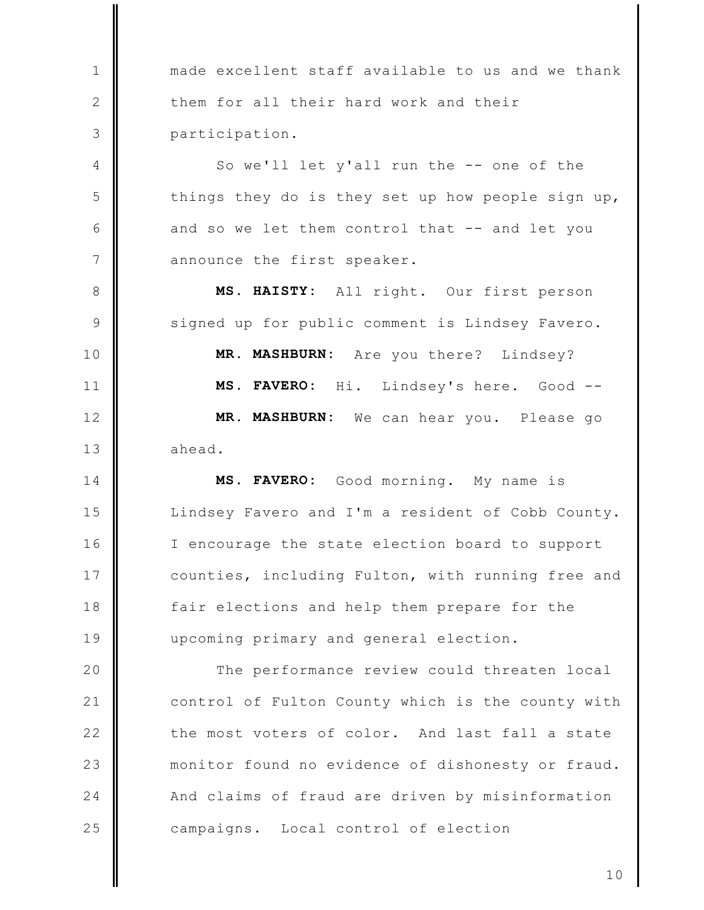made excellent staff available to us and we thank them for all their hard work and their participation.

 $\mathbf{1}$ 

 $\mathbf{2}$ 

3

 $\overline{4}$ 

5

6

 $\overline{7}$ 

8

9

 $11$ 

So we'll let y'all run the -- one of the things they do is they set up how people sign up, and so we let them control that -- and let you announce the first speaker.

MS. HAISTY: All right. Our first person signed up for public comment is Lindsey Favero.  $10$ MR. MASHBURN: Are you there? Lindsey? MS. FAVERO: Hi. Lindsey's here. Good -- $12$ MR. MASHBURN: We can hear you. Please go  $13$ ahead.

 $14$ MS. FAVERO: Good morning. My name is 15 Lindsey Favero and I'm a resident of Cobb County.  $16$ I encourage the state election board to support counties, including Fulton, with running free and 17 18 fair elections and help them prepare for the 19 upcoming primary and general election.

20 The performance review could threaten local  $21$ control of Fulton County which is the county with  $22$ the most voters of color. And last fall a state 23 monitor found no evidence of dishonesty or fraud.  $24$ And claims of fraud are driven by misinformation 25 campaigns. Local control of election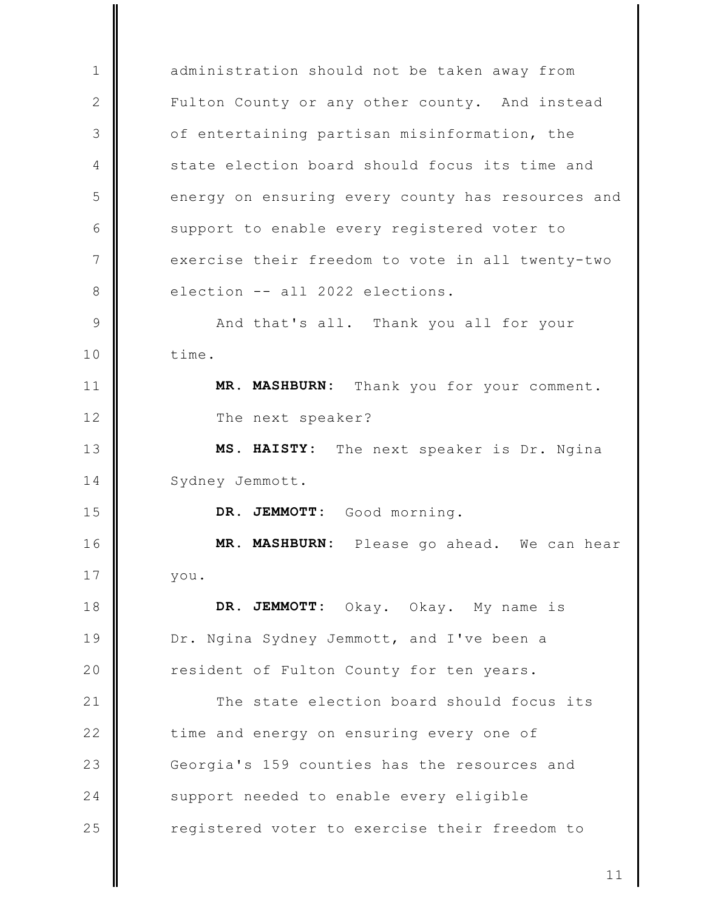administration should not be taken away from  $\mathbf{1}$ 2 Fulton County or any other county. And instead 3 of entertaining partisan misinformation, the state election board should focus its time and  $\overline{4}$ 5 energy on ensuring every county has resources and 6 support to enable every registered voter to  $\overline{7}$ exercise their freedom to vote in all twenty-two election -- all 2022 elections. 8  $\mathcal{Q}$ And that's all. Thank you all for your  $10$ time. MR. MASHBURN: Thank you for your comment.  $11$  $12$ The next speaker?  $13$ MS. HAISTY: The next speaker is Dr. Ngina 14 Sydney Jemmott. 15 DR. JEMMOTT: Good morning.  $16$ MR. MASHBURN: Please go ahead. We can hear 17 you. 18 DR. JEMMOTT: Okay. Okay. My name is 19 Dr. Ngina Sydney Jemmott, and I've been a 20 resident of Fulton County for ten years.  $21$ The state election board should focus its  $22$ time and energy on ensuring every one of 23 Georgia's 159 counties has the resources and 24 support needed to enable every eligible 25 registered voter to exercise their freedom to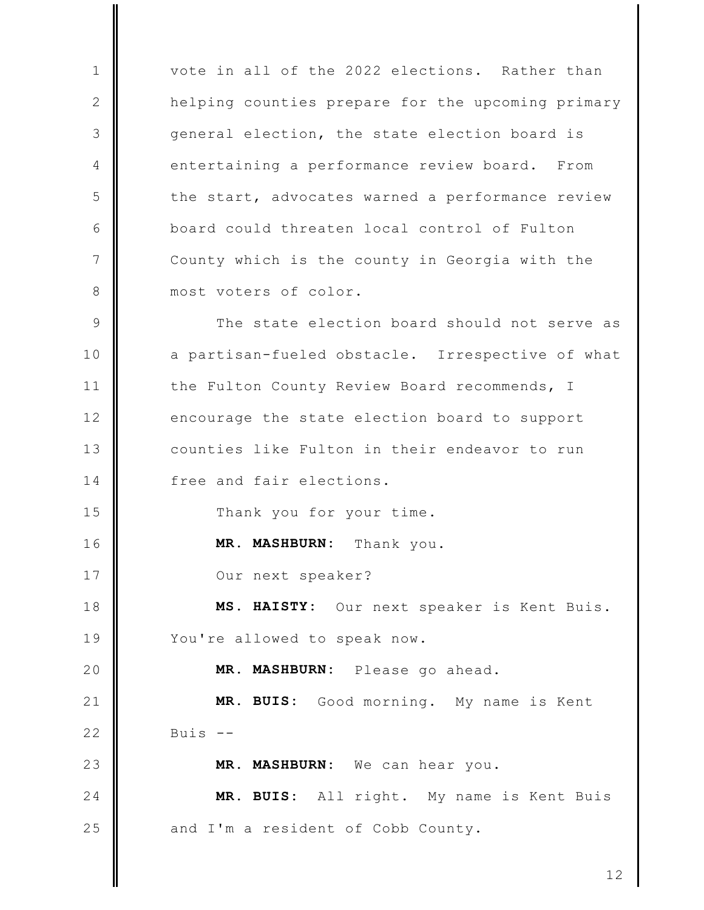vote in all of the 2022 elections. Rather than  $\mathbf{1}$  $\mathbf{2}$ helping counties prepare for the upcoming primary 3 general election, the state election board is entertaining a performance review board. From  $\overline{4}$ 5 the start, advocates warned a performance review board could threaten local control of Fulton 6  $\overline{7}$ County which is the county in Georgia with the 8 most voters of color. The state election board should not serve as  $\mathcal{Q}$  $10$ a partisan-fueled obstacle. Irrespective of what  $11$ the Fulton County Review Board recommends, I  $12$ encourage the state election board to support  $13$ counties like Fulton in their endeavor to run  $14$ free and fair elections. 15 Thank you for your time.  $16$ MR. MASHBURN: Thank you. 17 Our next speaker? MS. HAISTY: Our next speaker is Kent Buis. 18 19 You're allowed to speak now. 20 **MR. MASHBURN:** Please go ahead. MR. BUIS: Good morning. My name is Kent  $21$  $22$ Buis  $--$ 23 MR. MASHBURN: We can hear you.  $24$ MR. BUIS: All right. My name is Kent Buis 25 and I'm a resident of Cobb County.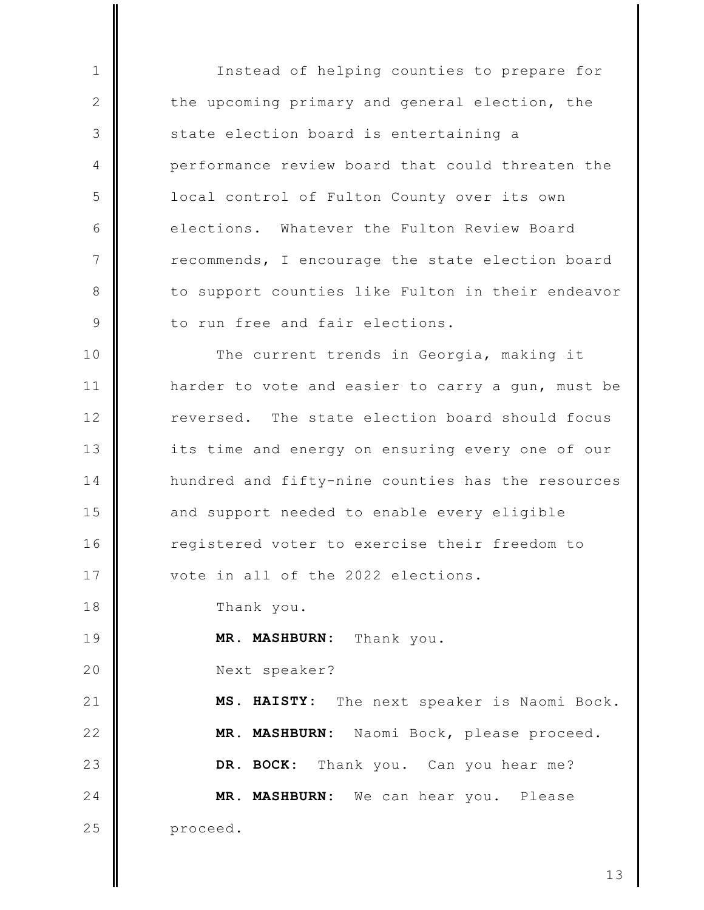Instead of helping counties to prepare for the upcoming primary and general election, the state election board is entertaining a performance review board that could threaten the local control of Fulton County over its own elections. Whatever the Fulton Review Board recommends, I encourage the state election board to support counties like Fulton in their endeavor to run free and fair elections.

The current trends in Georgia, making it  $10$  $11$ harder to vote and easier to carry a gun, must be reversed. The state election board should focus  $12$ 13 its time and energy on ensuring every one of our  $14$ hundred and fifty-nine counties has the resources  $15$ and support needed to enable every eligible 16 registered voter to exercise their freedom to 17 vote in all of the 2022 elections.

Thank you.

 $\mathbf{1}$ 

 $\mathbf{2}$ 

3

 $\overline{4}$ 

5

6

 $\overline{7}$ 

8

 $\mathcal{Q}$ 

18

20

19 MR. MASHBURN: Thank you.

Next speaker?

 $21$ The next speaker is Naomi Bock. MS. HAISTY:  $22$ MR. MASHBURN: Naomi Bock, please proceed. 23 DR. BOCK: Thank you. Can you hear me?  $24$ MR. MASHBURN: We can hear you. Please 25 proceed.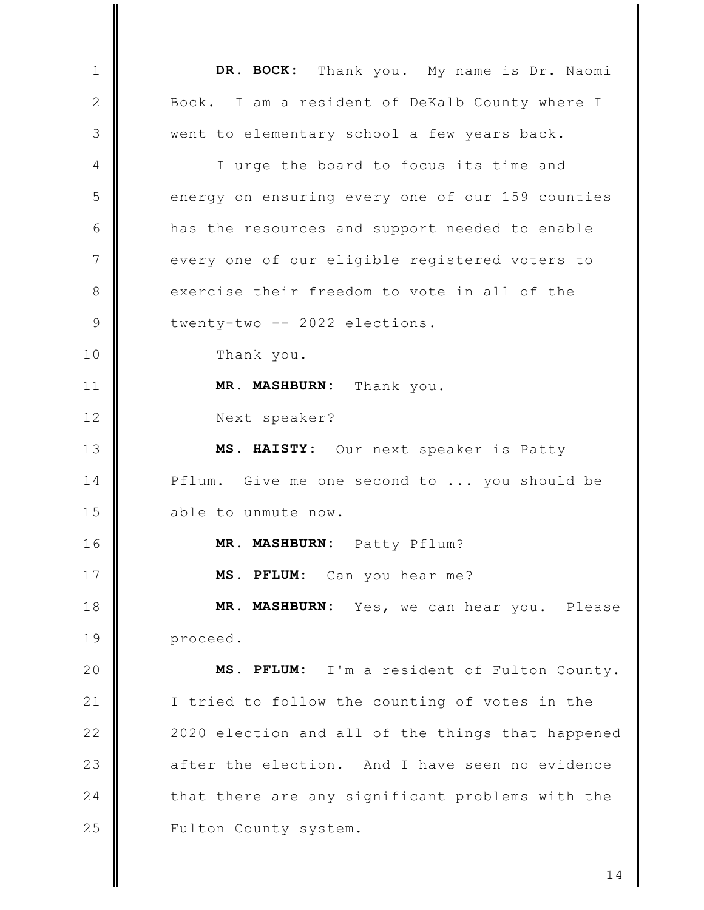DR. BOCK: Thank you. My name is Dr. Naomi  $\mathbf{1}$  $\mathbf{2}$ Bock. I am a resident of DeKalb County where I 3 went to elementary school a few years back.  $\overline{4}$ I urge the board to focus its time and energy on ensuring every one of our 159 counties 5 6 has the resources and support needed to enable  $\overline{7}$ every one of our eligible registered voters to 8 exercise their freedom to vote in all of the twenty-two -- 2022 elections.  $\circ$ 10 Thank you.  $11$ MR. MASHBURN: Thank you.  $12$ Next speaker?  $13$ MS. HAISTY: Our next speaker is Patty  $14$ Pflum. Give me one second to ... you should be 15 able to unmute now.  $16$ MR. MASHBURN: Patty Pflum? 17 MS. PFLUM: Can you hear me? 18 MR. MASHBURN: Yes, we can hear you. Please 19 proceed. 20 MS. PFLUM: I'm a resident of Fulton County.  $21$ I tried to follow the counting of votes in the  $22$ 2020 election and all of the things that happened 23 after the election. And I have seen no evidence  $24$ that there are any significant problems with the 25 Fulton County system.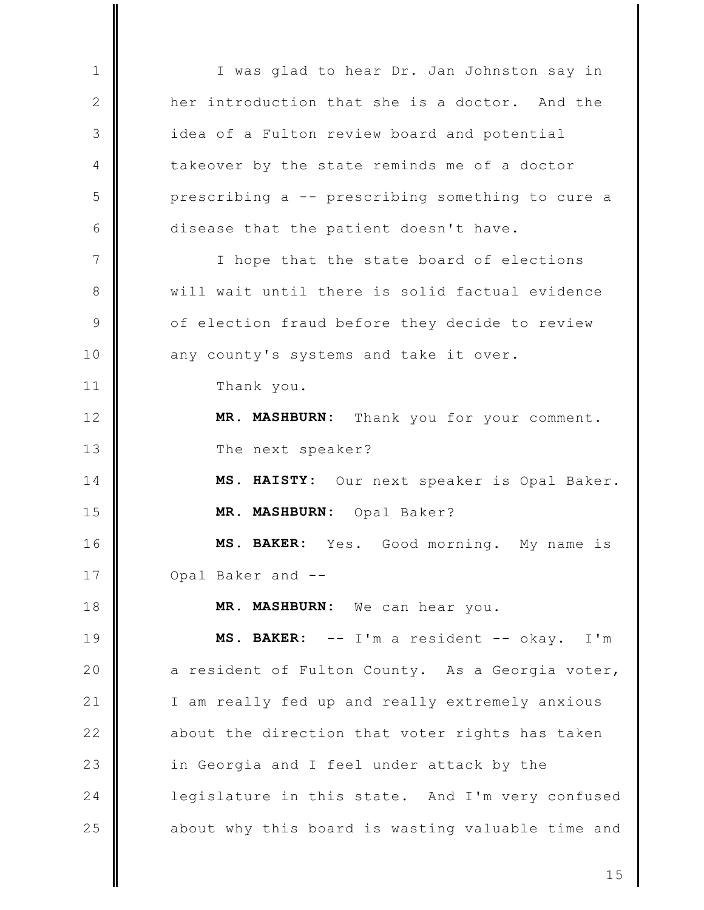I was glad to hear Dr. Jan Johnston say in  $\mathbf{1}$  $\mathbf{2}$ her introduction that she is a doctor. And the 3 idea of a Fulton review board and potential takeover by the state reminds me of a doctor 4 5 prescribing a -- prescribing something to cure a 6 disease that the patient doesn't have.  $7\phantom{.0}$ I hope that the state board of elections will wait until there is solid factual evidence 8  $\circ$ of election fraud before they decide to review  $10$ any county's systems and take it over.  $11$ Thank you. MR. MASHBURN:  $12$ Thank you for your comment.  $13$ The next speaker?  $14$ MS. HAISTY: Our next speaker is Opal Baker. 15 MR. MASHBURN: Opal Baker?  $16$ MS. BAKER: Yes. Good morning. My name is 17 Opal Baker and --MR. MASHBURN: We can hear you. 18 19 MS. BAKER: -- I'm a resident -- okay.  $I'$ m 20 a resident of Fulton County. As a Georgia voter,  $21$ I am really fed up and really extremely anxious  $22$ about the direction that voter rights has taken 23 in Georgia and I feel under attack by the  $24$ legislature in this state. And I'm very confused 25 about why this board is wasting valuable time and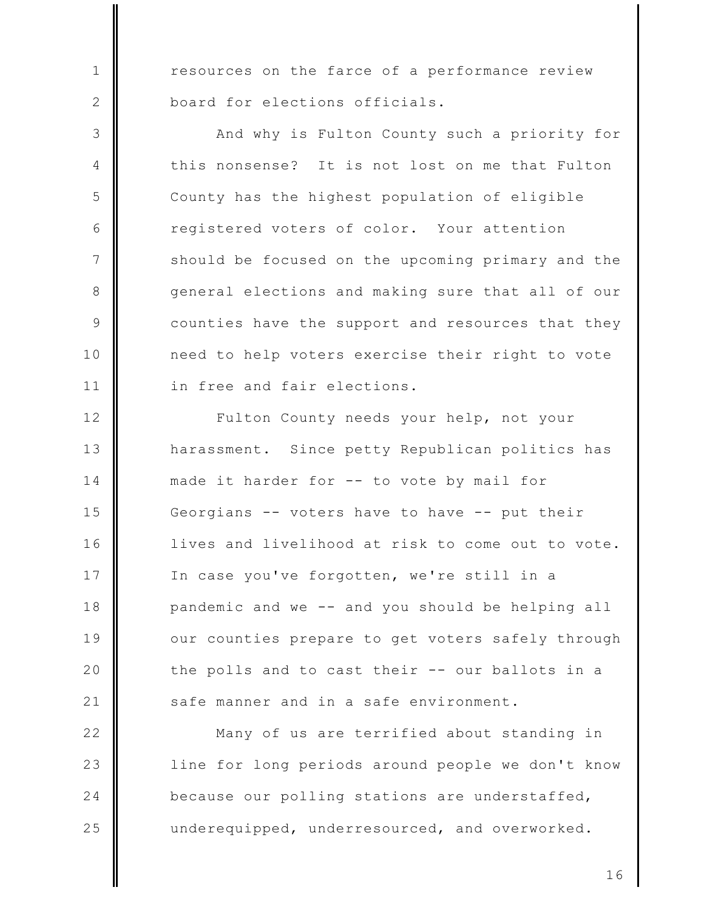resources on the farce of a performance review board for elections officials.

 $\mathbf{1}$ 

2

3

 $\overline{4}$ 

5

6

 $7\phantom{.0}$ 

8

9

 $10$ 

 $11$ 

And why is Fulton County such a priority for this nonsense? It is not lost on me that Fulton County has the highest population of eligible registered voters of color. Your attention should be focused on the upcoming primary and the general elections and making sure that all of our counties have the support and resources that they need to help voters exercise their right to vote in free and fair elections.

 $12$ Fulton County needs your help, not your  $13$ harassment. Since petty Republican politics has 14 made it harder for -- to vote by mail for 15 Georgians -- voters have to have -- put their  $16$ lives and livelihood at risk to come out to vote. 17 In case you've forgotten, we're still in a 18 pandemic and we -- and you should be helping all 19 our counties prepare to get voters safely through 20 the polls and to cast their -- our ballots in a  $21$ safe manner and in a safe environment.

 $22$ Many of us are terrified about standing in 23 line for long periods around people we don't know 24 because our polling stations are understaffed, 25 underequipped, underresourced, and overworked.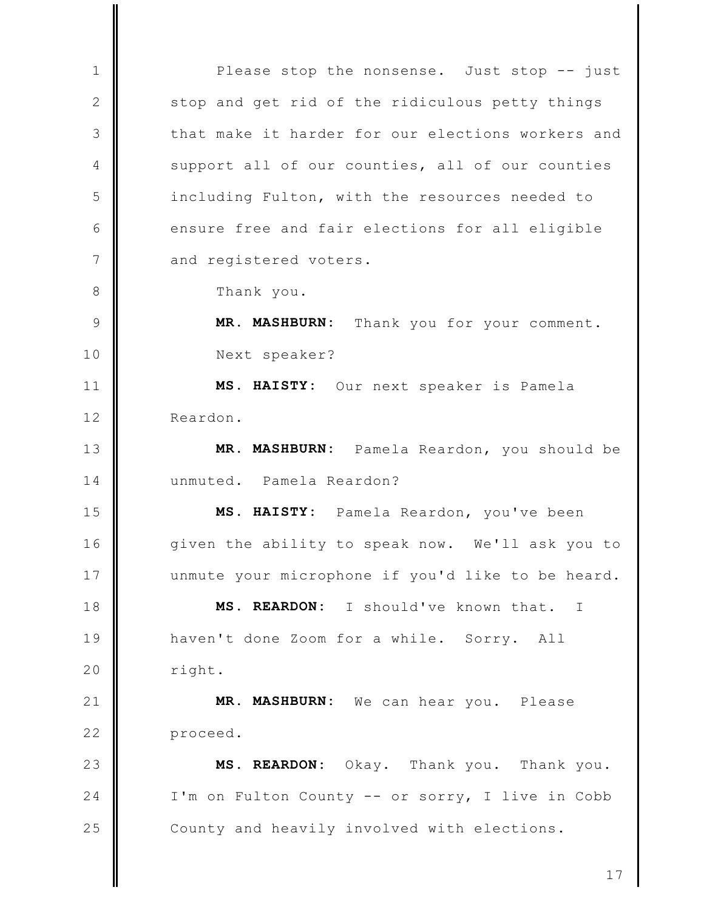Please stop the nonsense. Just stop -- just  $\mathbf{1}$  $\mathbf{2}$ stop and get rid of the ridiculous petty things that make it harder for our elections workers and 3  $\overline{4}$ support all of our counties, all of our counties 5 including Fulton, with the resources needed to 6 ensure free and fair elections for all eligible  $7\phantom{.0}$ and registered voters. 8 Thank you. MR. MASHBURN: Thank you for your comment.  $\mathcal{Q}$  $10$ Next speaker?  $11$ MS. HAISTY: Our next speaker is Pamela  $12$ Reardon.  $13$ Pamela Reardon, you should be **MR. MASHBURN:** unmuted. Pamela Reardon?  $14$ 15 MS. HAISTY: Pamela Reardon, you've been  $16$ given the ability to speak now. We'll ask you to 17 unmute your microphone if you'd like to be heard. MS. REARDON: I should've known that. 18  $\mathbb{I}$ 19 haven't done Zoom for a while. Sorry. All 20 right.  $21$ MR. MASHBURN: We can hear you. Please  $22$ proceed. 23 MS. REARDON: Okay. Thank you. Thank you.  $24$ I'm on Fulton County -- or sorry, I live in Cobb 25 County and heavily involved with elections.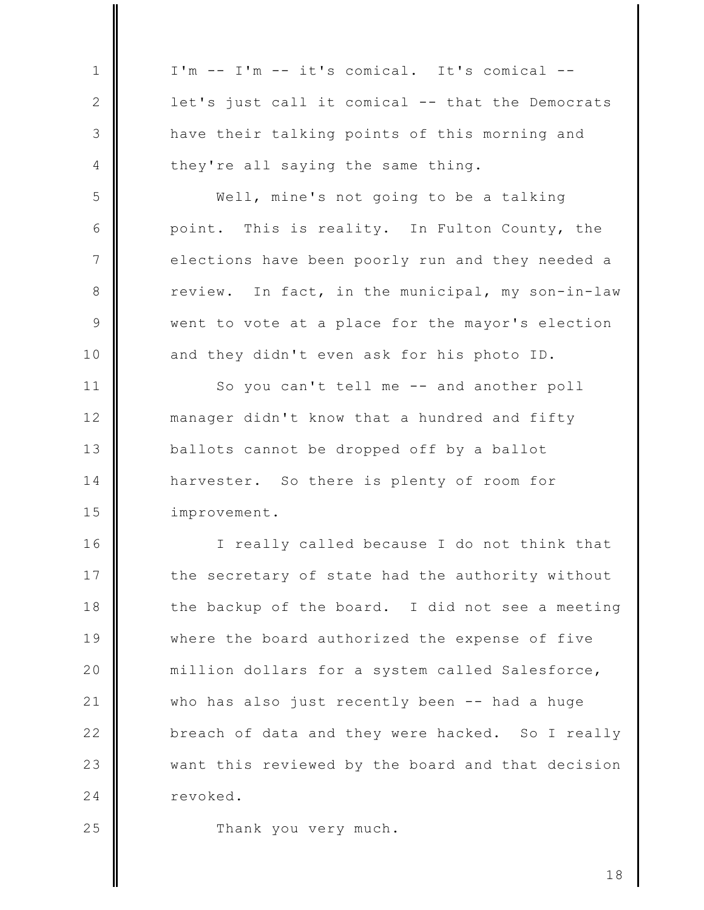| 1            | I'm -- I'm -- it's comical. It's comical --       |
|--------------|---------------------------------------------------|
| $\mathbf{2}$ | let's just call it comical -- that the Democrats  |
| 3            | have their talking points of this morning and     |
| 4            | they're all saying the same thing.                |
| 5            | Well, mine's not going to be a talking            |
| 6            | point. This is reality. In Fulton County, the     |
| 7            | elections have been poorly run and they needed a  |
| 8            | review. In fact, in the municipal, my son-in-law  |
| $\mathsf{S}$ | went to vote at a place for the mayor's election  |
| 10           | and they didn't even ask for his photo ID.        |
| 11           | So you can't tell me -- and another poll          |
| 12           | manager didn't know that a hundred and fifty      |
| 13           | ballots cannot be dropped off by a ballot         |
| 14           | harvester. So there is plenty of room for         |
| 15           | improvement.                                      |
| 16           | I really called because I do not think that       |
| 17           | the secretary of state had the authority without  |
| 18           | the backup of the board. I did not see a meeting  |
| 19           | where the board authorized the expense of five    |
| 20           | million dollars for a system called Salesforce,   |
| 21           | who has also just recently been -- had a huge     |
| 22           | breach of data and they were hacked. So I really  |
| 23           | want this reviewed by the board and that decision |
| 24           | revoked.                                          |
| 25           | Thank you very much.                              |

Ш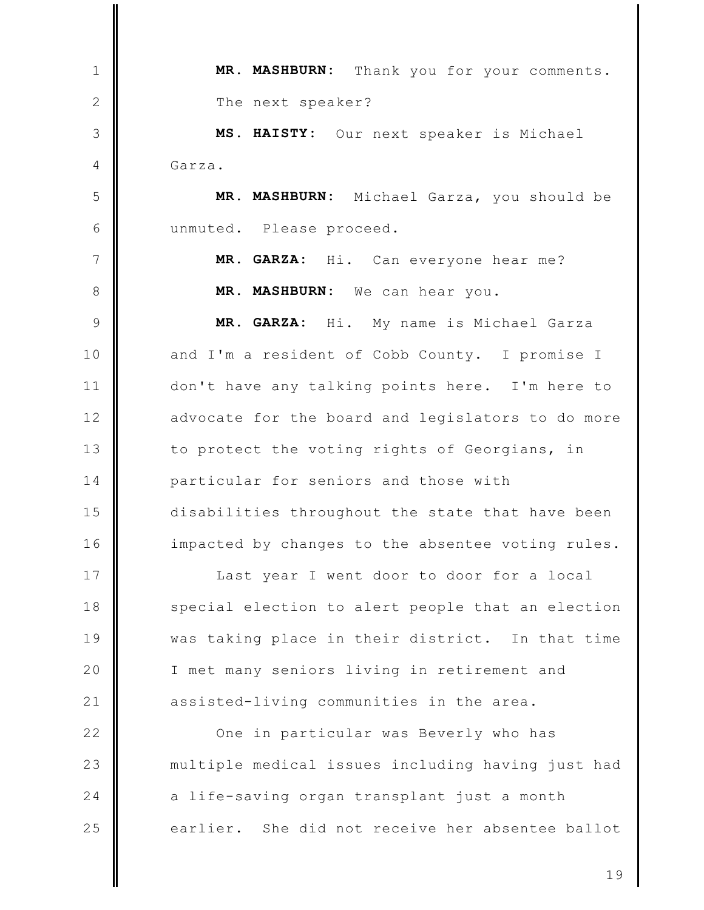Thank you for your comments. MR. MASHBURN:  $\mathbf{1}$  $\mathbf{2}$ The next speaker? 3 MS. HAISTY: Our next speaker is Michael 4 Garza. 5 MR. MASHBURN: Michael Garza, you should be 6 unmuted. Please proceed.  $\overline{7}$ MR. GARZA: Hi. Can everyone hear me? 8 MR. MASHBURN: We can hear you. 9 MR. GARZA: Hi. My name is Michael Garza and I'm a resident of Cobb County. I promise I  $10$  $11$ don't have any talking points here. I'm here to  $12$ advocate for the board and legislators to do more  $13$ to protect the voting rights of Georgians, in 14 particular for seniors and those with 15 disabilities throughout the state that have been  $16$ impacted by changes to the absentee voting rules. 17 Last year I went door to door for a local 18 special election to alert people that an election 19 was taking place in their district. In that time 20 I met many seniors living in retirement and  $21$ assisted-living communities in the area.  $22$ One in particular was Beverly who has 23 multiple medical issues including having just had 24 a life-saving organ transplant just a month 25 earlier. She did not receive her absentee ballot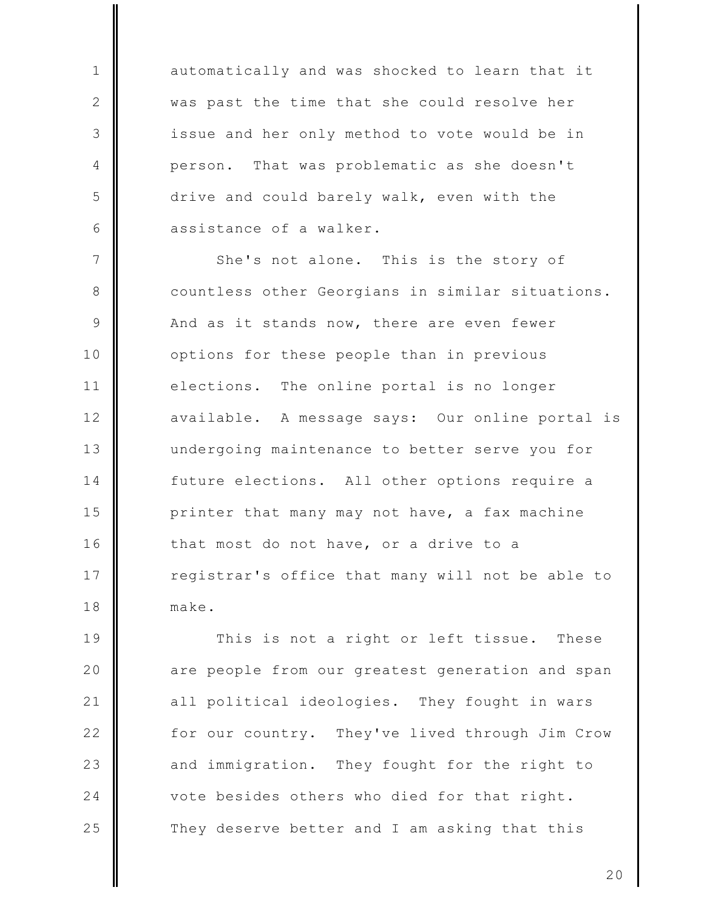automatically and was shocked to learn that it was past the time that she could resolve her issue and her only method to vote would be in That was problematic as she doesn't person. drive and could barely walk, even with the assistance of a walker.

 $\mathbf{1}$ 

 $\mathbf{2}$ 

3

4

5

6

 $7\phantom{.0}$ She's not alone. This is the story of 8 countless other Georgians in similar situations. 9 And as it stands now, there are even fewer  $10$ options for these people than in previous  $11$ The online portal is no longer elections.  $12$ available. A message says: Our online portal is  $13$ undergoing maintenance to better serve you for 14 future elections. All other options require a 15 printer that many may not have, a fax machine  $16$ that most do not have, or a drive to a 17 registrar's office that many will not be able to 18 make.

19 This is not a right or left tissue. These 20 are people from our greatest generation and span  $21$ all political ideologies. They fought in wars  $22$ for our country. They've lived through Jim Crow 23 They fought for the right to and immigration. 24 vote besides others who died for that right. 25 They deserve better and I am asking that this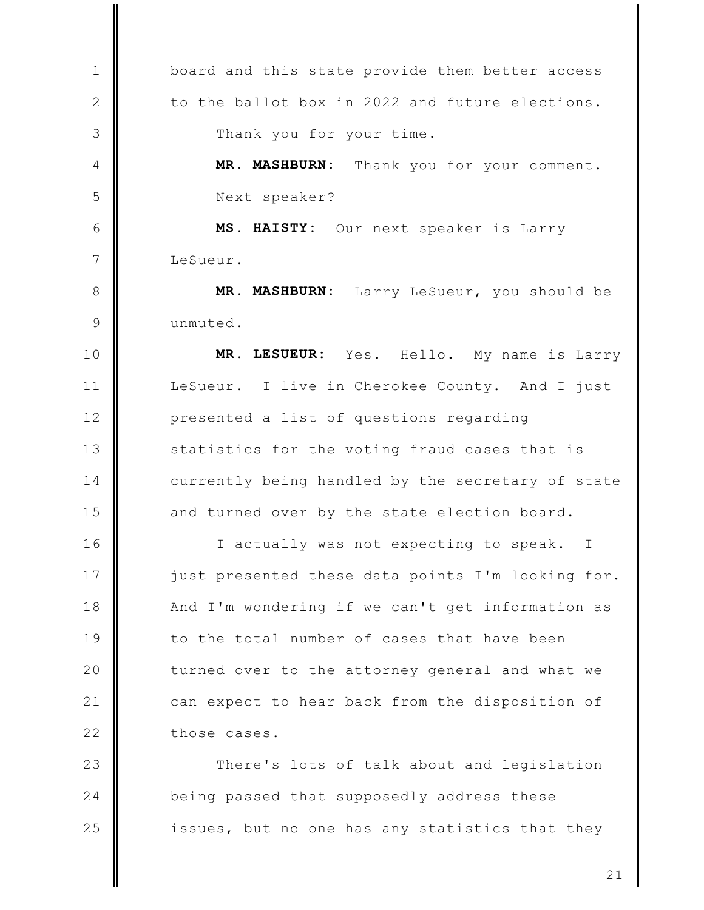board and this state provide them better access  $\mathbf{1}$ to the ballot box in 2022 and future elections.  $\mathbf{2}$ 3 Thank you for your time. MR. MASHBURN: Thank you for your comment. 4 5 Next speaker? 6 MS. HAISTY: Our next speaker is Larry  $7\phantom{.0}$ LeSueur. 8 MR. MASHBURN: Larry LeSueur, you should be 9 unmuted. MR. LESUEUR: Hello. My name is Larry  $10$ Yes.  $11$ LeSueur. I live in Cherokee County. And I just  $12$ presented a list of questions regarding  $13$ statistics for the voting fraud cases that is 14 currently being handled by the secretary of state 15 and turned over by the state election board.  $16$ I actually was not expecting to speak.  $\mathbb{I}$ 17 just presented these data points I'm looking for. 18 And I'm wondering if we can't get information as 19 to the total number of cases that have been 20 turned over to the attorney general and what we  $21$ can expect to hear back from the disposition of  $22$ those cases. 23 There's lots of talk about and legislation 24 being passed that supposedly address these 25 issues, but no one has any statistics that they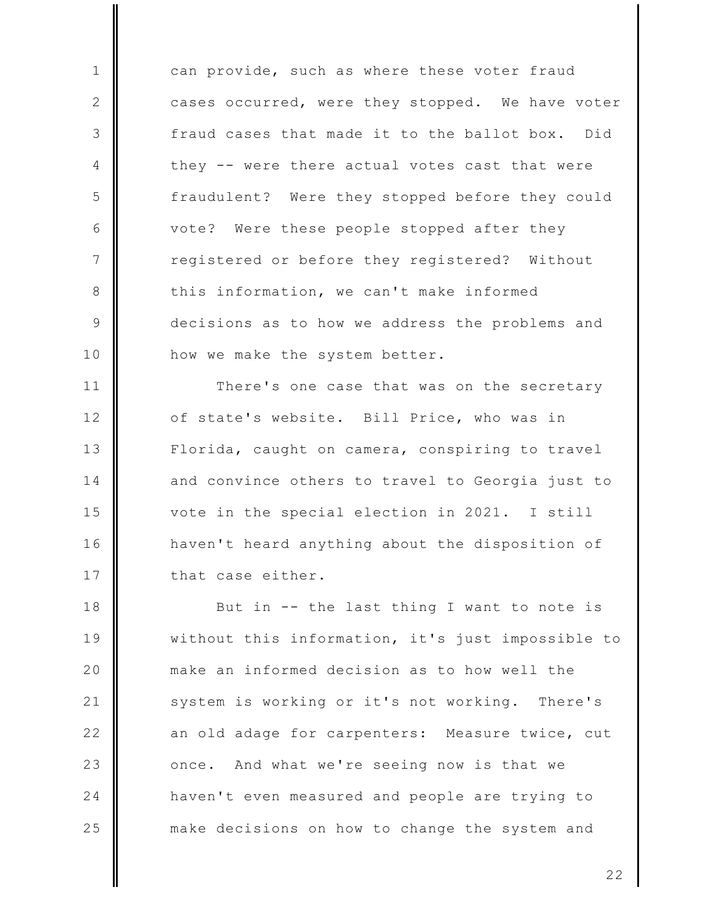can provide, such as where these voter fraud cases occurred, were they stopped. We have voter fraud cases that made it to the ballot box. Did they -- were there actual votes cast that were fraudulent? Were they stopped before they could vote? Were these people stopped after they registered or before they registered? Without this information, we can't make informed decisions as to how we address the problems and how we make the system better.

 $\mathbf{1}$ 

 $\mathbf{2}$ 

3

4

5

6

 $7\phantom{.0}$ 

8

9

 $10$ 

 $11$ There's one case that was on the secretary  $12$ of state's website. Bill Price, who was in  $13$ Florida, caught on camera, conspiring to travel 14 and convince others to travel to Georgia just to 15 vote in the special election in 2021. I still  $16$ haven't heard anything about the disposition of 17 that case either.

18 But in -- the last thing I want to note is 19 without this information, it's just impossible to 20 make an informed decision as to how well the  $21$ system is working or it's not working. There's  $22$ an old adage for carpenters: Measure twice, cut 23 And what we're seeing now is that we once. 24 haven't even measured and people are trying to 25 make decisions on how to change the system and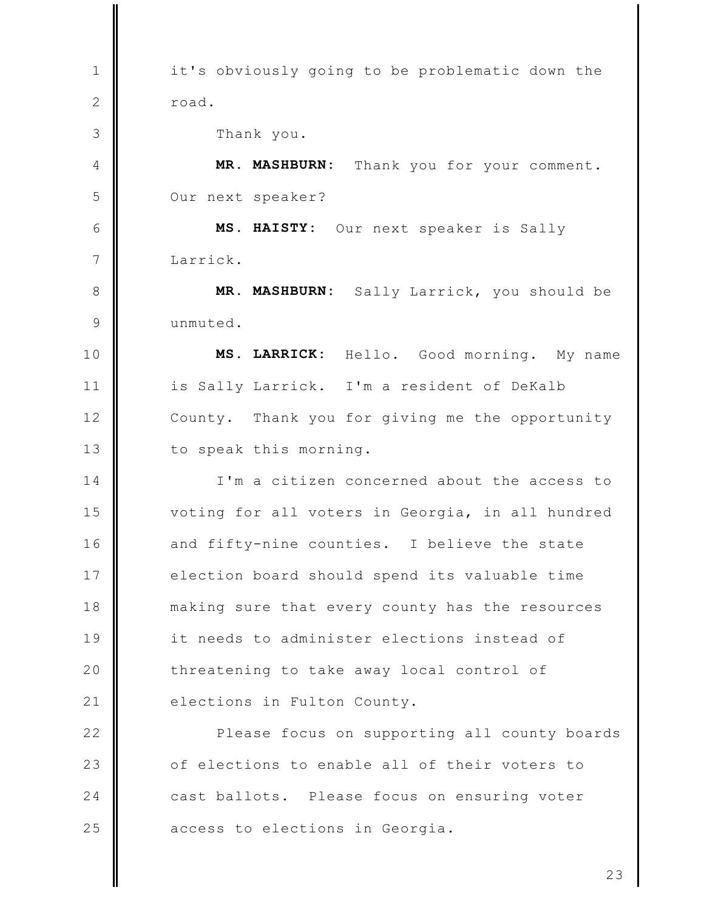it's obviously going to be problematic down the  $\mathbf{1}$  $\mathbf{2}$ road. 3 Thank you. MR. MASHBURN: Thank you for your comment. 4 5 Our next speaker? 6 MS. HAISTY: Our next speaker is Sally  $7\phantom{.0}$ Larrick. MR. MASHBURN: Sally Larrick, you should be 8  $\mathcal{Q}$ unmuted. MS. LARRICK: 10 Hello. Good morning. My name  $11$ is Sally Larrick. I'm a resident of DeKalb  $12$ County. Thank you for giving me the opportunity  $13$ to speak this morning. I'm a citizen concerned about the access to  $14$ 15 voting for all voters in Georgia, in all hundred  $16$ and fifty-nine counties. I believe the state 17 election board should spend its valuable time 18 making sure that every county has the resources 19 it needs to administer elections instead of 20 threatening to take away local control of  $21$ elections in Fulton County.  $22$ Please focus on supporting all county boards 23 of elections to enable all of their voters to  $24$ cast ballots. Please focus on ensuring voter 25 access to elections in Georgia.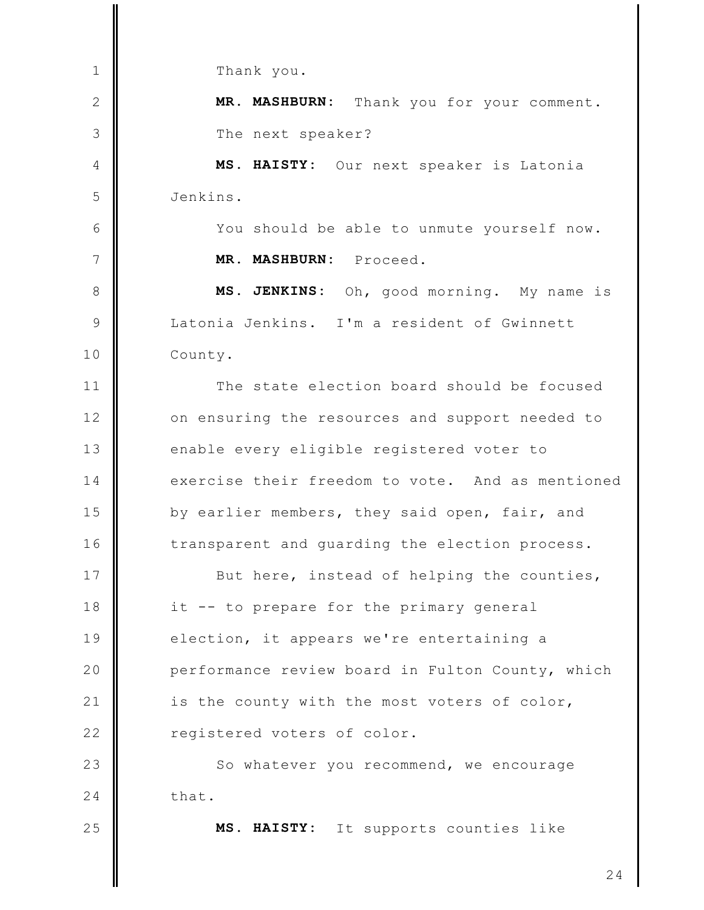$\mathbf{1}$ Thank you.  $\mathbf{2}$ MR. MASHBURN: Thank you for your comment. 3 The next speaker?  $\overline{4}$ MS. HAISTY: Our next speaker is Latonia 5 Jenkins. 6 You should be able to unmute yourself now.  $7\phantom{.0}$ MR. MASHBURN: Proceed. MS. JENKINS: Oh, good morning. My name is 8 Latonia Jenkins. I'm a resident of Gwinnett  $\mathcal{Q}$  $10$ County. The state election board should be focused  $11$  $12$ on ensuring the resources and support needed to  $13$ enable every eligible registered voter to  $14$ exercise their freedom to vote. And as mentioned 15 by earlier members, they said open, fair, and  $16$ transparent and quarding the election process. 17 But here, instead of helping the counties, 18 it -- to prepare for the primary general 19 election, it appears we're entertaining a 20 performance review board in Fulton County, which  $21$ is the county with the most voters of color,  $22$ registered voters of color. 23 So whatever you recommend, we encourage  $24$ that. 25 MS. HAISTY: It supports counties like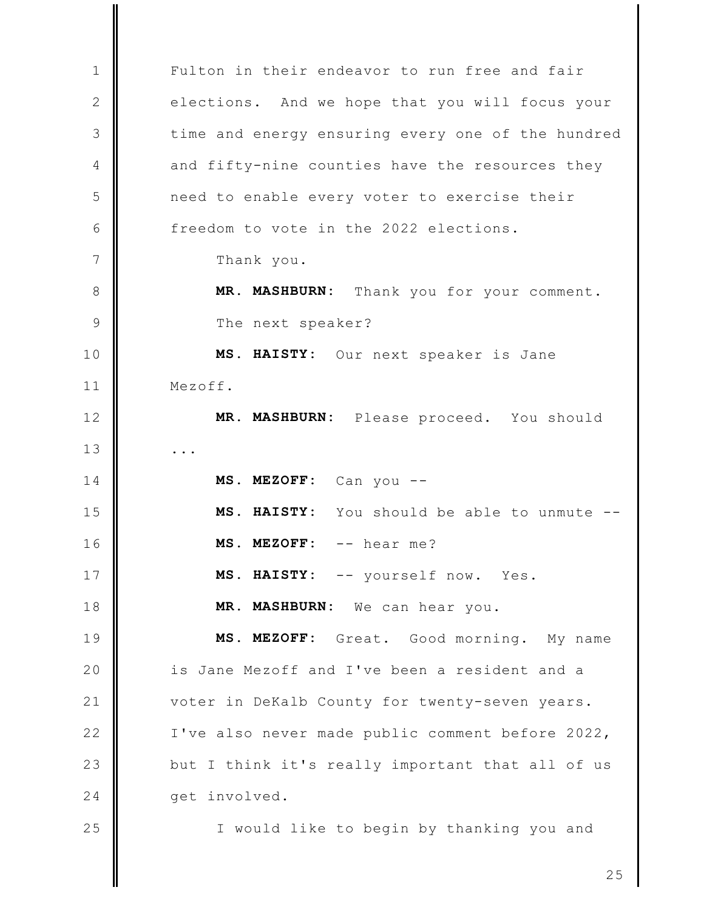Fulton in their endeavor to run free and fair  $\mathbf{1}$  $\mathbf{2}$ elections. And we hope that you will focus your 3 time and energy ensuring every one of the hundred and fifty-nine counties have the resources they 4 5 need to enable every voter to exercise their 6 freedom to vote in the 2022 elections.  $\overline{7}$ Thank you. Thank you for your comment. 8 MR. MASHBURN: The next speaker? 9  $10$ MS. HAISTY: Our next speaker is Jane  $11$ Mezoff.  $12$ MR. MASHBURN: Please proceed. You should  $13$  $\ddots$ MS. MEZOFF: Can you --14 15 MS. HAISTY: You should be able to unmute -- $16$ MS. MEZOFF: -- hear me? 17 MS. HAISTY: -- yourself now. Yes. 18 MR. MASHBURN: We can hear you. 19 MS. MEZOFF: Great. Good morning. My name 20 is Jane Mezoff and I've been a resident and a  $21$ voter in DeKalb County for twenty-seven years.  $22$ I've also never made public comment before 2022, 23 but I think it's really important that all of us 24 get involved. 25 I would like to begin by thanking you and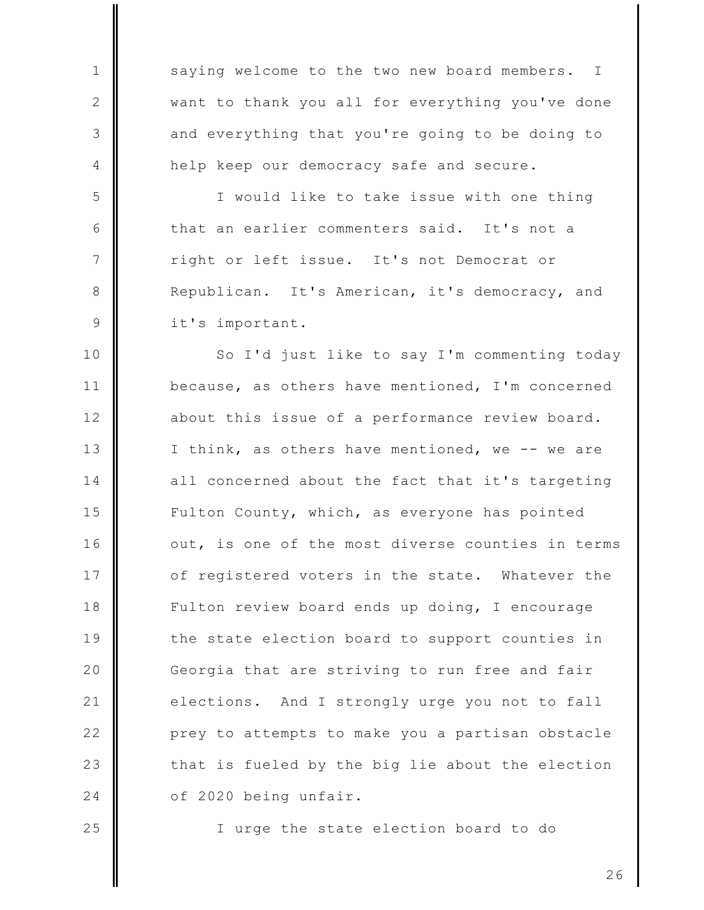saying welcome to the two new board members.  $\mathbf I$ want to thank you all for everything you've done and everything that you're going to be doing to help keep our democracy safe and secure.

I would like to take issue with one thing that an earlier commenters said. It's not a right or left issue. It's not Democrat or Republican. It's American, it's democracy, and it's important.

So I'd just like to say I'm commenting today  $10$  $11$ because, as others have mentioned, I'm concerned  $12$ about this issue of a performance review board.  $13$ I think, as others have mentioned, we -- we are 14 all concerned about the fact that it's targeting Fulton County, which, as everyone has pointed 15 16 out, is one of the most diverse counties in terms 17 of registered voters in the state. Whatever the 18 Fulton review board ends up doing, I encourage 19 the state election board to support counties in 20 Georgia that are striving to run free and fair  $21$ elections. And I strongly urge you not to fall  $22$ prey to attempts to make you a partisan obstacle 23 that is fueled by the big lie about the election 24 of 2020 being unfair.

25

 $\mathbf{1}$ 

2

3

 $\overline{4}$ 

5

6

 $7\phantom{.0}$ 

8

9

I urge the state election board to do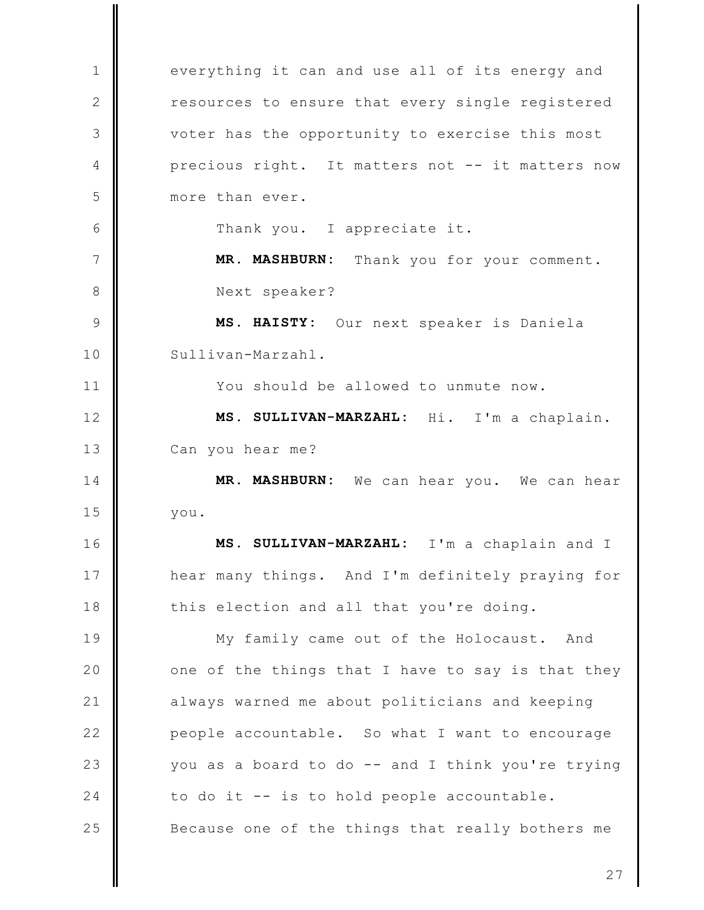everything it can and use all of its energy and  $\mathbf{1}$  $\mathbf{2}$ resources to ensure that every single registered 3 voter has the opportunity to exercise this most precious right. It matters not -- it matters now 4 5 more than ever. 6 Thank you. I appreciate it.  $7\phantom{.0}$ MR. MASHBURN: Thank you for your comment. 8 Next speaker?  $\mathcal{Q}$ MS. HAISTY: Our next speaker is Daniela Sullivan-Marzahl.  $10$  $11$ You should be allowed to unmute now. MS. SULLIVAN-MARZAHL: Hi. I'm a chaplain.  $12$  $13$ Can you hear me? 14 MR. MASHBURN: We can hear you. We can hear 15 you.  $16$ MS. SULLIVAN-MARZAHL: I'm a chaplain and I 17 hear many things. And I'm definitely praying for 18 this election and all that you're doing. 19 My family came out of the Holocaust. And 20 one of the things that I have to say is that they  $21$ always warned me about politicians and keeping  $22$ people accountable. So what I want to encourage 23 you as a board to do -- and I think you're trying to do it -- is to hold people accountable. 24 25 Because one of the things that really bothers me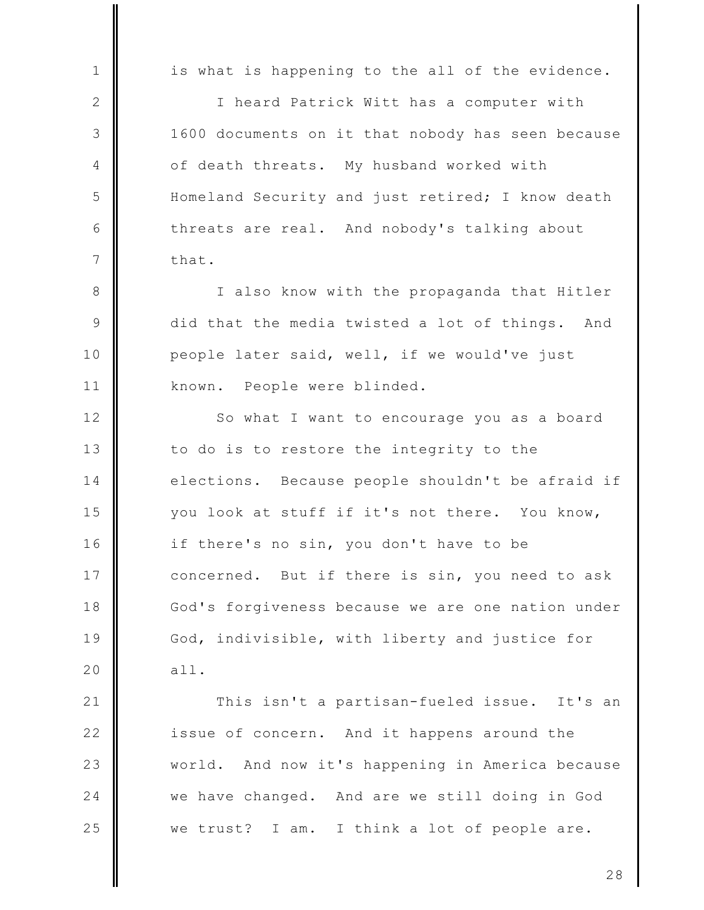is what is happening to the all of the evidence.  $\mathbf{1}$  $\mathbf{2}$ I heard Patrick Witt has a computer with 3 1600 documents on it that nobody has seen because of death threats. My husband worked with  $\overline{4}$ 5 Homeland Security and just retired; I know death 6 threats are real. And nobody's talking about  $7\phantom{.0}$ that. 8 I also know with the propaganda that Hitler 9 did that the media twisted a lot of things. And people later said, well, if we would've just  $10$  $11$ known. People were blinded.  $12$ So what I want to encourage you as a board  $13$ to do is to restore the integrity to the 14 elections. Because people shouldn't be afraid if 15 you look at stuff if it's not there. You know, 16 if there's no sin, you don't have to be 17 concerned. But if there is sin, you need to ask 18 God's forgiveness because we are one nation under 19 God, indivisible, with liberty and justice for 20  $all.$  $21$ This isn't a partisan-fueled issue. It's an  $22$ issue of concern. And it happens around the 23 And now it's happening in America because world. 24 we have changed. And are we still doing in God 25 we trust? I am. I think a lot of people are.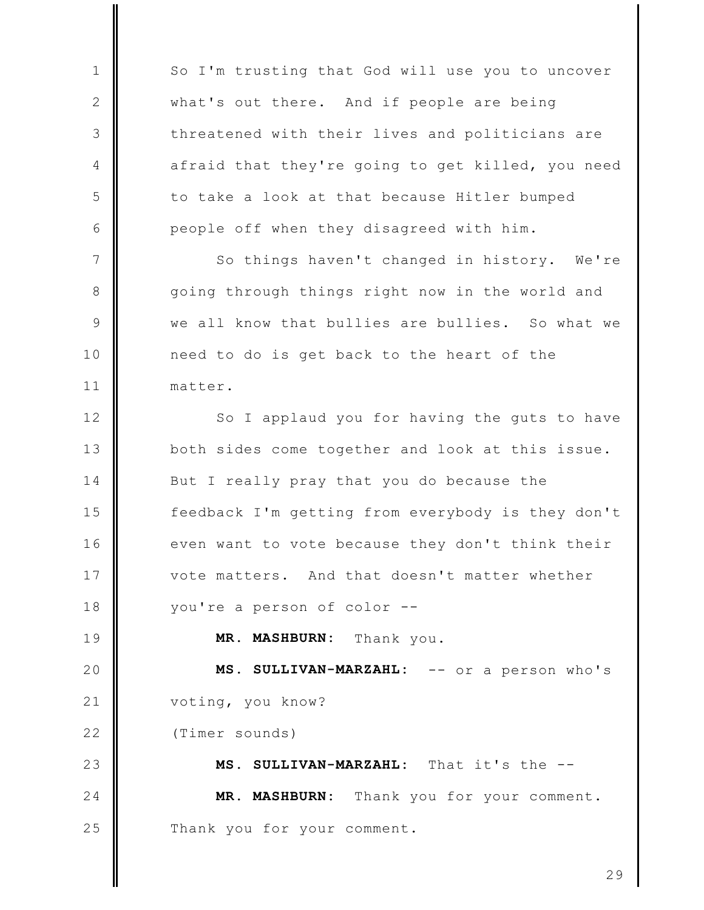So I'm trusting that God will use you to uncover  $\mathbf{1}$  $\mathbf{2}$ what's out there. And if people are being 3 threatened with their lives and politicians are afraid that they're going to get killed, you need 4 5 to take a look at that because Hitler bumped 6 people off when they disagreed with him.  $7\phantom{.0}$ So things haven't changed in history. We're going through things right now in the world and 8  $\mathcal{Q}$ we all know that bullies are bullies. So what we  $10$ need to do is get back to the heart of the  $11$ matter.  $12$ So I applaud you for having the guts to have  $13$ both sides come together and look at this issue. 14 But I really pray that you do because the 15 feedback I'm getting from everybody is they don't  $16$ even want to vote because they don't think their 17 vote matters. And that doesn't matter whether you're a person of color --18 19 MR. MASHBURN: Thank you. 20 MS. SULLIVAN-MARZAHL: -- or a person who's  $21$ voting, you know?  $22$ (Timer sounds) 23 MS. SULLIVAN-MARZAHL: That it's the --MR. MASHBURN: Thank you for your comment. 24 25 Thank you for your comment.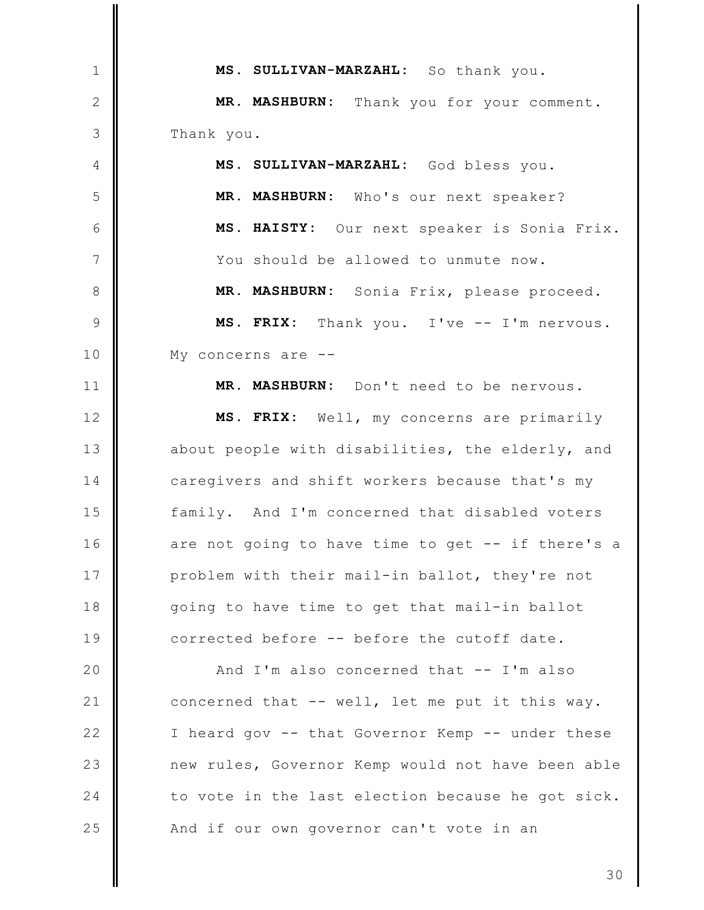MS. SULLIVAN-MARZAHL: So thank you.  $\mathbf{1}$  $\mathbf{2}$ MR. MASHBURN: Thank you for your comment. 3 Thank you. MS. SULLIVAN-MARZAHL: God bless you. 4 MR. MASHBURN: Who's our next speaker? 5 6 MS. HAISTY: Our next speaker is Sonia Frix.  $7\phantom{.0}$ You should be allowed to unmute now. 8 MR. MASHBURN: Sonia Frix, please proceed. 9 MS. FRIX: Thank you. I've -- I'm nervous.  $10$ My concerns are  $- 11$ MR. MASHBURN: Don't need to be nervous. MS. FRIX: Well, my concerns are primarily  $12$  $13$ about people with disabilities, the elderly, and 14 caregivers and shift workers because that's my 15 family. And I'm concerned that disabled voters 16 are not going to have time to get -- if there's a 17 problem with their mail-in ballot, they're not 18 going to have time to get that mail-in ballot 19 corrected before -- before the cutoff date. 20 And I'm also concerned that -- I'm also  $21$ concerned that -- well, let me put it this way.  $22$ I heard gov -- that Governor Kemp -- under these 23 new rules, Governor Kemp would not have been able 24 to vote in the last election because he got sick. 25 And if our own governor can't vote in an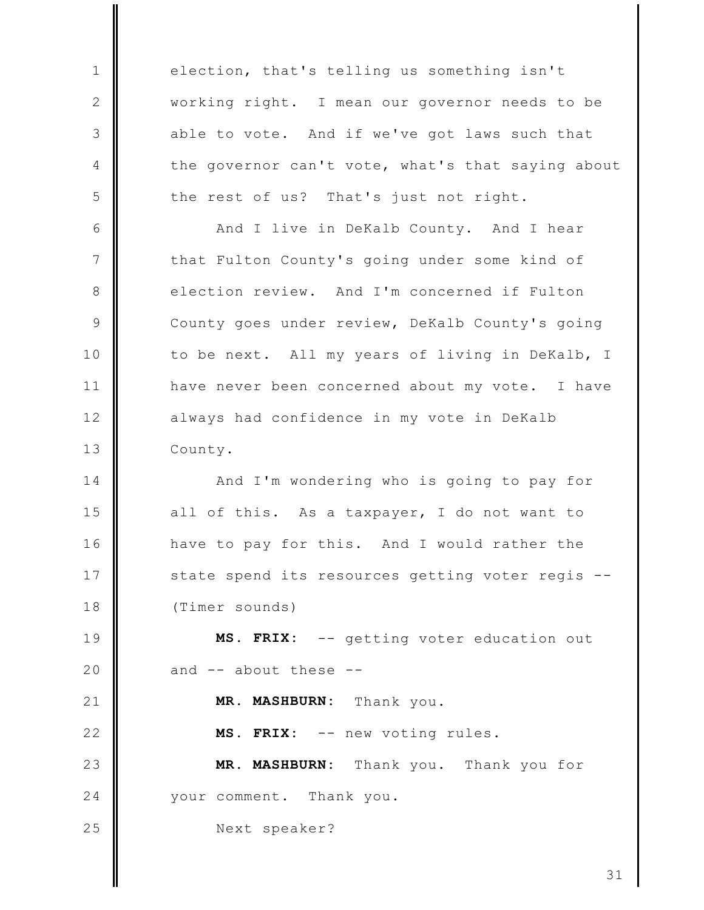election, that's telling us something isn't working right. I mean our governor needs to be able to vote. And if we've got laws such that the governor can't vote, what's that saying about the rest of us? That's just not right.

 $\mathbf{1}$ 

2

3

 $\overline{4}$ 

5

 $21$ 

 $22$ 

25

6 And I live in DeKalb County. And I hear  $7\phantom{.0}$ that Fulton County's going under some kind of election review. And I'm concerned if Fulton 8 9 County goes under review, DeKalb County's going  $10$ to be next. All my years of living in DeKalb, I  $11$ have never been concerned about my vote. I have  $12$ always had confidence in my vote in DeKalb  $13$ County.

14 And I'm wondering who is going to pay for 15 all of this. As a taxpayer, I do not want to 16 have to pay for this. And I would rather the 17 state spend its resources getting voter regis --18 (Timer sounds)

19 MS. FRIX: -- getting voter education out 20 and -- about these --

MR. MASHBURN: Thank you.

MS. FRIX: -- new voting rules.

23 MR. MASHBURN: Thank you. Thank you for 24 your comment. Thank you.

Next speaker?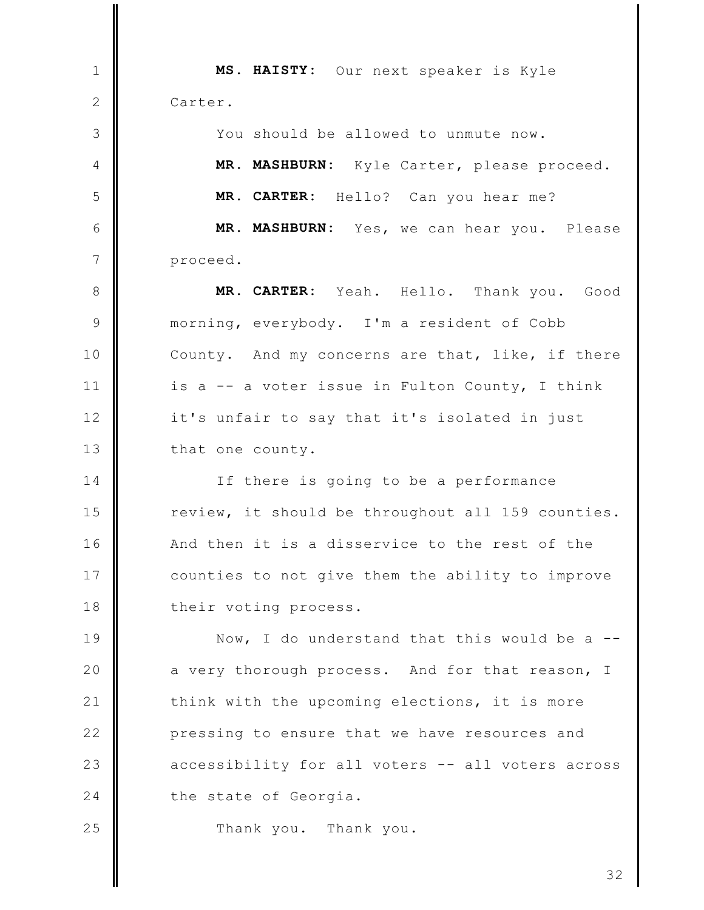MS. HAISTY: Our next speaker is Kyle  $\mathbf{1}$ 2 Carter. You should be allowed to unmute now. 3 MR. MASHBURN: Kyle Carter, please proceed.  $\overline{4}$ 5 MR. CARTER: Hello? Can you hear me? 6 MR. MASHBURN: Yes, we can hear you. Please  $\overline{7}$ proceed. 8 MR. CARTER: Yeah. Hello. Thank you. Good  $\overline{9}$ morning, everybody. I'm a resident of Cobb  $10$ County. And my concerns are that, like, if there  $11$ is a -- a voter issue in Fulton County, I think  $12$ it's unfair to say that it's isolated in just  $13$ that one county. 14 If there is going to be a performance 15 review, it should be throughout all 159 counties.  $16$ And then it is a disservice to the rest of the 17 counties to not give them the ability to improve 18 their voting process. 19 Now, I do understand that this would be a --20 a very thorough process. And for that reason, I  $21$ think with the upcoming elections, it is more  $22$ pressing to ensure that we have resources and

accessibility for all voters -- all voters across the state of Georgia.

Thank you. Thank you.

23

24

25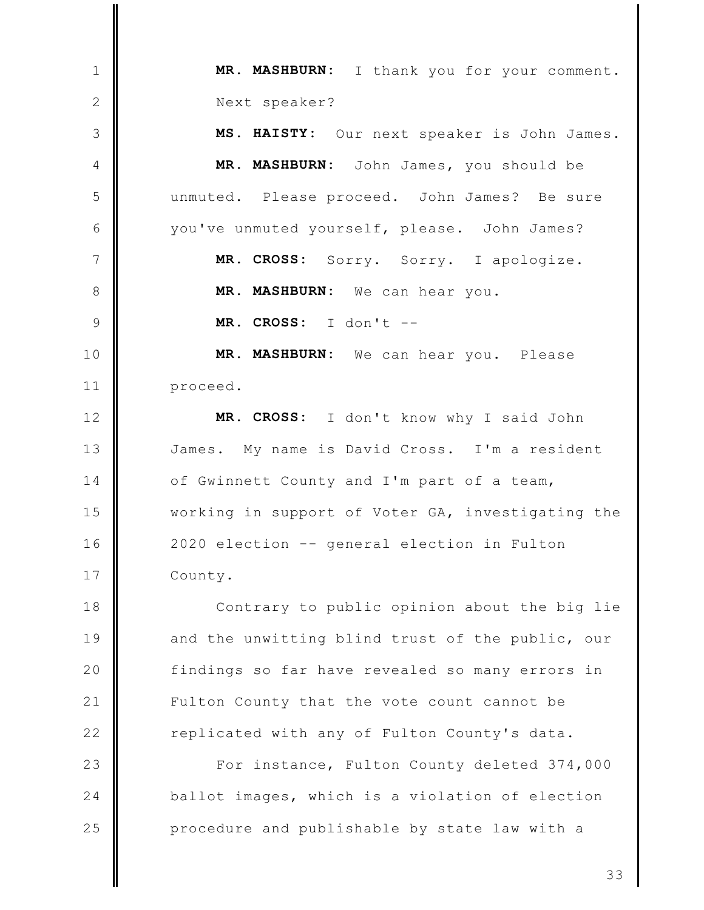MR. MASHBURN: I thank you for your comment.  $\mathbf{1}$  $\mathbf{2}$ Next speaker? 3 MS. HAISTY: Our next speaker is John James. MR. MASHBURN: John James, you should be  $\overline{4}$ 5 unmuted. Please proceed. John James? Be sure 6 you've unmuted yourself, please. John James?  $\overline{7}$ MR. CROSS: Sorry. Sorry. I apologize. 8 MR. MASHBURN: We can hear you. MR. CROSS:  $I$  don't --9 MR. MASHBURN: We can hear you. Please  $10$  $11$ proceed.  $12$ MR. CROSS: I don't know why I said John  $13$ My name is David Cross. I'm a resident James. 14 of Gwinnett County and I'm part of a team, 15 working in support of Voter GA, investigating the 16 2020 election -- general election in Fulton 17 County. 18 Contrary to public opinion about the big lie 19 and the unwitting blind trust of the public, our 20 findings so far have revealed so many errors in  $21$ Fulton County that the vote count cannot be  $22$ replicated with any of Fulton County's data. 23 For instance, Fulton County deleted 374,000 24 ballot images, which is a violation of election 25 procedure and publishable by state law with a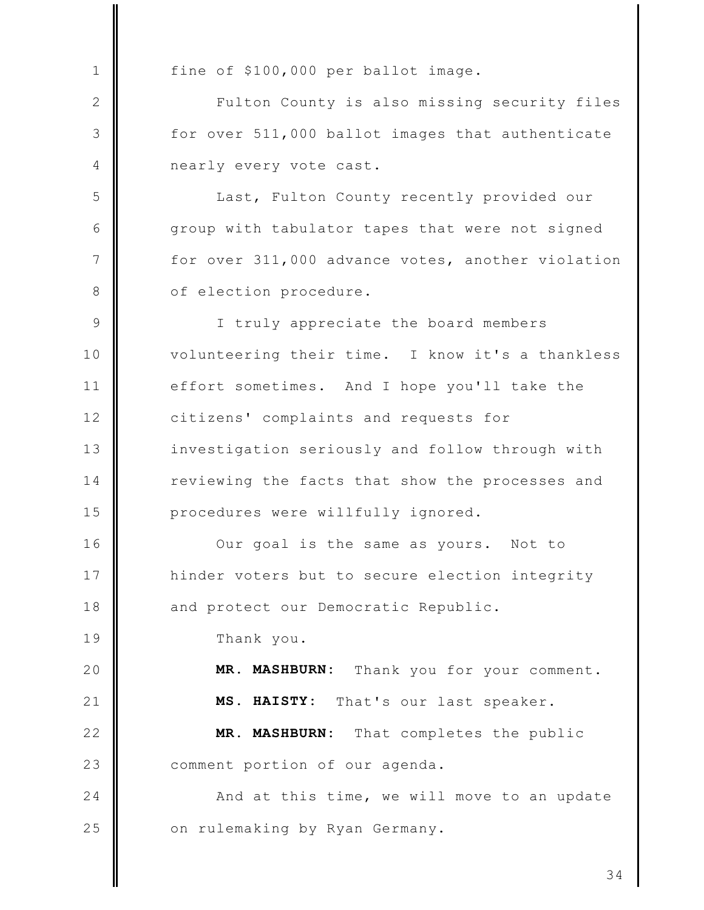fine of \$100,000 per ballot image.  $\mathbf{1}$  $\mathbf{2}$ Fulton County is also missing security files 3 for over 511,000 ballot images that authenticate nearly every vote cast.  $\overline{4}$ 5 Last, Fulton County recently provided our 6 group with tabulator tapes that were not signed  $\overline{7}$ for over 311,000 advance votes, another violation 8 of election procedure.  $\mathcal{Q}$ I truly appreciate the board members volunteering their time. I know it's a thankless  $10$  $11$ effort sometimes. And I hope you'll take the citizens' complaints and requests for  $12$  $13$ investigation seriously and follow through with 14 reviewing the facts that show the processes and 15 procedures were willfully ignored.  $16$ Our goal is the same as yours. Not to 17 hinder voters but to secure election integrity 18 and protect our Democratic Republic. 19 Thank you. MR. MASHBURN: 20 Thank you for your comment.  $21$ MS. HAISTY: That's our last speaker.  $22$ MR. MASHBURN: That completes the public comment portion of our agenda. 23  $24$ And at this time, we will move to an update 25 on rulemaking by Ryan Germany.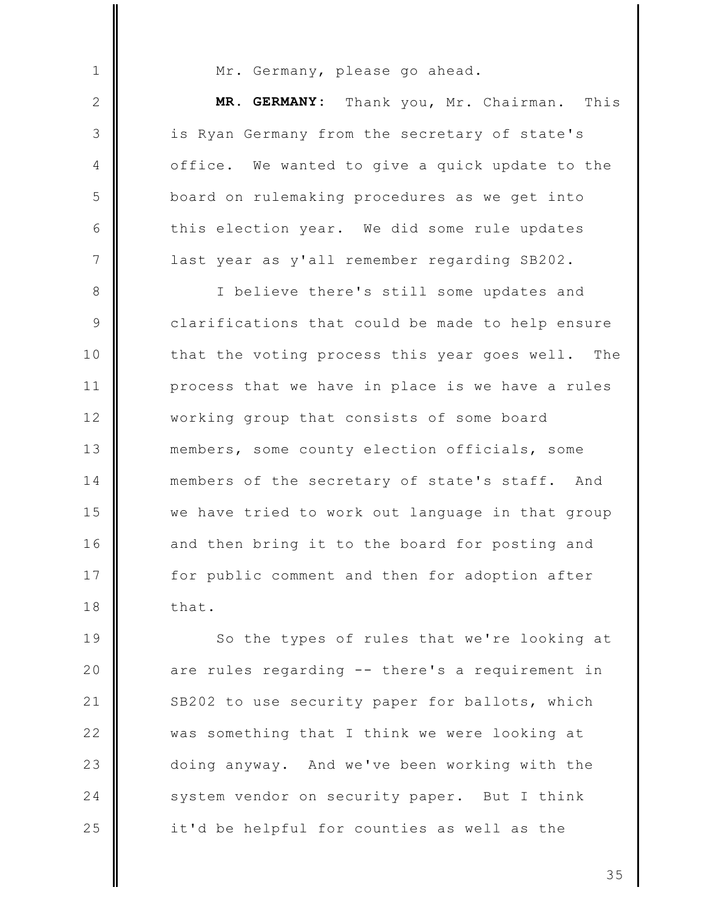Mr. Germany, please go ahead.

 $\mathbf{1}$ 

 $\mathbf{2}$ 

3

4

5

6

 $\overline{7}$ 

MR. GERMANY: Thank you, Mr. Chairman. This is Ryan Germany from the secretary of state's We wanted to give a quick update to the office. board on rulemaking procedures as we get into this election year. We did some rule updates last year as y'all remember regarding SB202.

I believe there's still some updates and 8 9 clarifications that could be made to help ensure  $10$ that the voting process this year goes well. The  $11$ process that we have in place is we have a rules  $12$ working group that consists of some board  $13$ members, some county election officials, some 14 members of the secretary of state's staff. And 15 we have tried to work out language in that group 16 and then bring it to the board for posting and 17 for public comment and then for adoption after 18 that.

19 So the types of rules that we're looking at 20 are rules regarding -- there's a requirement in  $21$ SB202 to use security paper for ballots, which  $22$ was something that I think we were looking at 23 doing anyway. And we've been working with the 24 system vendor on security paper. But I think 25 it'd be helpful for counties as well as the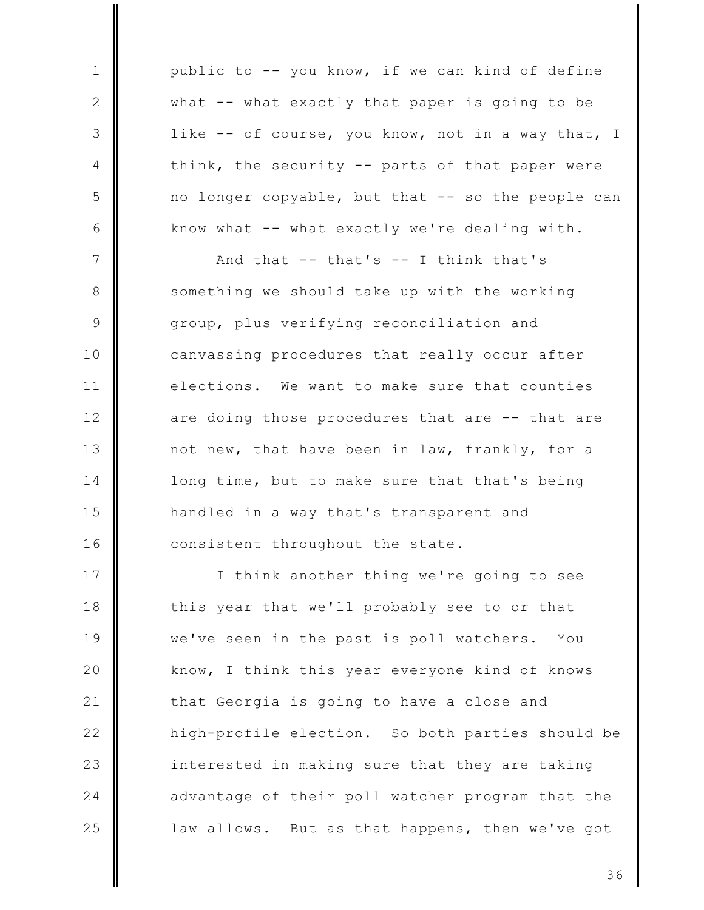public to -- you know, if we can kind of define  $\mathbf{1}$  $\mathbf{2}$ what -- what exactly that paper is going to be 3 like -- of course, you know, not in a way that, I think, the security -- parts of that paper were 4 5 no longer copyable, but that -- so the people can 6 know what -- what exactly we're dealing with.  $\overline{7}$ And that  $--$  that's  $--$  I think that's 8 something we should take up with the working 9 group, plus verifying reconciliation and canvassing procedures that really occur after  $10$  $11$ elections. We want to make sure that counties  $12$ are doing those procedures that are -- that are  $13$ not new, that have been in law, frankly, for a 14 long time, but to make sure that that's being 15 handled in a way that's transparent and 16 consistent throughout the state. 17 I think another thing we're going to see 18 this year that we'll probably see to or that 19 we've seen in the past is poll watchers. You 20 know, I think this year everyone kind of knows  $21$ that Georgia is going to have a close and  $22$ high-profile election. So both parties should be 23 interested in making sure that they are taking 24 advantage of their poll watcher program that the 25 law allows. But as that happens, then we've got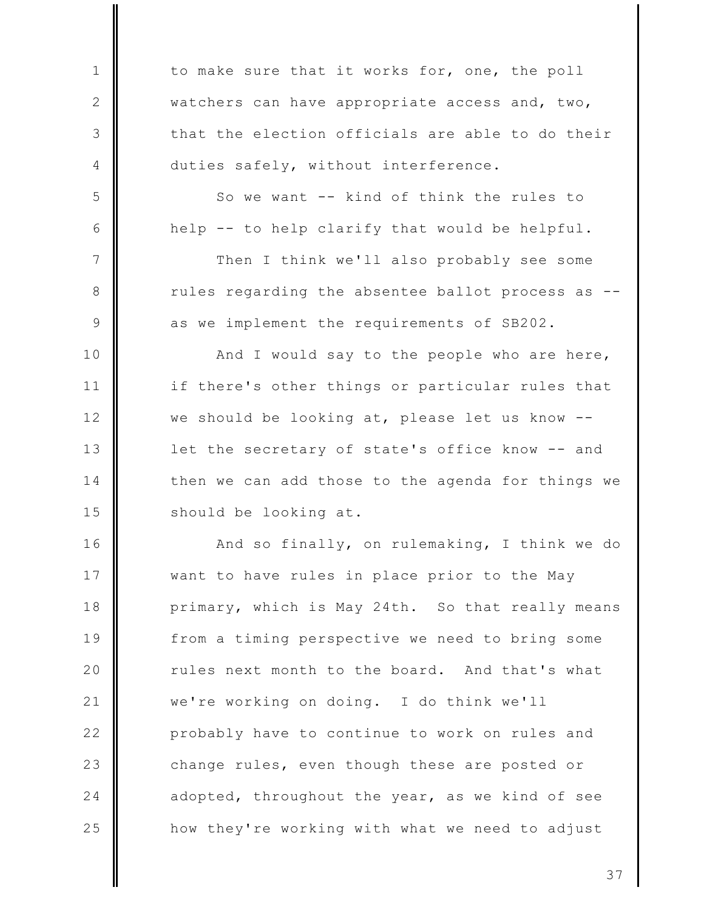to make sure that it works for, one, the poll watchers can have appropriate access and, two, that the election officials are able to do their duties safely, without interference.

 $\mathbf{1}$ 

 $\mathbf{2}$ 

3

4

5

6

 $7\phantom{.0}$ 

8

9

So we want -- kind of think the rules to help -- to help clarify that would be helpful.

Then I think we'll also probably see some rules regarding the absentee ballot process as -as we implement the requirements of SB202.

 $10$ And I would say to the people who are here,  $11$ if there's other things or particular rules that  $12$ we should be looking at, please let us know -- $13$ let the secretary of state's office know -- and 14 then we can add those to the agenda for things we 15 should be looking at.

16 And so finally, on rulemaking, I think we do 17 want to have rules in place prior to the May 18 primary, which is May 24th. So that really means 19 from a timing perspective we need to bring some 20 rules next month to the board. And that's what we're working on doing. I do think we'll  $21$  $22$ probably have to continue to work on rules and 23 change rules, even though these are posted or 24 adopted, throughout the year, as we kind of see 25 how they're working with what we need to adjust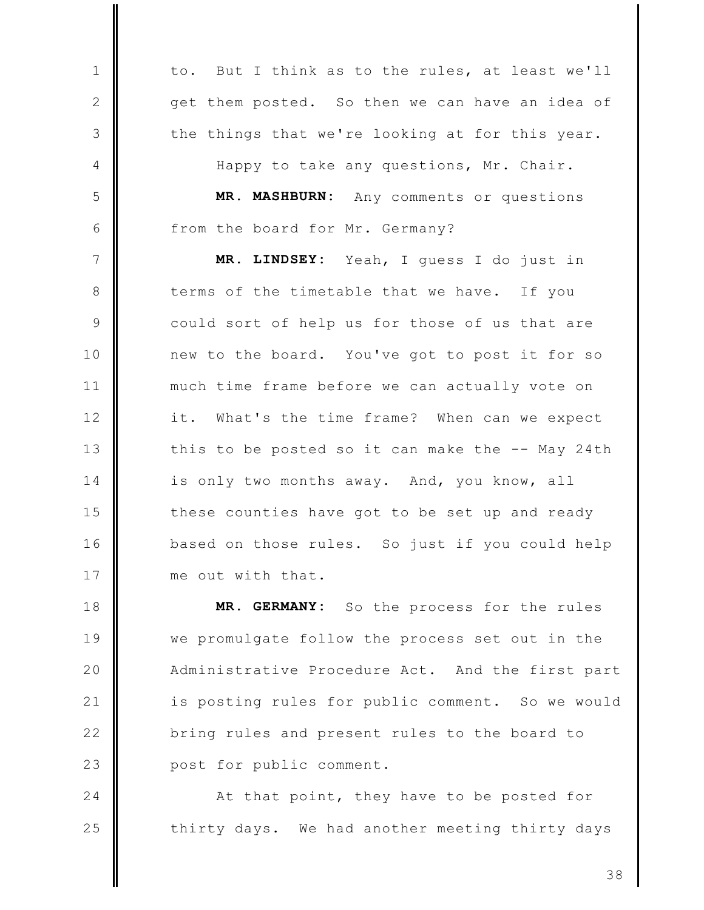But I think as to the rules, at least we'll  $\mathbf{1}$ to.  $\mathbf{2}$ get them posted. So then we can have an idea of 3 the things that we're looking at for this year. Happy to take any questions, Mr. Chair. 4 5 MR. MASHBURN: Any comments or questions 6 from the board for Mr. Germany?  $7\phantom{.0}$ Yeah, I guess I do just in MR. LINDSEY: 8 terms of the timetable that we have. If you 9 could sort of help us for those of us that are new to the board. You've got to post it for so  $10$  $11$ much time frame before we can actually vote on  $12$ it. What's the time frame? When can we expect  $13$ this to be posted so it can make the -- May 24th 14 is only two months away. And, you know, all 15 these counties have got to be set up and ready  $16$ based on those rules. So just if you could help 17 me out with that.

18 MR. GERMANY: So the process for the rules 19 we promulgate follow the process set out in the 20 Administrative Procedure Act. And the first part  $21$ is posting rules for public comment. So we would  $22$ bring rules and present rules to the board to 23 post for public comment.

At that point, they have to be posted for thirty days. We had another meeting thirty days

24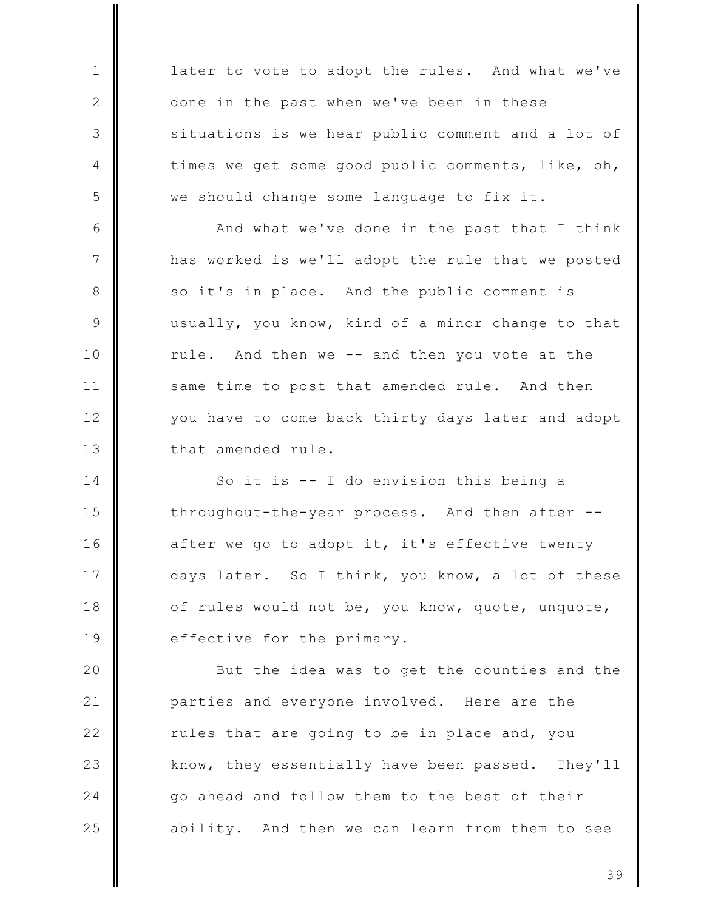later to vote to adopt the rules. And what we've  $\mathbf{1}$  $\mathbf{2}$ done in the past when we've been in these 3 situations is we hear public comment and a lot of times we get some good public comments, like, oh, 4 5 we should change some language to fix it. 6 And what we've done in the past that I think  $7\phantom{.0}$ has worked is we'll adopt the rule that we posted 8 so it's in place. And the public comment is usually, you know, kind of a minor change to that 9  $10$ rule. And then we -- and then you vote at the  $11$ same time to post that amended rule. And then  $12$ you have to come back thirty days later and adopt  $13$ that amended rule. 14 So it is -- I do envision this being a 15

throughout-the-year process. And then after --16 after we go to adopt it, it's effective twenty 17 days later. So I think, you know, a lot of these of rules would not be, you know, quote, unquote, 18 19 effective for the primary.

20 But the idea was to get the counties and the  $21$ parties and everyone involved. Here are the  $22$ rules that are going to be in place and, you 23 know, they essentially have been passed. They'll 24 go ahead and follow them to the best of their 25 ability. And then we can learn from them to see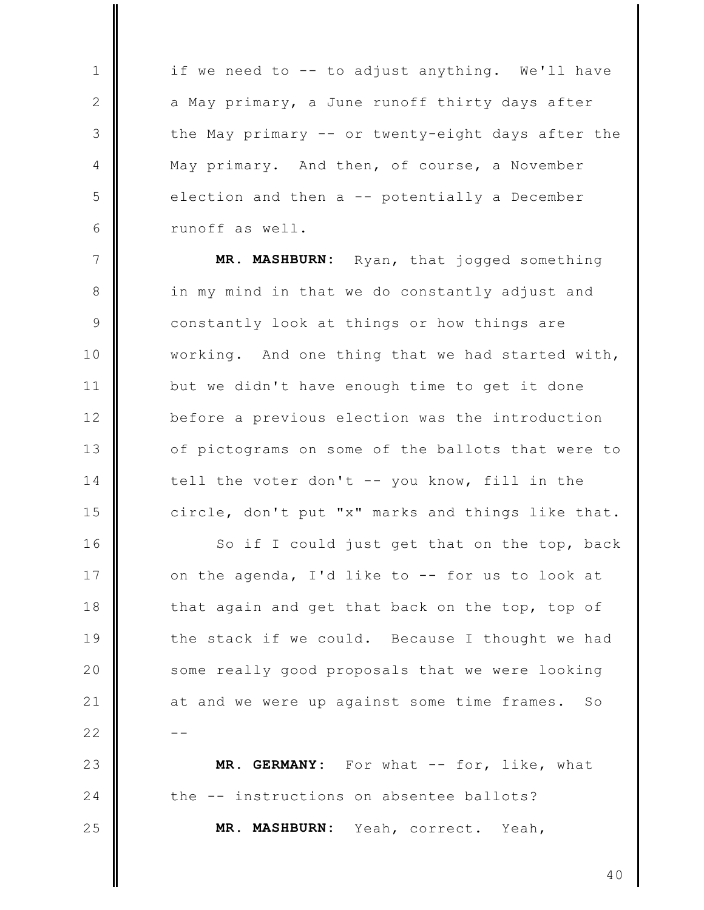if we need to -- to adjust anything. We'll have a May primary, a June runoff thirty days after the May primary -- or twenty-eight days after the May primary. And then, of course, a November election and then a -- potentially a December runoff as well.

 $\mathbf{1}$ 

2

3

 $\overline{4}$ 

5

6

23

24

25

 $7\phantom{.0}$ MR. MASHBURN: Ryan, that jogged something 8 in my mind in that we do constantly adjust and 9 constantly look at things or how things are  $10$ working. And one thing that we had started with,  $11$ but we didn't have enough time to get it done  $12$ before a previous election was the introduction  $13$ of pictograms on some of the ballots that were to tell the voter don't -- you know, fill in the 14 15 circle, don't put "x" marks and things like that.

16 So if I could just get that on the top, back 17 on the agenda, I'd like to -- for us to look at 18 that again and get that back on the top, top of 19 the stack if we could. Because I thought we had 20 some really good proposals that we were looking  $21$ at and we were up against some time frames.  $SO$  $22$ 

MR. GERMANY: For what  $--$  for, like, what the -- instructions on absentee ballots? **MR. MASHBURN:** Yeah, correct. Yeah,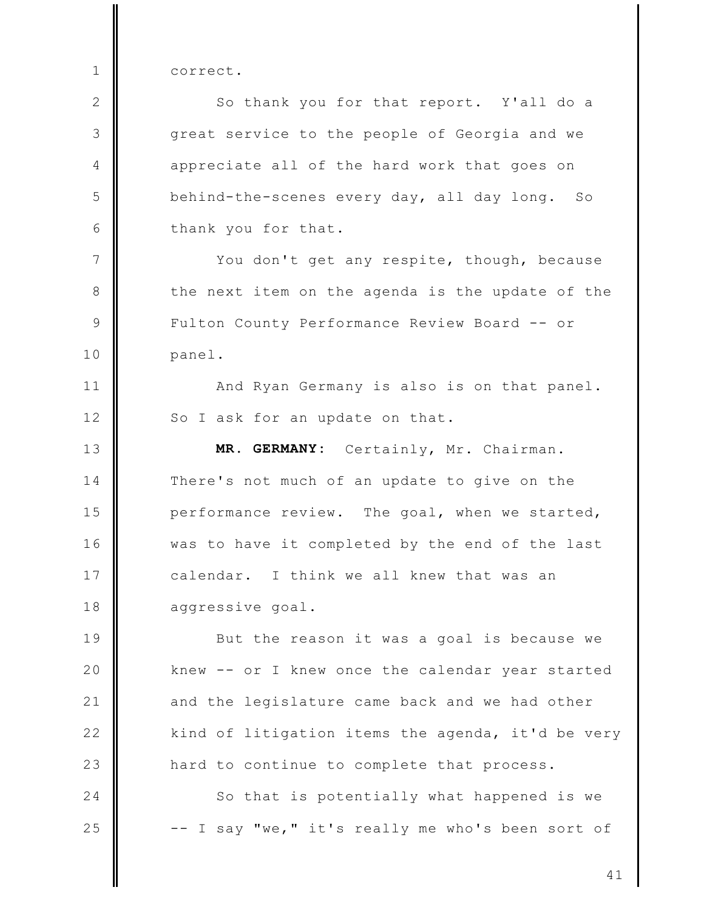correct.

 $\mathbf{1}$ 

 $\mathbf{2}$ So thank you for that report. Y'all do a 3 great service to the people of Georgia and we  $\overline{4}$ appreciate all of the hard work that goes on 5 behind-the-scenes every day, all day long. So 6 thank you for that.  $7\phantom{.0}$ You don't get any respite, though, because 8 the next item on the agenda is the update of the  $\mathcal{Q}$ Fulton County Performance Review Board -- or  $10$ panel.  $11$ And Ryan Germany is also is on that panel. So I ask for an update on that.  $12$  $13$ MR. GERMANY: Certainly, Mr. Chairman. 14 There's not much of an update to give on the performance review. The goal, when we started, 15  $16$ was to have it completed by the end of the last 17 calendar. I think we all knew that was an 18 aggressive goal. 19 But the reason it was a goal is because we 20 knew -- or I knew once the calendar year started  $21$ and the legislature came back and we had other  $22$ kind of litigation items the agenda, it'd be very 23 hard to continue to complete that process. 24 So that is potentially what happened is we 25 -- I say "we," it's really me who's been sort of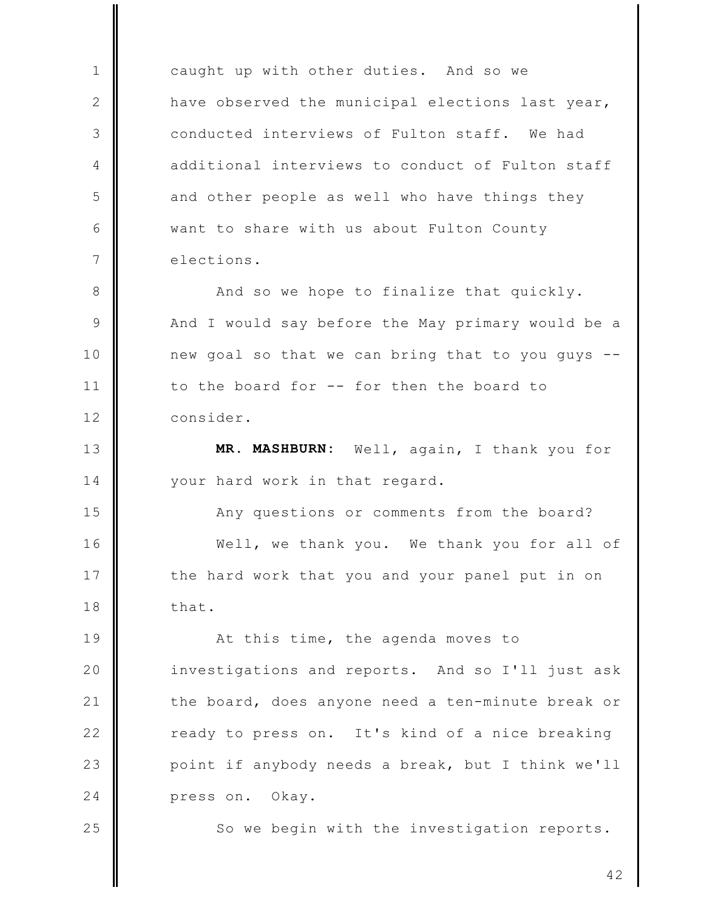caught up with other duties. And so we have observed the municipal elections last year, conducted interviews of Fulton staff. We had additional interviews to conduct of Fulton staff and other people as well who have things they want to share with us about Fulton County elections.

 $\mathbf{1}$ 

 $\mathbf{2}$ 

3

4

5

6

 $7\phantom{.0}$ 

 $13$ 

14

25

8 And so we hope to finalize that quickly. 9 And I would say before the May primary would be a  $10$ new goal so that we can bring that to you guys -- $11$ to the board for -- for then the board to  $12$ consider.

MR. MASHBURN: Well, again, I thank you for your hard work in that regard.

15 Any questions or comments from the board?  $16$ Well, we thank you. We thank you for all of 17 the hard work that you and your panel put in on 18 that.

19 At this time, the agenda moves to 20 investigations and reports. And so I'll just ask  $21$ the board, does anyone need a ten-minute break or  $22$ ready to press on. It's kind of a nice breaking 23 point if anybody needs a break, but I think we'll 24 press on. Okay.

So we begin with the investigation reports.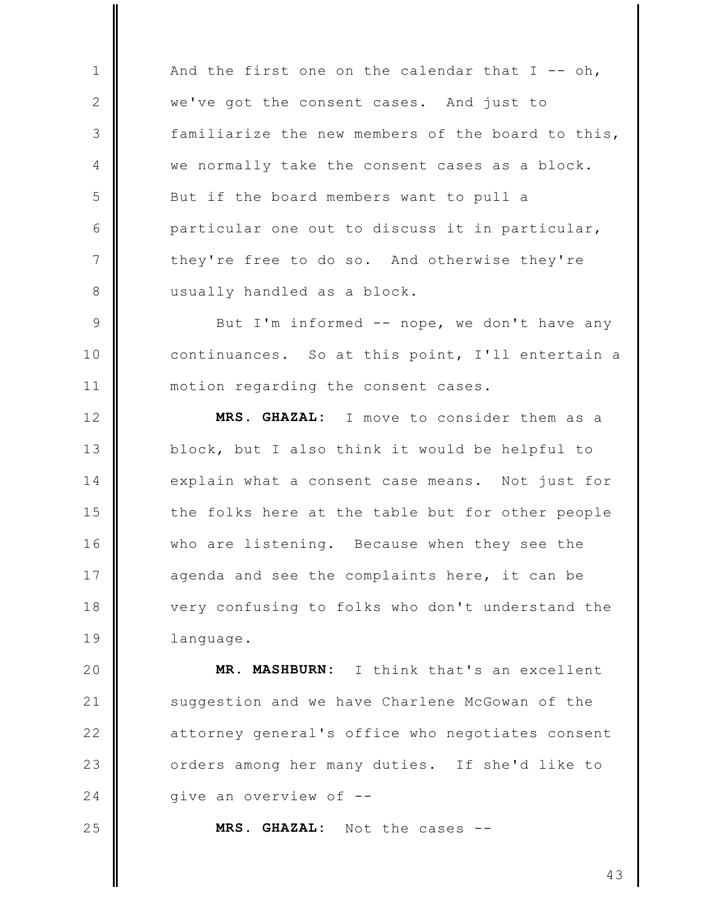And the first one on the calendar that  $I - - oh$ , we've got the consent cases. And just to familiarize the new members of the board to this, we normally take the consent cases as a block. But if the board members want to pull a particular one out to discuss it in particular, they're free to do so. And otherwise they're usually handled as a block.

 $\mathcal{Q}$ But I'm informed -- nope, we don't have any continuances. So at this point, I'll entertain a  $10$  $11$ motion regarding the consent cases.

 $12$ MRS. GHAZAL: I move to consider them as a  $13$ block, but I also think it would be helpful to  $14$ explain what a consent case means. Not just for 15 the folks here at the table but for other people  $16$ who are listening. Because when they see the 17 agenda and see the complaints here, it can be 18 very confusing to folks who don't understand the 19 language.

20 MR. MASHBURN: I think that's an excellent  $21$ suggestion and we have Charlene McGowan of the  $22$ attorney general's office who negotiates consent 23 orders among her many duties. If she'd like to  $24$ give an overview of --

25

 $\mathbf{1}$ 

2

3

 $\overline{4}$ 

5

6

 $\overline{7}$ 

8

MRS. GHAZAL: Not the cases --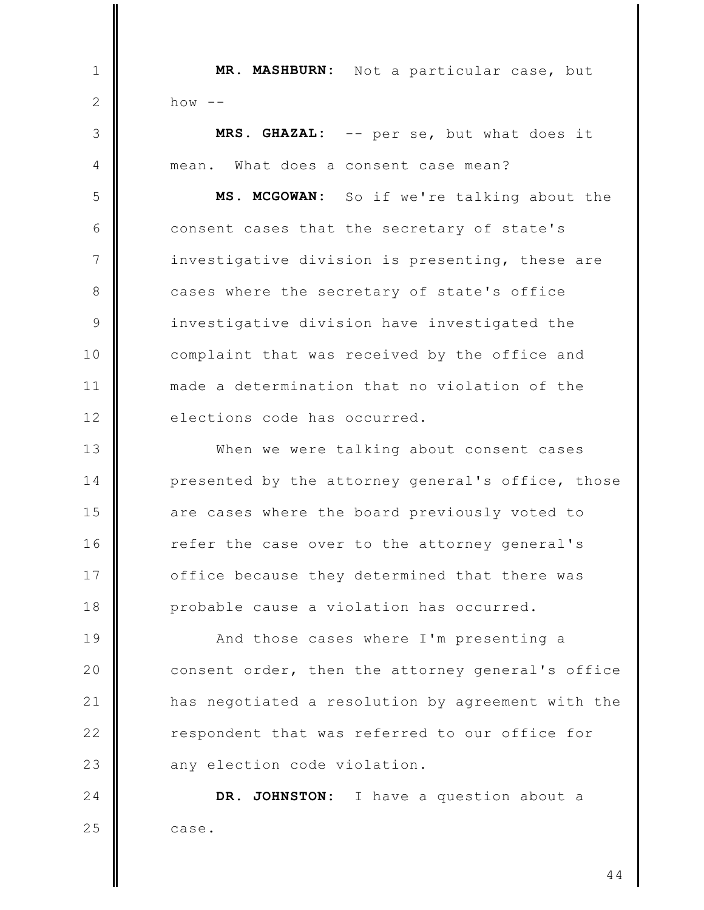MR. MASHBURN: Not a particular case, but  $\mathbf{1}$  $\mathbf{2}$  $h \circ w$  --3 MRS. GHAZAL: -- per se, but what does it mean. What does a consent case mean?  $\overline{4}$ 5 MS. MCGOWAN: So if we're talking about the 6 consent cases that the secretary of state's  $\overline{7}$ investigative division is presenting, these are 8 cases where the secretary of state's office  $\mathcal{Q}$ investigative division have investigated the complaint that was received by the office and  $10$  $11$ made a determination that no violation of the elections code has occurred.  $12$  $13$ When we were talking about consent cases 14 presented by the attorney general's office, those 15 are cases where the board previously voted to  $16$ refer the case over to the attorney general's 17 office because they determined that there was 18 probable cause a violation has occurred. 19 And those cases where I'm presenting a

20 consent order, then the attorney general's office  $21$ has negotiated a resolution by agreement with the  $22$ respondent that was referred to our office for 23 any election code violation.

24 DR. JOHNSTON: I have a question about a 25 case.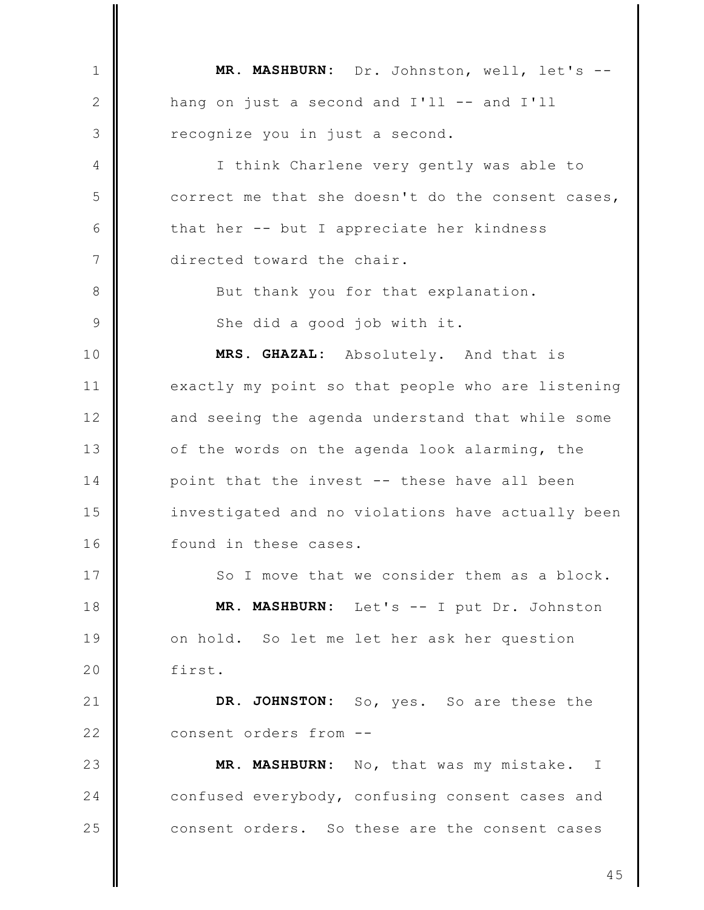MR. MASHBURN: Dr. Johnston, well, let's -- $\mathbf{1}$  $\mathbf{2}$ hang on just a second and I'll -- and I'll 3 recognize you in just a second. I think Charlene very gently was able to 4 5 correct me that she doesn't do the consent cases, 6 that her -- but I appreciate her kindness  $\overline{7}$ directed toward the chair. 8 But thank you for that explanation. 9 She did a good job with it. MRS. GHAZAL: Absolutely. And that is  $10$  $11$ exactly my point so that people who are listening  $12$ and seeing the agenda understand that while some  $13$ of the words on the agenda look alarming, the 14 point that the invest -- these have all been 15 investigated and no violations have actually been  $16$ found in these cases. 17 So I move that we consider them as a block. MR. MASHBURN: Let's -- I put Dr. Johnston 18 19 on hold. So let me let her ask her question 20 first.  $21$ DR. JOHNSTON: So, yes. So are these the  $22$ consent orders from --23 MR. MASHBURN: No, that was my mistake. I 24 confused everybody, confusing consent cases and 25 consent orders. So these are the consent cases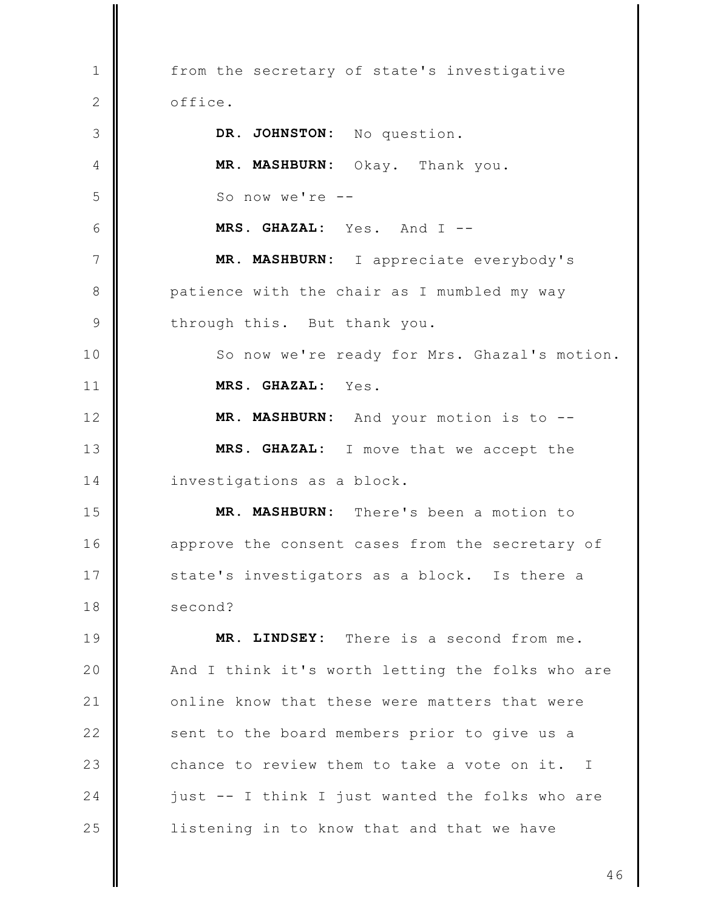from the secretary of state's investigative  $\mathbf{1}$  $\mathbf{2}$ office. 3 DR. JOHNSTON: No question.  $\overline{4}$ MR. MASHBURN: Okay. Thank you. 5 So now we're  $--$ 6 MRS. GHAZAL: Yes. And I -- $\overline{7}$ MR. MASHBURN: I appreciate everybody's 8 patience with the chair as I mumbled my way  $\mathcal{Q}$ through this. But thank you. 10 So now we're ready for Mrs. Ghazal's motion.  $11$ MRS. GHAZAL: Yes.  $12$ MR. MASHBURN: And your motion is to -- $13$ MRS. GHAZAL: I move that we accept the 14 investigations as a block. MR. MASHBURN: 15 There's been a motion to  $16$ approve the consent cases from the secretary of 17 state's investigators as a block. Is there a 18 second? 19 MR. LINDSEY: There is a second from me. 20 And I think it's worth letting the folks who are  $21$ online know that these were matters that were  $22$ sent to the board members prior to give us a 23 chance to review them to take a vote on it. I  $24$ just -- I think I just wanted the folks who are 25 listening in to know that and that we have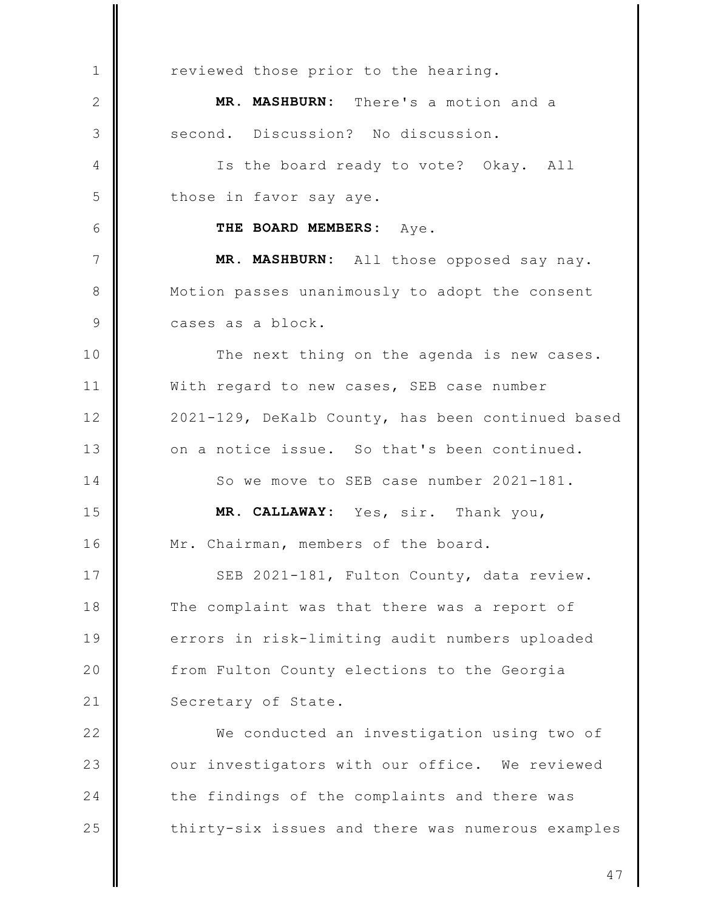reviewed those prior to the hearing.  $\mathbf{1}$ MR. MASHBURN: There's a motion and a  $\mathbf{2}$ second. Discussion? No discussion. 3 Is the board ready to vote? Okay. All  $\overline{4}$ 5 those in favor say aye. 6 THE BOARD MEMBERS: Aye.  $\overline{7}$ MR. MASHBURN: All those opposed say nay. 8 Motion passes unanimously to adopt the consent cases as a block.  $\mathcal{Q}$ 10 The next thing on the agenda is new cases.  $11$ With regard to new cases, SEB case number  $12$ 2021-129, DeKalb County, has been continued based  $13$ on a notice issue. So that's been continued.  $14$ So we move to SEB case number 2021-181. 15 MR. CALLAWAY: Yes, sir. Thank you,  $16$ Mr. Chairman, members of the board. 17 SEB 2021-181, Fulton County, data review. 18 The complaint was that there was a report of 19 errors in risk-limiting audit numbers uploaded 20 from Fulton County elections to the Georgia  $21$ Secretary of State.  $22$ We conducted an investigation using two of 23 our investigators with our office. We reviewed  $24$ the findings of the complaints and there was 25 thirty-six issues and there was numerous examples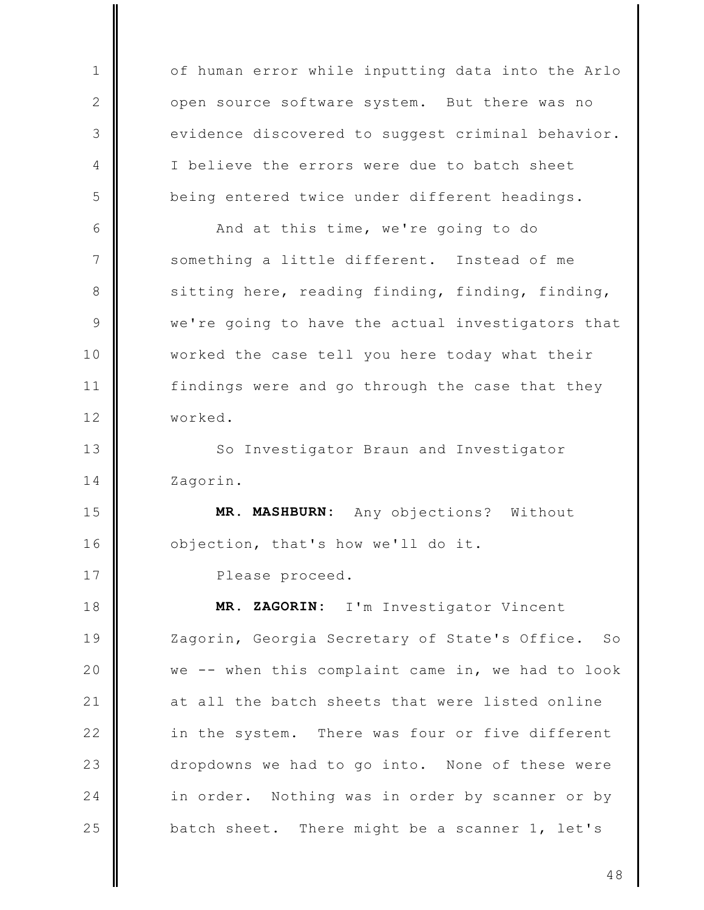of human error while inputting data into the Arlo  $\mathbf{1}$ open source software system. But there was no  $\mathbf{2}$ 3 evidence discovered to suggest criminal behavior.  $\overline{4}$ I believe the errors were due to batch sheet 5 being entered twice under different headings. 6 And at this time, we're going to do  $\overline{7}$ something a little different. Instead of me sitting here, reading finding, finding, finding, 8  $\mathcal{Q}$ we're going to have the actual investigators that  $10$ worked the case tell you here today what their  $11$ findings were and go through the case that they  $12$ worked.  $13$ So Investigator Braun and Investigator  $14$ Zagorin. 15 MR. MASHBURN: Any objections? Without  $16$ objection, that's how we'll do it. 17 Please proceed. 18 MR. ZAGORIN: I'm Investigator Vincent 19 Zagorin, Georgia Secretary of State's Office.  $S_{\bigcirc}$ 20 we -- when this complaint came in, we had to look  $21$ at all the batch sheets that were listed online  $22$ in the system. There was four or five different 23 dropdowns we had to go into. None of these were  $24$ in order. Nothing was in order by scanner or by 25 batch sheet. There might be a scanner 1, let's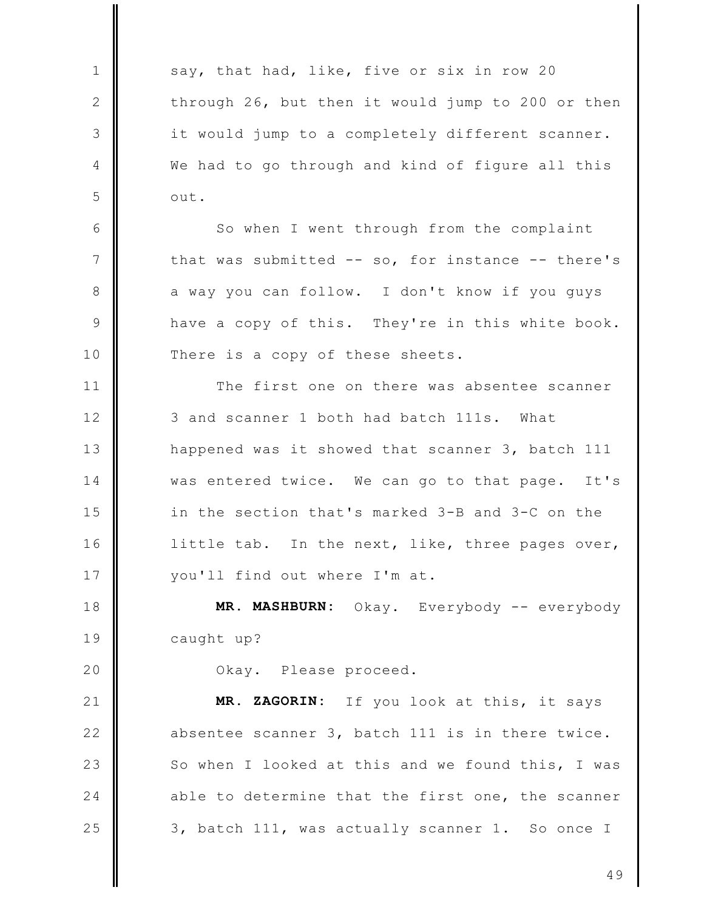say, that had, like, five or six in row 20  $\mathbf{1}$ 2 through 26, but then it would jump to 200 or then 3 it would jump to a completely different scanner. We had to go through and kind of figure all this  $\overline{4}$ 5 out. 6 So when I went through from the complaint  $\overline{7}$ that was submitted -- so, for instance -- there's 8 a way you can follow. I don't know if you quys 9 have a copy of this. They're in this white book. There is a copy of these sheets.  $10$  $11$ The first one on there was absentee scanner  $12$ 3 and scanner 1 both had batch 111s. What  $13$ happened was it showed that scanner 3, batch 111 14 was entered twice. We can go to that page. It's 15 in the section that's marked 3-B and 3-C on the 16 little tab. In the next, like, three pages over, 17 you'll find out where I'm at. MR. MASHBURN: Okay. Everybody -- everybody 18 19 caught up? 20 Okay. Please proceed.  $21$ MR. ZAGORIN: If you look at this, it says  $22$ absentee scanner 3, batch 111 is in there twice. 23 So when I looked at this and we found this, I was 24 able to determine that the first one, the scanner

3, batch 111, was actually scanner 1. So once I

25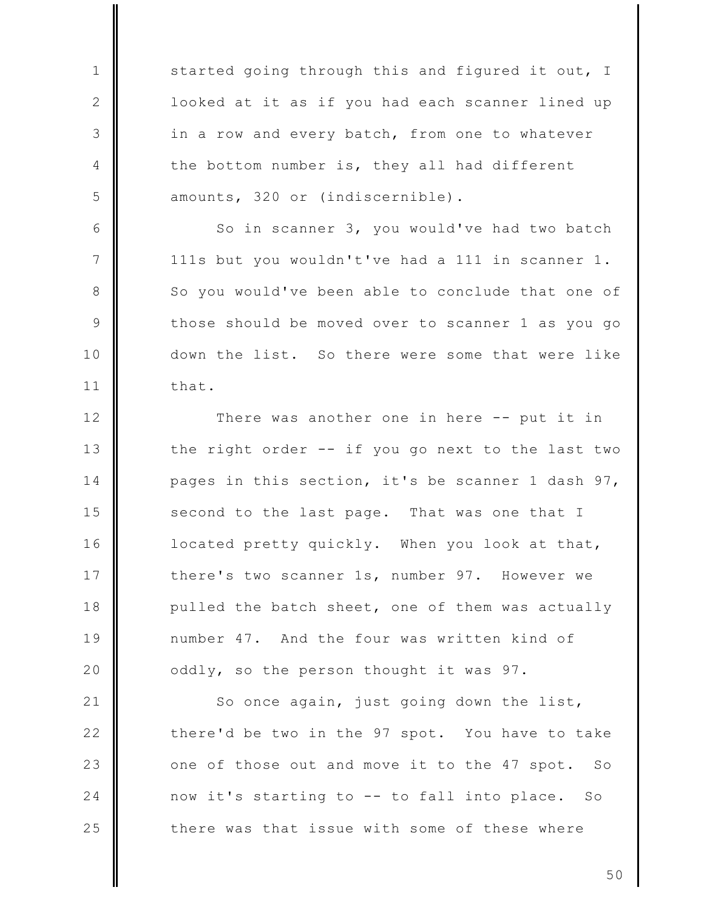started going through this and figured it out, I looked at it as if you had each scanner lined up in a row and every batch, from one to whatever the bottom number is, they all had different amounts, 320 or (indiscernible).

 $\mathbf{1}$ 

2

3

 $\overline{4}$ 

5

6

7

8

9

 $10$ 

 $11$ 

So in scanner 3, you would've had two batch 111s but you wouldn't've had a 111 in scanner 1. So you would've been able to conclude that one of those should be moved over to scanner 1 as you go down the list. So there were some that were like that.

 $12$ There was another one in here -- put it in  $13$ the right order -- if you go next to the last two 14 pages in this section, it's be scanner 1 dash 97, 15 second to the last page. That was one that I 16 located pretty quickly. When you look at that, 17 there's two scanner 1s, number 97. However we 18 pulled the batch sheet, one of them was actually 19 number 47. And the four was written kind of 20 oddly, so the person thought it was 97.

 $21$ So once again, just going down the list,  $22$ there'd be two in the 97 spot. You have to take 23 one of those out and move it to the 47 spot.  $SO$ 24 now it's starting to -- to fall into place. So 25 there was that issue with some of these where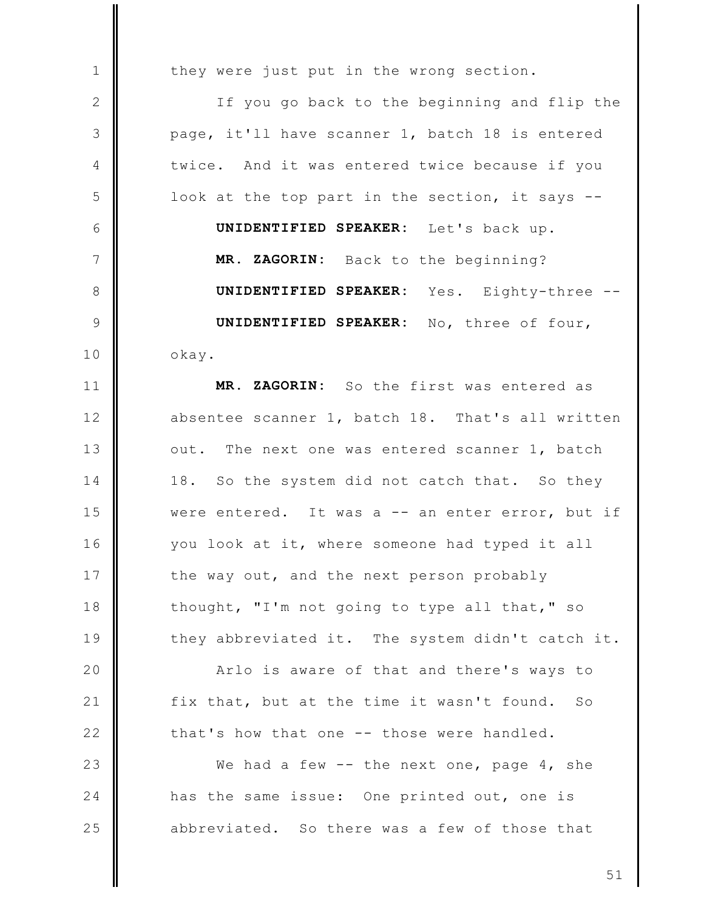they were just put in the wrong section.

 $\mathbf{1}$ 

 $\mathbf{2}$ 

3

 $\overline{4}$ 

5

6

7

8

9

 $10$ 

 $11$ 

 $12$ 

 $13$ 

14

15

16

17

18

19

20

 $21$ 

 $22$ 

If you go back to the beginning and flip the page, it'll have scanner 1, batch 18 is entered twice. And it was entered twice because if you look at the top part in the section, it says --UNIDENTIFIED SPEAKER: Let's back up. MR. ZAGORIN: Back to the beginning? UNIDENTIFIED SPEAKER: Yes. Eighty-three --UNIDENTIFIED SPEAKER: No, three of four,

okay. MR. ZAGORIN: So the first was entered as absentee scanner 1, batch 18. That's all written

out. The next one was entered scanner 1, batch So the system did not catch that. So they 18. were entered. It was a -- an enter error, but if you look at it, where someone had typed it all the way out, and the next person probably thought, "I'm not going to type all that," so they abbreviated it. The system didn't catch it.

Arlo is aware of that and there's ways to fix that, but at the time it wasn't found.  $SO$ that's how that one -- those were handled.

23 We had a few  $-$  the next one, page 4, she 24 has the same issue: One printed out, one is 25 abbreviated. So there was a few of those that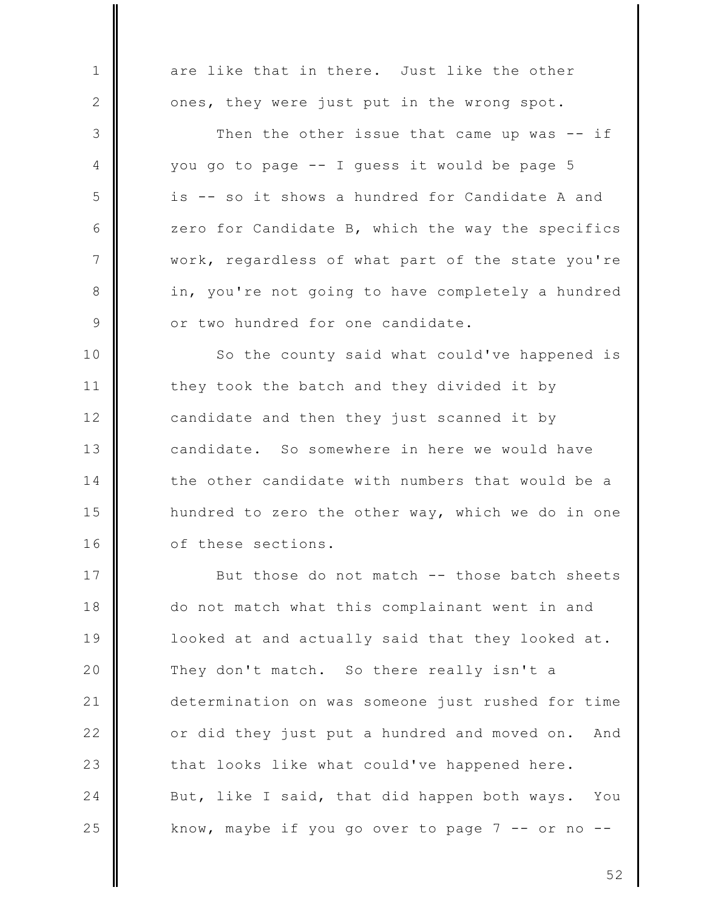are like that in there. Just like the other  $\mathbf{1}$  $\mathbf{2}$ ones, they were just put in the wrong spot. 3 Then the other issue that came up was -- if you go to page -- I guess it would be page 5 4 is -- so it shows a hundred for Candidate A and 5 6 zero for Candidate B, which the way the specifics  $\overline{7}$ work, regardless of what part of the state you're 8 in, you're not going to have completely a hundred or two hundred for one candidate. 9 So the county said what could've happened is  $10$  $11$ they took the batch and they divided it by  $12$ candidate and then they just scanned it by  $13$ candidate. So somewhere in here we would have 14 the other candidate with numbers that would be a 15 hundred to zero the other way, which we do in one 16 of these sections. 17 But those do not match -- those batch sheets 18 do not match what this complainant went in and 19 looked at and actually said that they looked at. 20 They don't match. So there really isn't a  $21$ determination on was someone just rushed for time  $22$ or did they just put a hundred and moved on. And 23 that looks like what could've happened here. 24 But, like I said, that did happen both ways. You 25 know, maybe if you go over to page  $7 - -$  or no  $- -$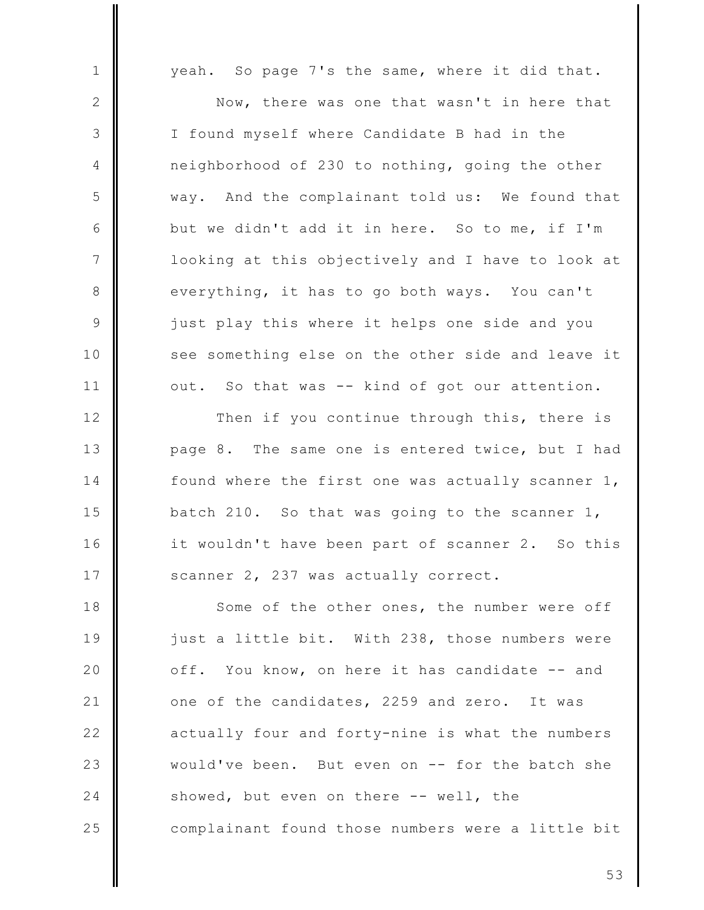yeah. So page 7's the same, where it did that.

 $\mathbf{1}$ 

 $\mathbf{2}$ 

3

 $\overline{4}$ 

5

6

 $\overline{7}$ 

8

9

 $10$ 

 $11$ 

Now, there was one that wasn't in here that I found myself where Candidate B had in the neighborhood of 230 to nothing, going the other way. And the complainant told us: We found that but we didn't add it in here. So to me, if I'm looking at this objectively and I have to look at everything, it has to go both ways. You can't just play this where it helps one side and you see something else on the other side and leave it out. So that was -- kind of got our attention.

 $12$ Then if you continue through this, there is  $13$ page 8. The same one is entered twice, but I had found where the first one was actually scanner 1, 14 15 batch 210. So that was going to the scanner 1, 16 it wouldn't have been part of scanner 2. So this 17 scanner 2, 237 was actually correct.

18 Some of the other ones, the number were off 19 just a little bit. With 238, those numbers were 20 off. You know, on here it has candidate -- and  $21$ one of the candidates, 2259 and zero. It was  $22$ actually four and forty-nine is what the numbers 23 would've been. But even on -- for the batch she 24 showed, but even on there -- well, the 25 complainant found those numbers were a little bit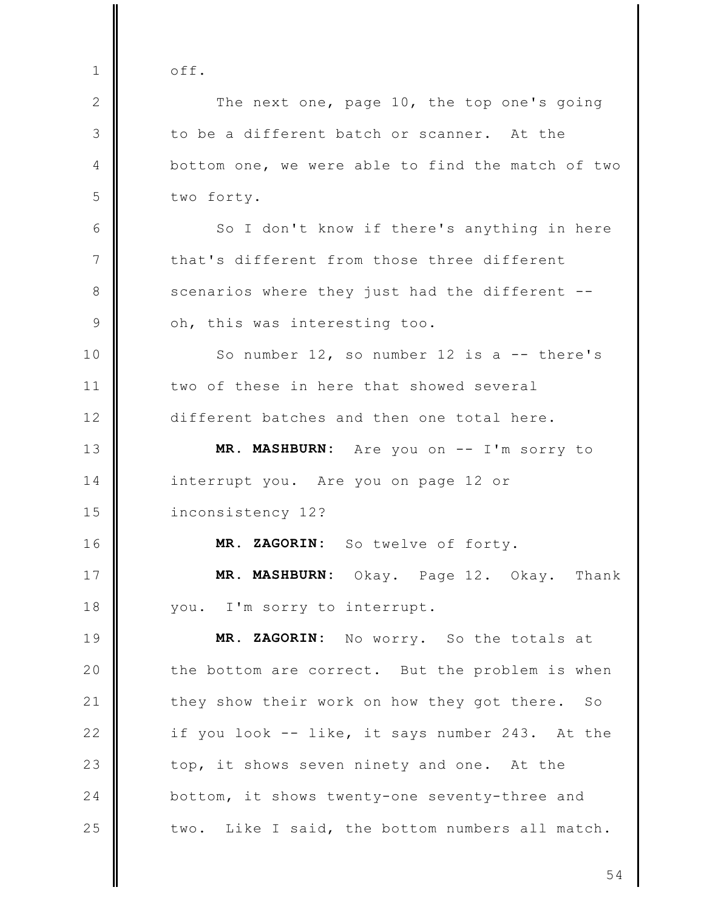off.  $\mathbf{1}$ 2 The next one, page 10, the top one's going 3 to be a different batch or scanner. At the  $\overline{4}$ bottom one, we were able to find the match of two 5 two forty. 6 So I don't know if there's anything in here  $\overline{7}$ that's different from those three different scenarios where they just had the different --8  $\overline{9}$ oh, this was interesting too.  $10$ So number  $12$ , so number  $12$  is a  $-$  there's two of these in here that showed several  $11$  $12$ different batches and then one total here.  $13$ MR. MASHBURN: Are you on -- I'm sorry to 14 interrupt you. Are you on page 12 or 15 inconsistency 12?  $16$ MR. ZAGORIN: So twelve of forty. 17 MR. MASHBURN: Okay. Page 12. Okay. Thank 18 you. I'm sorry to interrupt. 19 MR. ZAGORIN: No worry. So the totals at 20 the bottom are correct. But the problem is when  $21$ they show their work on how they got there. So  $22$ if you look -- like, it says number 243. At the 23 top, it shows seven ninety and one. At the 24 bottom, it shows twenty-one seventy-three and 25 two. Like I said, the bottom numbers all match.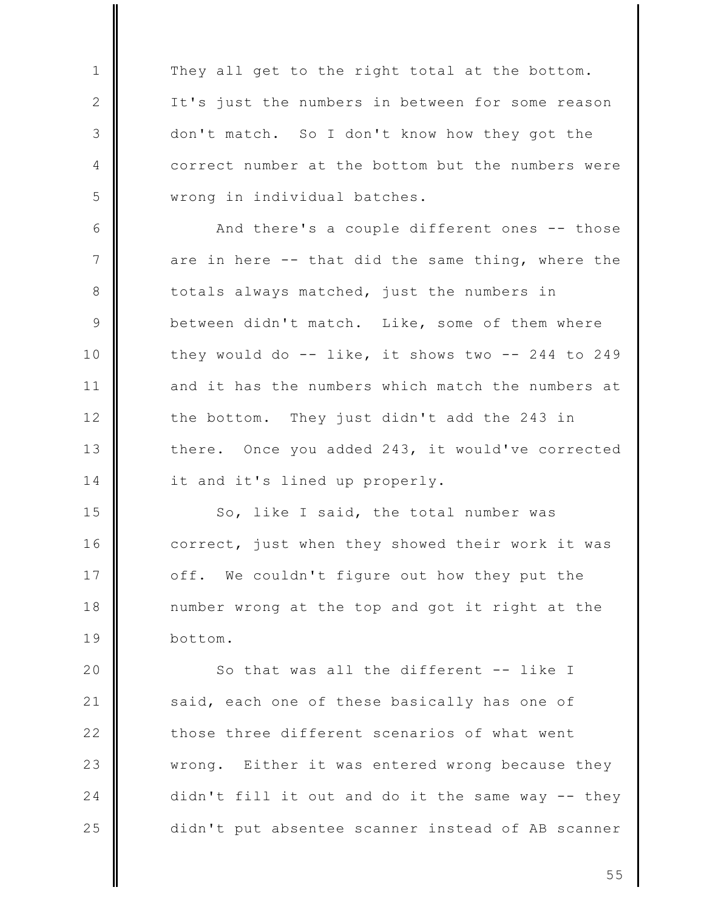They all get to the right total at the bottom. It's just the numbers in between for some reason don't match. So I don't know how they got the correct number at the bottom but the numbers were wrong in individual batches.

 $\mathbf{1}$ 

 $\mathbf{2}$ 

3

 $\overline{4}$ 

5

6 And there's a couple different ones -- those 7 are in here -- that did the same thing, where the 8 totals always matched, just the numbers in 9 between didn't match. Like, some of them where they would do  $-$ - like, it shows two  $-$ - 244 to 249  $10$ and it has the numbers which match the numbers at  $11$  $12$ the bottom. They just didn't add the 243 in  $13$ there. Once you added 243, it would've corrected 14 it and it's lined up properly.

15 So, like I said, the total number was 16 correct, just when they showed their work it was 17 off. We couldn't figure out how they put the 18 number wrong at the top and got it right at the 19 bottom.

20 So that was all the different -- like I  $21$ said, each one of these basically has one of  $22$ those three different scenarios of what went 23 Either it was entered wrong because they wrong. 24 didn't fill it out and do it the same way -- they 25 didn't put absentee scanner instead of AB scanner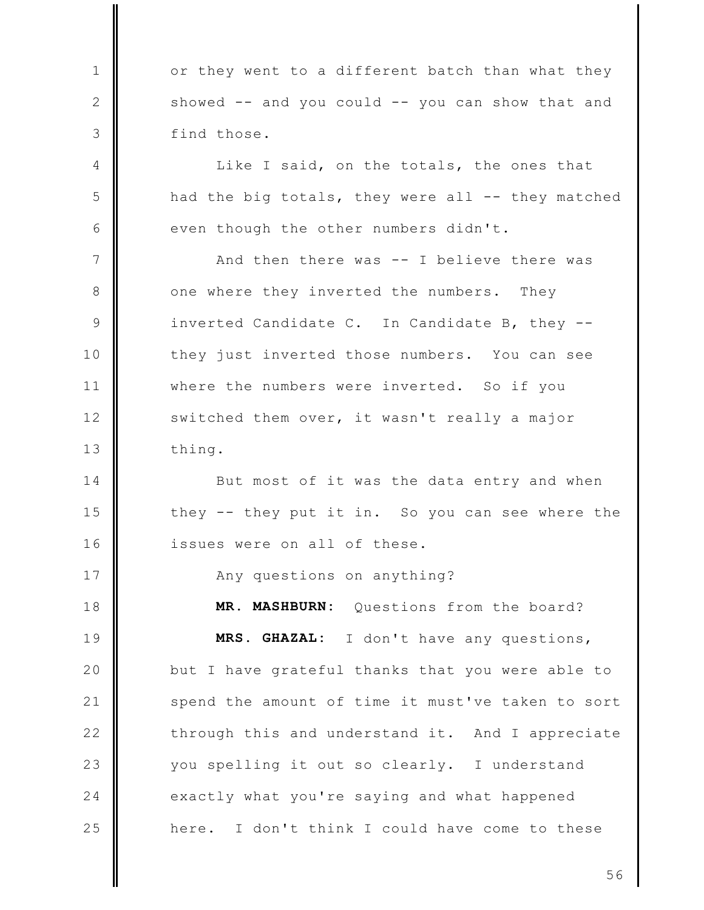or they went to a different batch than what they showed -- and you could -- you can show that and find those.

 $\mathbf{1}$ 

 $\mathbf{2}$ 

3

 $\overline{4}$ 

5

6

17

Like I said, on the totals, the ones that had the big totals, they were all -- they matched even though the other numbers didn't.

 $\overline{7}$ And then there was -- I believe there was 8 one where they inverted the numbers. They  $\mathcal{Q}$ inverted Candidate C. In Candidate B, they -they just inverted those numbers. You can see  $10$  $11$ where the numbers were inverted. So if you  $12$ switched them over, it wasn't really a major  $13$ thing.

14 But most of it was the data entry and when 15 they -- they put it in. So you can see where the  $16$ issues were on all of these.

Any questions on anything?

18 MR. MASHBURN: Questions from the board? 19 MRS. GHAZAL: I don't have any questions, 20 but I have grateful thanks that you were able to  $21$ spend the amount of time it must've taken to sort  $22$ through this and understand it. And I appreciate 23 you spelling it out so clearly. I understand 24 exactly what you're saying and what happened 25 here. I don't think I could have come to these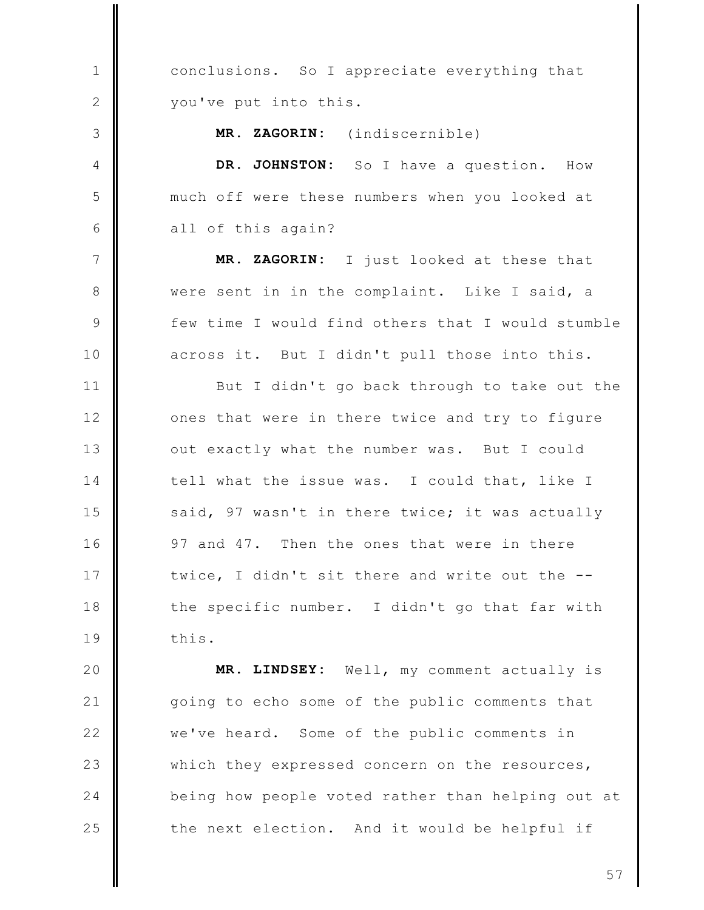conclusions. So I appreciate everything that  $\mathbf{1}$  $\mathbf{2}$ you've put into this. 3 MR. ZAGORIN: (indiscernible) DR. JOHNSTON: So I have a question. 4 How 5 much off were these numbers when you looked at 6 all of this again?  $\overline{7}$ MR. ZAGORIN: I just looked at these that 8 were sent in in the complaint. Like I said, a 9 few time I would find others that I would stumble across it. But I didn't pull those into this.  $10$  $11$ But I didn't go back through to take out the  $12$ ones that were in there twice and try to figure  $13$ out exactly what the number was. But I could 14 tell what the issue was. I could that, like I 15 said, 97 wasn't in there twice; it was actually  $16$ 97 and 47. Then the ones that were in there 17 twice, I didn't sit there and write out the --18 the specific number. I didn't go that far with 19 this. 20 MR. LINDSEY: Well, my comment actually is going to echo some of the public comments that  $21$  $22$ we've heard. Some of the public comments in

which they expressed concern on the resources, being how people voted rather than helping out at the next election. And it would be helpful if

23

24

25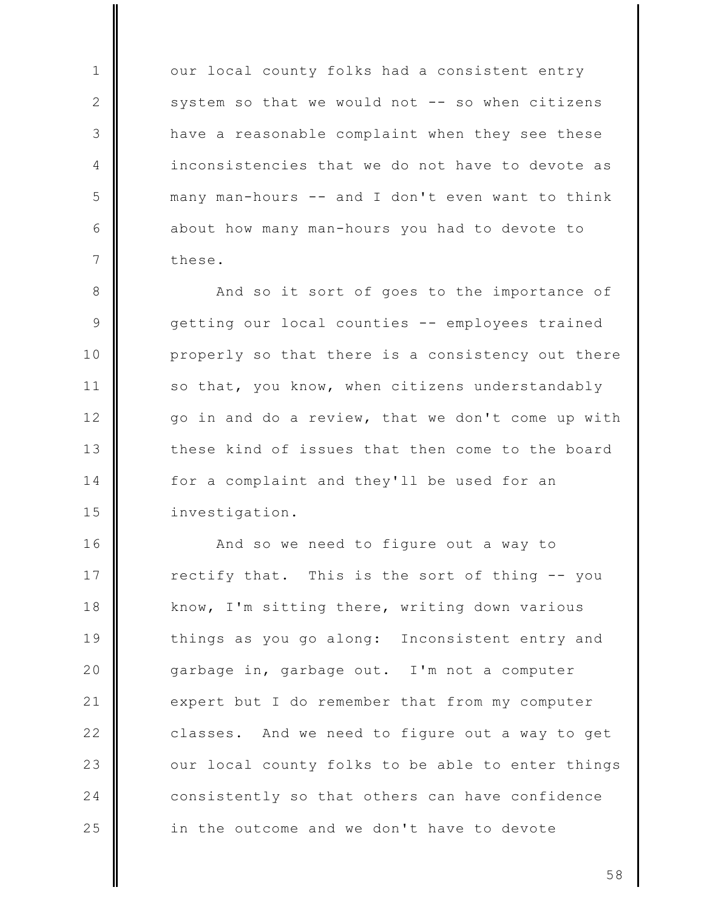our local county folks had a consistent entry system so that we would not -- so when citizens have a reasonable complaint when they see these inconsistencies that we do not have to devote as many man-hours -- and I don't even want to think about how many man-hours you had to devote to these.

 $\mathbf{1}$ 

2

3

 $\overline{4}$ 

5

6

 $\overline{7}$ 

8 And so it sort of goes to the importance of 9 getting our local counties -- employees trained properly so that there is a consistency out there  $10$  $11$ so that, you know, when citizens understandably  $12$ go in and do a review, that we don't come up with  $13$ these kind of issues that then come to the board 14 for a complaint and they'll be used for an 15 investigation.

 $16$ And so we need to figure out a way to 17 rectify that. This is the sort of thing -- you 18 know, I'm sitting there, writing down various 19 things as you go along: Inconsistent entry and 20 garbage in, garbage out. I'm not a computer  $21$ expert but I do remember that from my computer  $22$ classes. And we need to figure out a way to get 23 our local county folks to be able to enter things consistently so that others can have confidence 24 25 in the outcome and we don't have to devote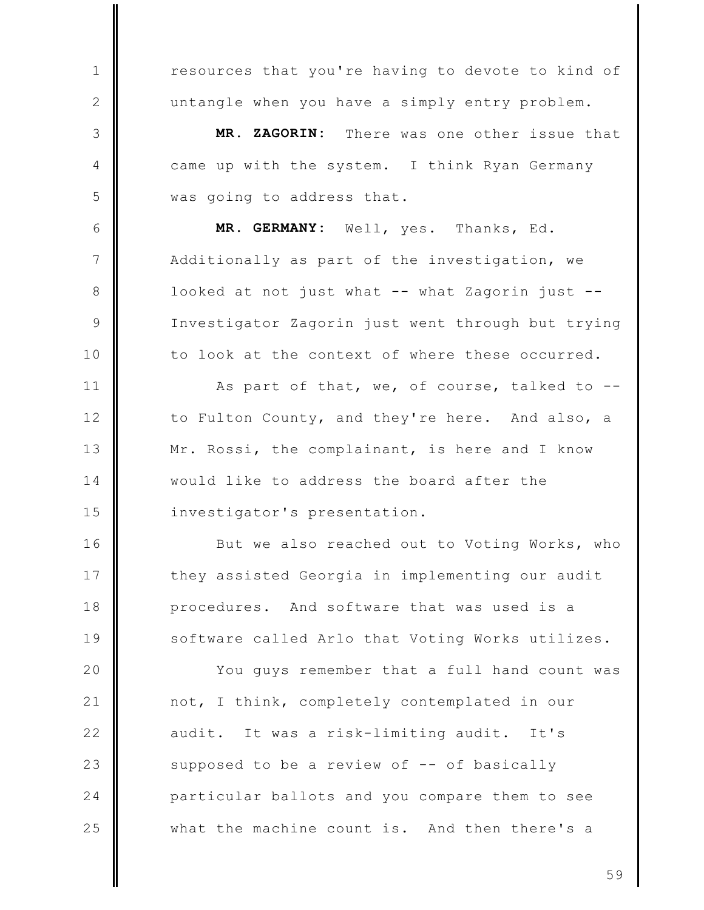resources that you're having to devote to kind of untangle when you have a simply entry problem.

 $\mathbf{1}$ 

 $\mathbf{2}$ 

3

 $\overline{4}$ 

5

6

 $\overline{7}$ 

8

 $\mathcal{Q}$ 

 $10$ 

 $11$ 

 $12$ 

 $13$ 

14

15

 $16$ 

17

18

19

MR. ZAGORIN: There was one other issue that came up with the system. I think Ryan Germany was going to address that.

MR. GERMANY: Well, yes. Thanks, Ed. Additionally as part of the investigation, we looked at not just what -- what Zagorin just --Investigator Zagorin just went through but trying to look at the context of where these occurred.

As part of that, we, of course, talked to -to Fulton County, and they're here. And also, a Mr. Rossi, the complainant, is here and I know would like to address the board after the investigator's presentation.

But we also reached out to Voting Works, who they assisted Georgia in implementing our audit procedures. And software that was used is a software called Arlo that Voting Works utilizes.

20 You quys remember that a full hand count was  $21$ not, I think, completely contemplated in our  $22$ audit. It was a risk-limiting audit. It's 23 supposed to be a review of -- of basically 24 particular ballots and you compare them to see 25 what the machine count is. And then there's a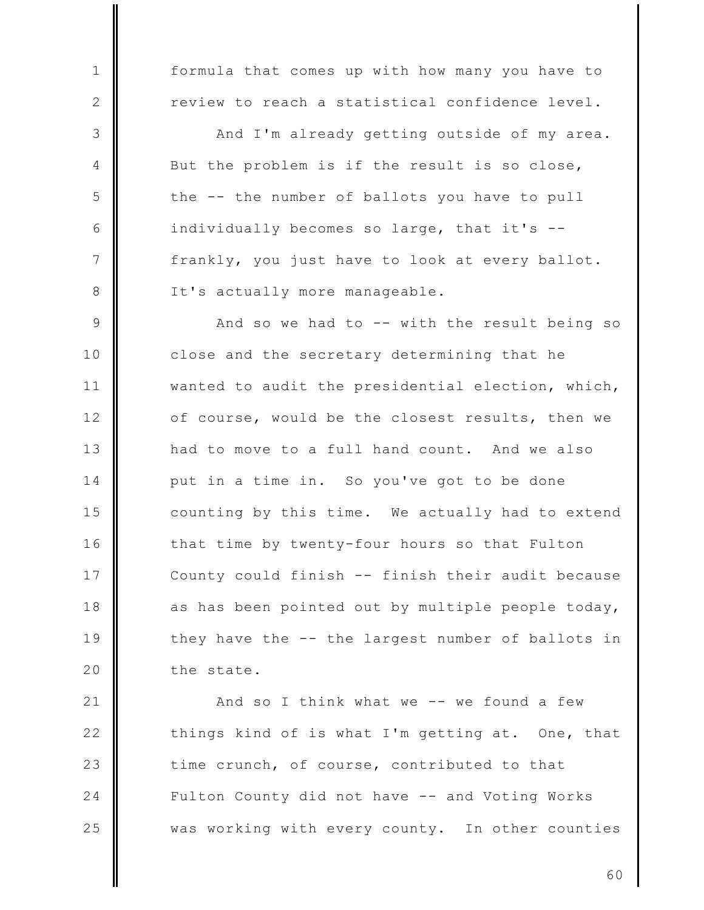formula that comes up with how many you have to  $\mathbf{1}$ review to reach a statistical confidence level. 2 3 And I'm already getting outside of my area. But the problem is if the result is so close,  $\overline{4}$ 5 the -- the number of ballots you have to pull 6 individually becomes so large, that it's -- $\overline{7}$ frankly, you just have to look at every ballot. 8 It's actually more manageable. 9 And so we had to -- with the result being so close and the secretary determining that he  $10$  $11$ wanted to audit the presidential election, which,  $12$ of course, would be the closest results, then we  $13$ had to move to a full hand count. And we also put in a time in. So you've got to be done 14 15 counting by this time. We actually had to extend  $16$ that time by twenty-four hours so that Fulton 17 County could finish -- finish their audit because 18 as has been pointed out by multiple people today, 19 they have the -- the largest number of ballots in 20 the state.

 $21$ And so I think what we -- we found a few  $22$ things kind of is what I'm getting at. One, that 23 time crunch, of course, contributed to that 24 Fulton County did not have -- and Voting Works 25 was working with every county. In other counties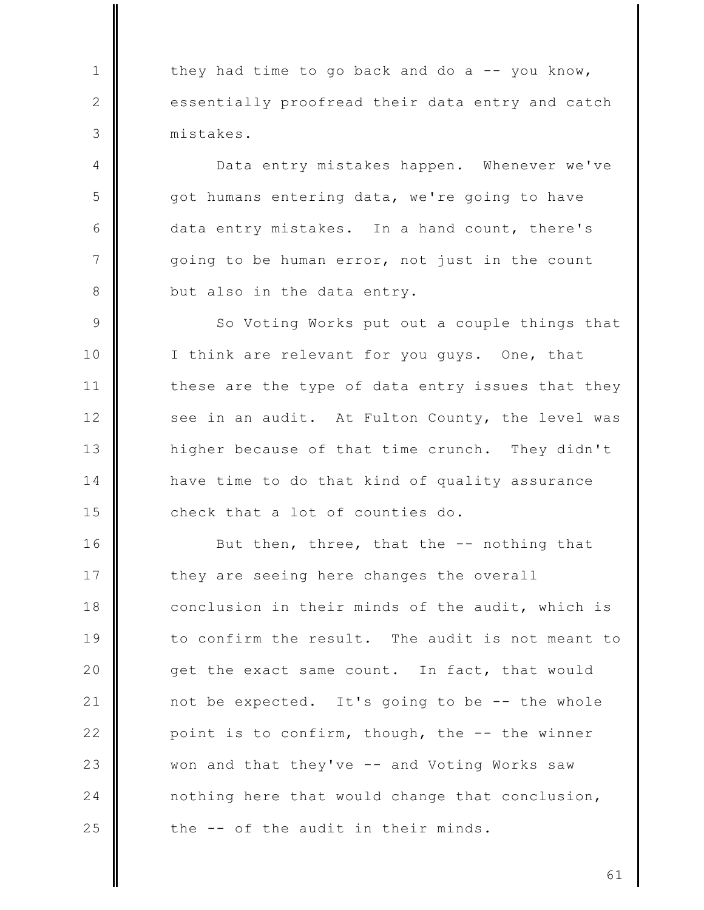they had time to go back and do a -- you know, essentially proofread their data entry and catch mistakes.

 $\mathbf{1}$ 

 $\mathbf{2}$ 

3

4

5

6

 $\overline{7}$ 

8

Data entry mistakes happen. Whenever we've got humans entering data, we're going to have data entry mistakes. In a hand count, there's going to be human error, not just in the count but also in the data entry.

9 So Voting Works put out a couple things that  $10$ I think are relevant for you guys. One, that  $11$ these are the type of data entry issues that they  $12$ see in an audit. At Fulton County, the level was  $13$ higher because of that time crunch. They didn't 14 have time to do that kind of quality assurance 15 check that a lot of counties do.

 $16$ But then, three, that the -- nothing that 17 they are seeing here changes the overall 18 conclusion in their minds of the audit, which is 19 to confirm the result. The audit is not meant to 20 get the exact same count. In fact, that would  $21$ not be expected. It's going to be -- the whole  $22$ point is to confirm, though, the -- the winner 23 won and that they've -- and Voting Works saw 24 nothing here that would change that conclusion, 25 the -- of the audit in their minds.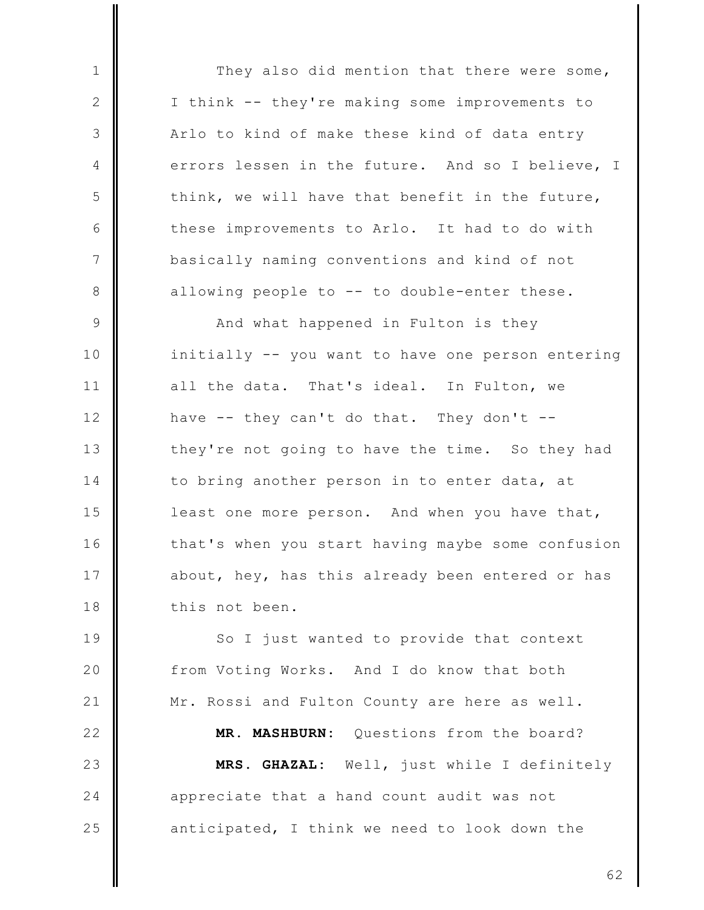They also did mention that there were some, I think -- they're making some improvements to Arlo to kind of make these kind of data entry errors lessen in the future. And so I believe, I think, we will have that benefit in the future, these improvements to Arlo. It had to do with basically naming conventions and kind of not allowing people to -- to double-enter these.

 $\mathbf{1}$ 

 $\mathbf{2}$ 

3

4

5

6

 $\overline{7}$ 

8

25

9 And what happened in Fulton is they  $10$ initially -- you want to have one person entering  $11$ all the data. That's ideal. In Fulton, we  $12$ have  $-$ - they can't do that. They don't  $-$ - $13$ they're not going to have the time. So they had 14 to bring another person in to enter data, at 15 least one more person. And when you have that,  $16$ that's when you start having maybe some confusion 17 about, hey, has this already been entered or has 18 this not been.

19 So I just wanted to provide that context 20 from Voting Works. And I do know that both  $21$ Mr. Rossi and Fulton County are here as well.  $22$ MR. MASHBURN: Questions from the board? MRS. GHAZAL: Well, just while I definitely 23 24 appreciate that a hand count audit was not

anticipated, I think we need to look down the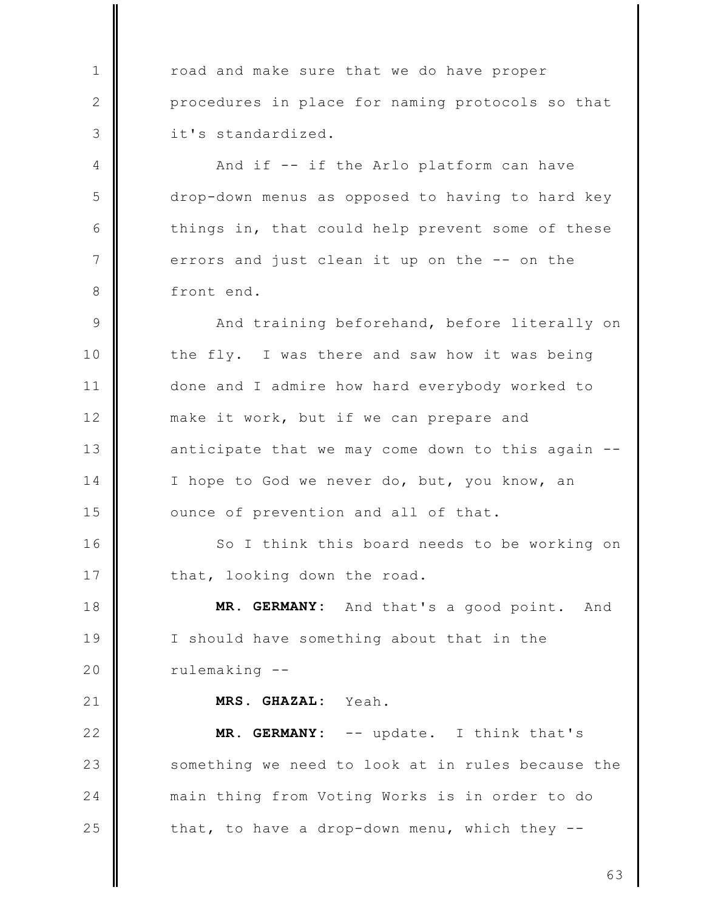road and make sure that we do have proper procedures in place for naming protocols so that it's standardized.

 $\mathbf{1}$ 

2

3

 $\overline{4}$ 

5

6

 $\overline{7}$ 

8

 $16$ 

17

 $21$ 

And if -- if the Arlo platform can have drop-down menus as opposed to having to hard key things in, that could help prevent some of these errors and just clean it up on the -- on the front end.

 $\mathcal{Q}$ And training beforehand, before literally on the fly. I was there and saw how it was being  $10$  $11$ done and I admire how hard everybody worked to make it work, but if we can prepare and  $12$  $13$ anticipate that we may come down to this again --14 I hope to God we never do, but, you know, an 15 ounce of prevention and all of that.

So I think this board needs to be working on that, looking down the road.

18 MR. GERMANY: And that's a good point. And 19 I should have something about that in the 20 rulemaking --

MRS. GHAZAL: Yeah.

 $22$ MR. GERMANY: -- update. I think that's 23 something we need to look at in rules because the 24 main thing from Voting Works is in order to do 25 that, to have a drop-down menu, which they --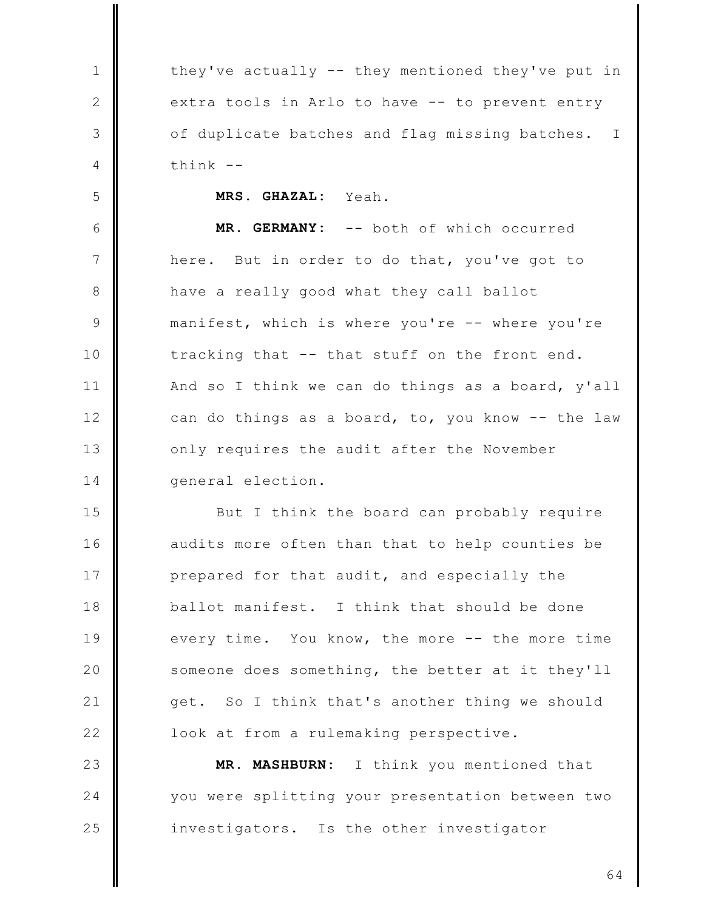they've actually -- they mentioned they've put in extra tools in Arlo to have -- to prevent entry of duplicate batches and flag missing batches.  $\mathbf I$  $think$  --

> MRS. GHAZAL: Yeah.

 $\mathbf{1}$ 

 $\mathbf{2}$ 

3

 $\overline{4}$ 

5

6 MR. GERMANY: -- both of which occurred  $\overline{7}$ here. But in order to do that, you've got to 8 have a really good what they call ballot 9 manifest, which is where you're -- where you're tracking that -- that stuff on the front end.  $10$  $11$ And so I think we can do things as a board, y'all  $12$ can do things as a board, to, you know -- the law  $13$ only requires the audit after the November general election. 14

15 But I think the board can probably require 16 audits more often than that to help counties be 17 prepared for that audit, and especially the 18 ballot manifest. I think that should be done 19 every time. You know, the more -- the more time 20 someone does something, the better at it they'll  $21$ get. So I think that's another thing we should  $22$ look at from a rulemaking perspective.

23 MR. MASHBURN: I think you mentioned that 24 you were splitting your presentation between two 25 investigators. Is the other investigator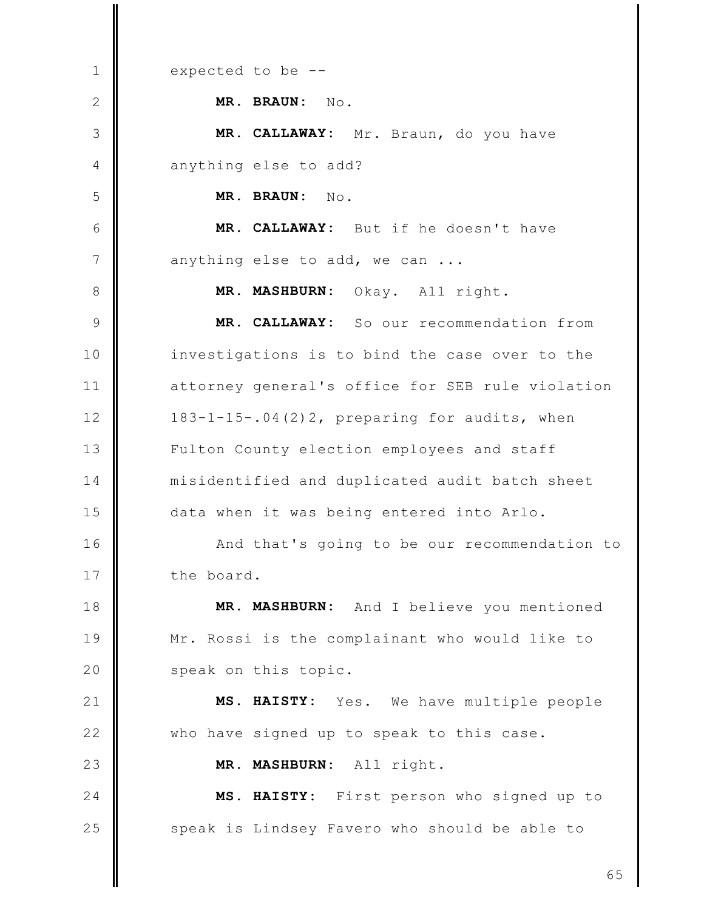expected to be -- $\mathbf{1}$ MR. BRAUN: No.  $\mathbf{2}$ 3 MR. CALLAWAY: Mr. Braun, do you have  $\overline{4}$ anything else to add? 5 MR. BRAUN:  $No.$ MR. CALLAWAY: But if he doesn't have 6  $\overline{7}$ anything else to add, we can ... 8 **MR. MASHBURN:** Okay. All right. MR. CALLAWAY: So our recommendation from  $\mathcal{Q}$  $10$ investigations is to bind the case over to the  $11$ attorney general's office for SEB rule violation  $12$ 183-1-15-.04(2)2, preparing for audits, when  $13$ Fulton County election employees and staff  $14$ misidentified and duplicated audit batch sheet 15 data when it was being entered into Arlo.  $16$ And that's going to be our recommendation to 17 the board. And I believe you mentioned 18 MR. MASHBURN: 19 Mr. Rossi is the complainant who would like to 20 speak on this topic.  $21$ MS. HAISTY: Yes. We have multiple people  $22$ who have signed up to speak to this case. 23 **MR. MASHBURN:** All right.  $24$ MS. HAISTY: First person who signed up to 25 speak is Lindsey Favero who should be able to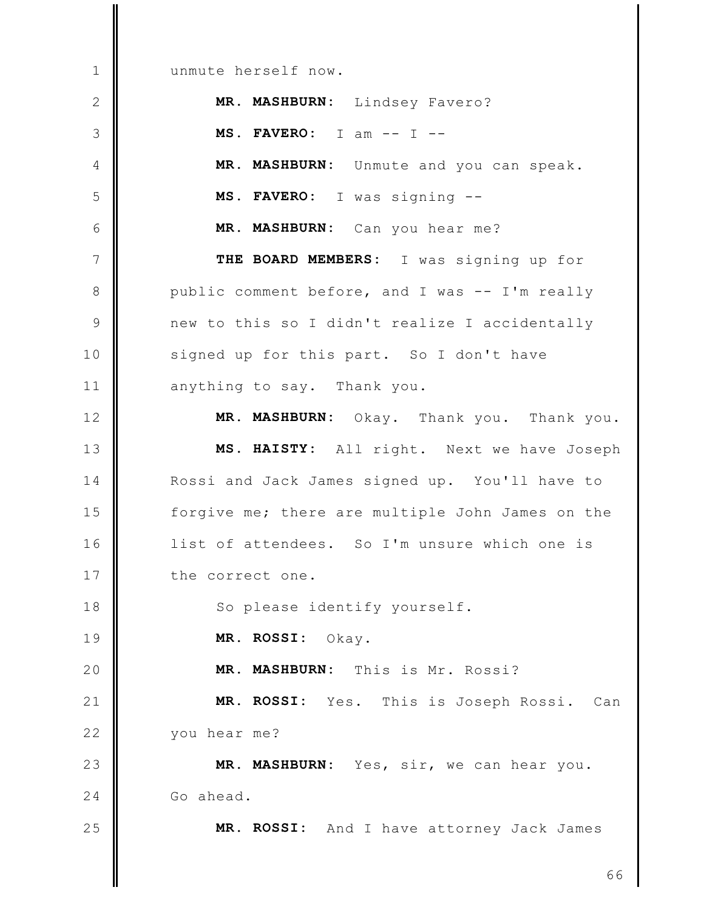unmute herself now.  $\mathbf{1}$  $\mathbf{2}$ MR. MASHBURN: Lindsey Favero? MS. FAVERO:  $I$  am --  $I$  --3 MR. MASHBURN: Unmute and you can speak.  $\overline{4}$ 5 MS. FAVERO: I was signing --6 MR. MASHBURN: Can you hear me?  $\overline{7}$ THE BOARD MEMBERS: I was signing up for 8 public comment before, and I was -- I'm really 9 new to this so I didn't realize I accidentally signed up for this part. So I don't have  $10$  $11$ anything to say. Thank you.  $12$ MR. MASHBURN: Okay. Thank you. Thank you.  $13$ MS. HAISTY: All right. Next we have Joseph 14 Rossi and Jack James signed up. You'll have to 15 forgive me; there are multiple John James on the  $16$ list of attendees. So I'm unsure which one is 17 the correct one. 18 So please identify yourself. 19 MR. ROSSI: Okay. 20 MR. MASHBURN: This is Mr. Rossi?  $21$ MR. ROSSI: Yes. This is Joseph Rossi. Can  $22$ you hear me? 23 MR. MASHBURN: Yes, sir, we can hear you. 24 Go ahead. 25 MR. ROSSI: And I have attorney Jack James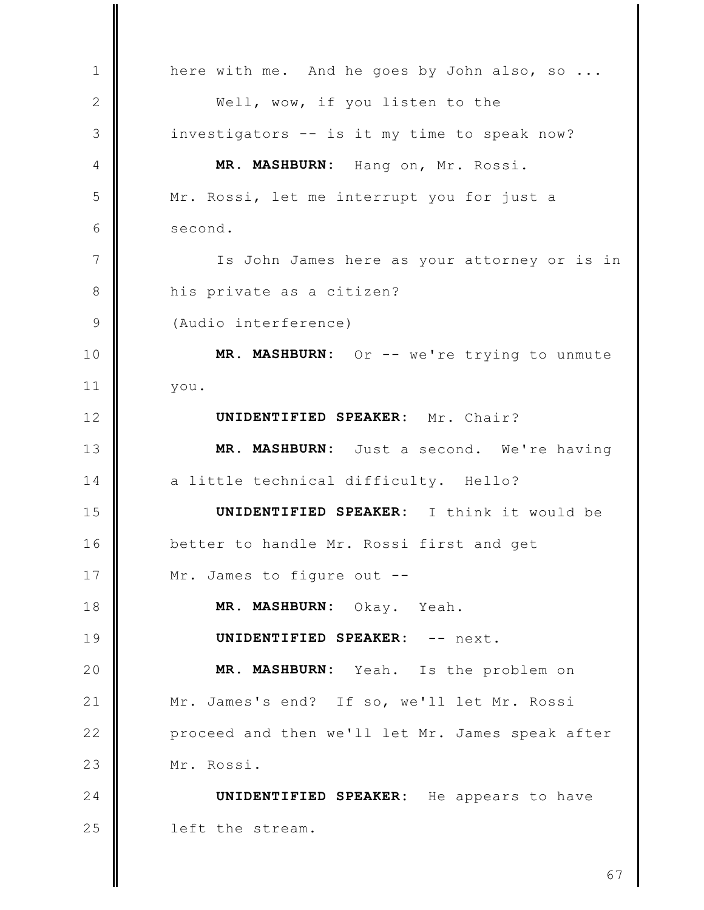here with me. And he goes by John also, so ...  $\mathbf{1}$ 2 Well, wow, if you listen to the 3 investigators -- is it my time to speak now? MR. MASHBURN: Hang on, Mr. Rossi.  $\overline{4}$ 5 Mr. Rossi, let me interrupt you for just a 6 second.  $\overline{7}$ Is John James here as your attorney or is in 8 his private as a citizen?  $\overline{9}$ (Audio interference) MR. MASHBURN: Or -- we're trying to unmute  $10$  $11$ you. UNIDENTIFIED SPEAKER: Mr. Chair?  $12$  $13$ MR. MASHBURN: Just a second. We're having 14 a little technical difficulty. Hello? UNIDENTIFIED SPEAKER: I think it would be 15 16 better to handle Mr. Rossi first and get 17 Mr. James to figure out --18 MR. MASHBURN: Okay. Yeah. 19 UNIDENTIFIED SPEAKER: -- next. 20 MR. MASHBURN: Yeah. Is the problem on  $21$ Mr. James's end? If so, we'll let Mr. Rossi  $22$ proceed and then we'll let Mr. James speak after 23 Mr. Rossi. 24 **UNIDENTIFIED SPEAKER:** He appears to have 25 left the stream.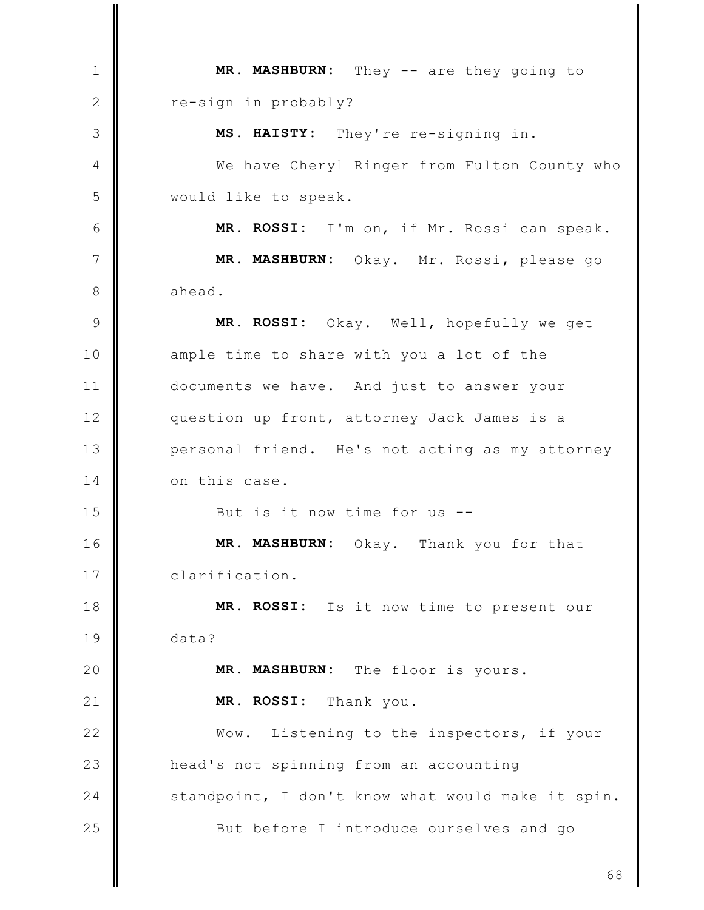MR. MASHBURN: They -- are they going to  $\mathbf{1}$ 2 re-sign in probably? MS. HAISTY: They're re-signing in. 3 We have Cheryl Ringer from Fulton County who  $\overline{4}$ 5 would like to speak. 6 MR. ROSSI: I'm on, if Mr. Rossi can speak.  $\overline{7}$ MR. MASHBURN: Okay. Mr. Rossi, please go 8 ahead. 9 MR. ROSSI: Okay. Well, hopefully we get  $10$ ample time to share with you a lot of the  $11$ documents we have. And just to answer your  $12$ question up front, attorney Jack James is a  $13$ personal friend. He's not acting as my attorney 14 on this case. 15 But is it now time for us --16 MR. MASHBURN: Okay. Thank you for that 17 clarification. MR. ROSSI: Is it now time to present our 18 19  $data?$ 20 MR. MASHBURN: The floor is yours.  $21$ MR. ROSSI: Thank you.  $22$ Wow. Listening to the inspectors, if your 23 head's not spinning from an accounting 24 standpoint, I don't know what would make it spin. 25 But before I introduce ourselves and go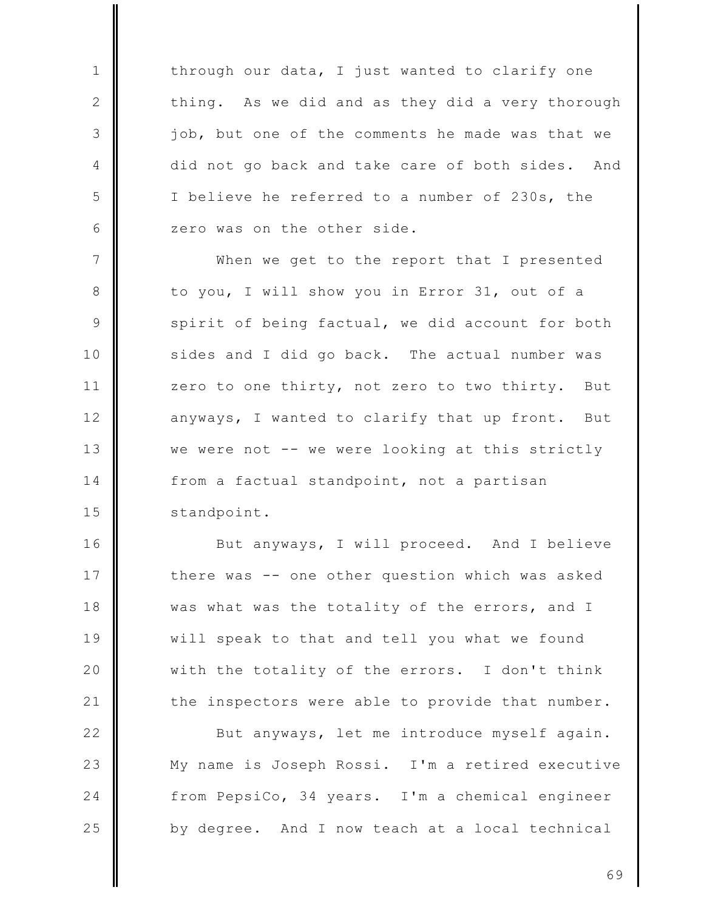through our data, I just wanted to clarify one thing. As we did and as they did a very thorough job, but one of the comments he made was that we did not go back and take care of both sides. And I believe he referred to a number of 230s, the zero was on the other side.

 $\mathbf{1}$ 

 $\mathbf{2}$ 

3

4

5

6

 $\overline{7}$ When we get to the report that I presented 8 to you, I will show you in Error 31, out of a 9 spirit of being factual, we did account for both sides and I did go back. The actual number was  $10$  $11$ zero to one thirty, not zero to two thirty. But  $12$ anyways, I wanted to clarify that up front. But  $13$ we were not -- we were looking at this strictly 14 from a factual standpoint, not a partisan 15 standpoint.

16 But anyways, I will proceed. And I believe 17 there was -- one other question which was asked 18 was what was the totality of the errors, and I 19 will speak to that and tell you what we found 20 with the totality of the errors. I don't think  $21$ the inspectors were able to provide that number.

 $22$ But anyways, let me introduce myself again. 23 My name is Joseph Rossi. I'm a retired executive 24 from PepsiCo, 34 years. I'm a chemical engineer 25 by degree. And I now teach at a local technical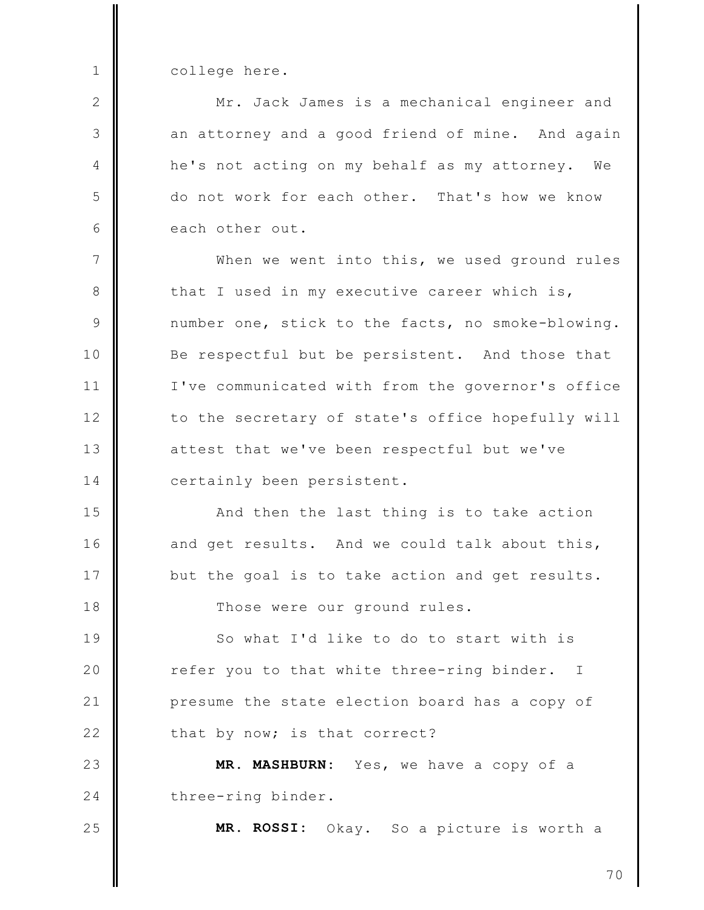college here.

 $\mathbf{1}$ 

 $\mathbf{2}$ 

3

4

5

6

25

Mr. Jack James is a mechanical engineer and an attorney and a good friend of mine. And again he's not acting on my behalf as my attorney. We do not work for each other. That's how we know each other out.

 $\overline{7}$ When we went into this, we used ground rules 8 that I used in my executive career which is, 9 number one, stick to the facts, no smoke-blowing. Be respectful but be persistent. And those that  $10$  $11$ I've communicated with from the governor's office  $12$ to the secretary of state's office hopefully will  $13$ attest that we've been respectful but we've 14 certainly been persistent.

15 And then the last thing is to take action  $16$ and get results. And we could talk about this, 17 but the goal is to take action and get results. 18 Those were our ground rules.

19 So what I'd like to do to start with is 20 refer you to that white three-ring binder.  $\mathbb{I}$  $21$ presume the state election board has a copy of  $22$ that by now; is that correct?

23 MR. MASHBURN: Yes, we have a copy of a 24 three-ring binder.

MR. ROSSI: Okay. So a picture is worth a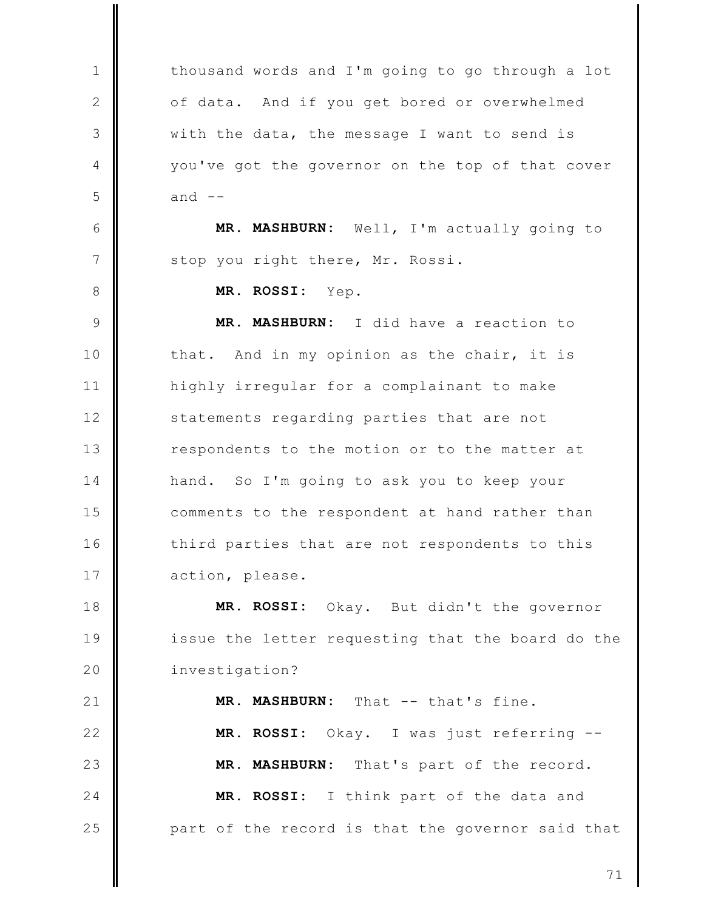thousand words and I'm going to go through a lot  $\mathbf{1}$  $\mathbf{2}$ of data. And if you get bored or overwhelmed 3 with the data, the message I want to send is 4 you've got the governor on the top of that cover 5 and  $--$ 6 MR. MASHBURN: Well, I'm actually going to  $\overline{7}$ stop you right there, Mr. Rossi. 8 MR. ROSSI: Yep. 9 MR. MASHBURN: I did have a reaction to  $10$ that. And in my opinion as the chair, it is  $11$ highly irregular for a complainant to make  $12$ statements regarding parties that are not  $13$ respondents to the motion or to the matter at 14 hand. So I'm going to ask you to keep your 15 comments to the respondent at hand rather than  $16$ third parties that are not respondents to this 17 action, please. 18 MR. ROSSI: Okay. But didn't the governor 19 issue the letter requesting that the board do the 20 investigation?  $21$ MR. MASHBURN: That -- that's fine.  $22$ MR. ROSSI: Okay. I was just referring --23 MR. MASHBURN: That's part of the record. 24 MR. ROSSI: I think part of the data and 25 part of the record is that the governor said that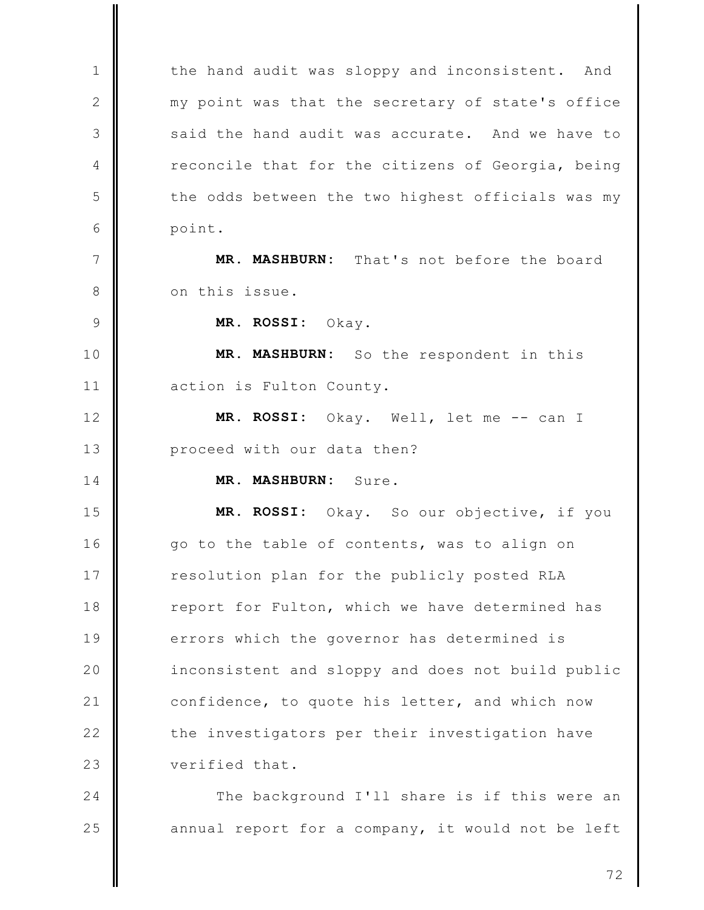the hand audit was sloppy and inconsistent. And  $\mathbf{1}$  $\mathbf{2}$ my point was that the secretary of state's office 3 said the hand audit was accurate. And we have to reconcile that for the citizens of Georgia, being  $\overline{4}$ 5 the odds between the two highest officials was my 6 point.  $\overline{7}$ MR. MASHBURN: That's not before the board 8 on this issue.  $\mathcal{Q}$ MR. ROSSI:  $O$ kay. MR. MASHBURN: So the respondent in this  $10$  $11$ action is Fulton County.  $12$ MR. ROSSI: Okay. Well, let me -- can I  $13$ proceed with our data then? MR. MASHBURN: Sure. 14 15 MR. ROSSI: Okay. So our objective, if you  $16$ go to the table of contents, was to align on 17 resolution plan for the publicly posted RLA 18 report for Fulton, which we have determined has 19 errors which the governor has determined is 20 inconsistent and sloppy and does not build public  $21$ confidence, to quote his letter, and which now  $22$ the investigators per their investigation have 23 verified that. 24

The background I'll share is if this were an 25 annual report for a company, it would not be left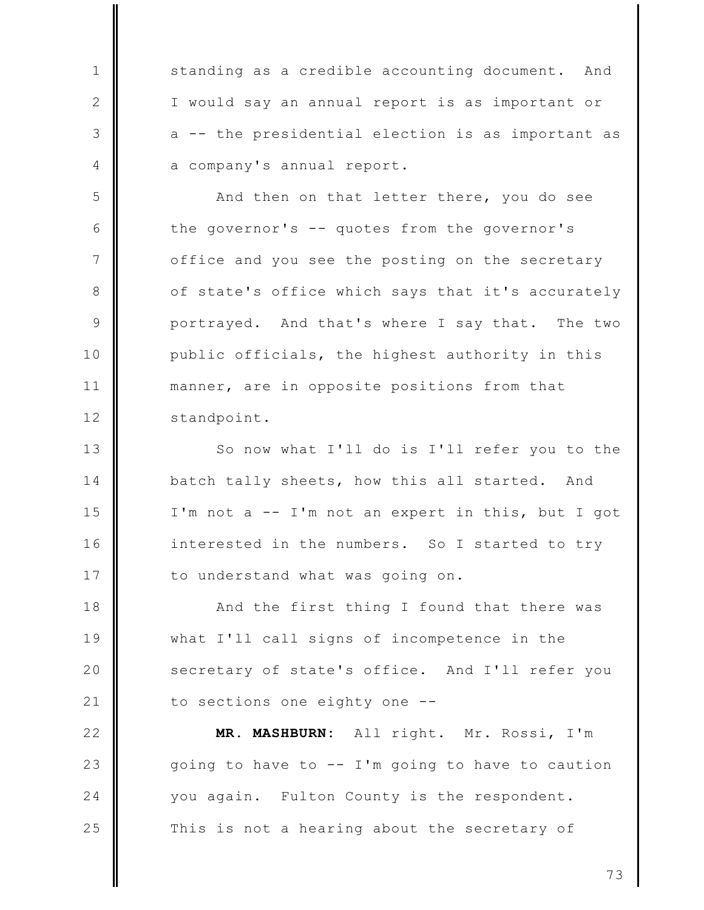standing as a credible accounting document. And I would say an annual report is as important or a -- the presidential election is as important as a company's annual report.

 $\mathbf{1}$ 

 $\mathbf{2}$ 

3

4

5

6

 $\overline{7}$ 

8

9

 $10$ 

 $11$ 

 $12$ 

And then on that letter there, you do see the governor's -- quotes from the governor's office and you see the posting on the secretary of state's office which says that it's accurately portrayed. And that's where I say that. The two public officials, the highest authority in this manner, are in opposite positions from that standpoint.

 $13$ So now what I'll do is I'll refer you to the 14 batch tally sheets, how this all started. And 15 I'm not a -- I'm not an expert in this, but I got  $16$ interested in the numbers. So I started to try 17 to understand what was going on.

18 And the first thing I found that there was 19 what I'll call signs of incompetence in the 20 secretary of state's office. And I'll refer you  $21$ to sections one eighty one --

 $22$ MR. MASHBURN: All right. Mr. Rossi, I'm going to have to -- I'm going to have to caution 23 24 you again. Fulton County is the respondent. 25 This is not a hearing about the secretary of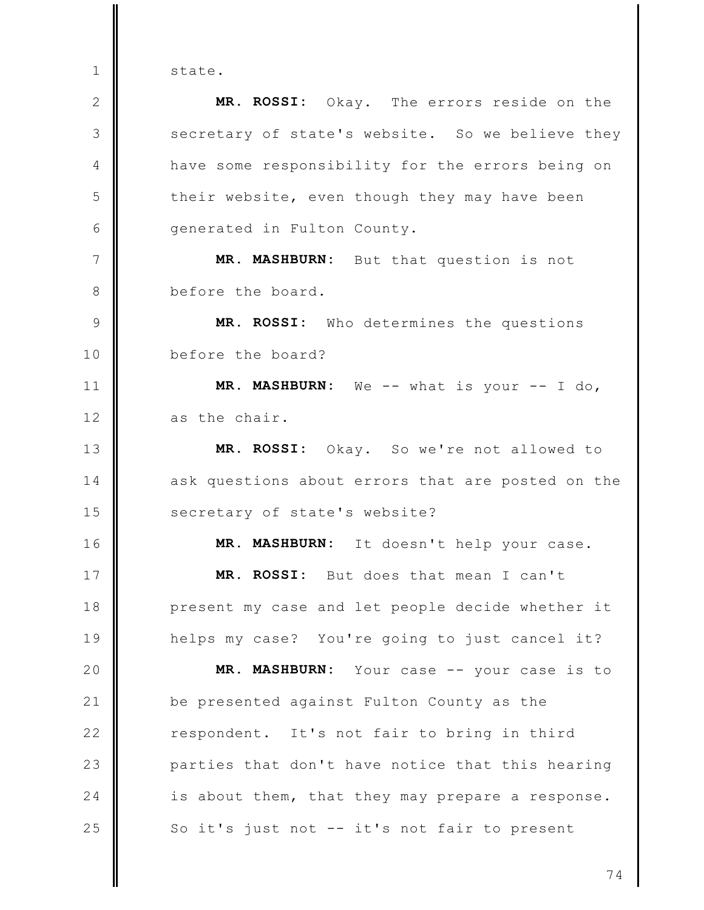state.

 $\mathbf{1}$ 

 $\mathbf{2}$ MR. ROSSI: Okay. The errors reside on the 3 secretary of state's website. So we believe they have some responsibility for the errors being on 4 5 their website, even though they may have been 6 generated in Fulton County.  $\overline{7}$ MR. MASHBURN: But that question is not before the board. 8  $\circ$ MR. ROSSI: Who determines the questions before the board?  $10$  $11$ MR. MASHBURN: We -- what is your -- I do,  $12$ as the chair.  $13$ MR. ROSSI: Okay. So we're not allowed to 14 ask questions about errors that are posted on the 15 secretary of state's website?  $16$ MR. MASHBURN: It doesn't help your case. 17 MR. ROSSI: But does that mean I can't 18 present my case and let people decide whether it 19 helps my case? You're going to just cancel it? 20 MR. MASHBURN: Your case -- your case is to  $21$ be presented against Fulton County as the  $22$ respondent. It's not fair to bring in third 23 parties that don't have notice that this hearing  $24$ is about them, that they may prepare a response. 25 So it's just not -- it's not fair to present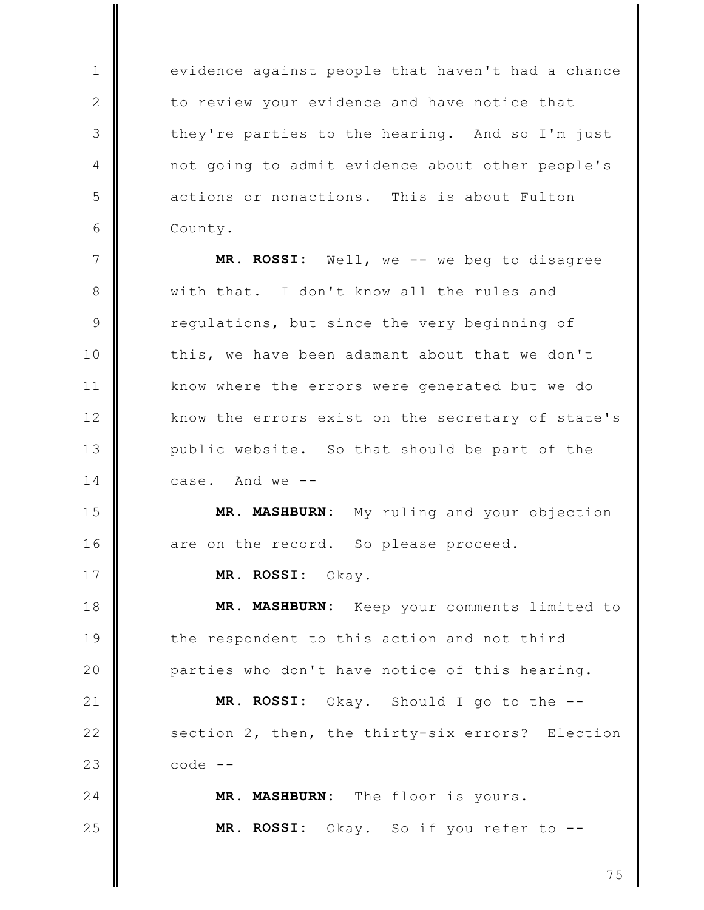evidence against people that haven't had a chance to review your evidence and have notice that they're parties to the hearing. And so I'm just not going to admit evidence about other people's actions or nonactions. This is about Fulton County.

 $\mathbf{1}$ 

 $\mathbf{2}$ 

3

 $\overline{4}$ 

5

6

17

18

19

20

 $\overline{7}$ MR. ROSSI: Well, we -- we beg to disagree with that. I don't know all the rules and 8 9 regulations, but since the very beginning of this, we have been adamant about that we don't  $10$ know where the errors were generated but we do  $11$  $12$ know the errors exist on the secretary of state's  $13$ public website. So that should be part of the 14 case. And we --

15 MR. MASHBURN: My ruling and your objection 16 are on the record. So please proceed.

MR. ROSSI: Okay.

MR. MASHBURN: Keep your comments limited to the respondent to this action and not third parties who don't have notice of this hearing.

 $21$ MR. ROSSI: Okay. Should I go to the -- $22$ section 2, then, the thirty-six errors? Election 23  $code --$ 

24 MR. MASHBURN: The floor is yours. 25 MR. ROSSI: Okay. So if you refer to --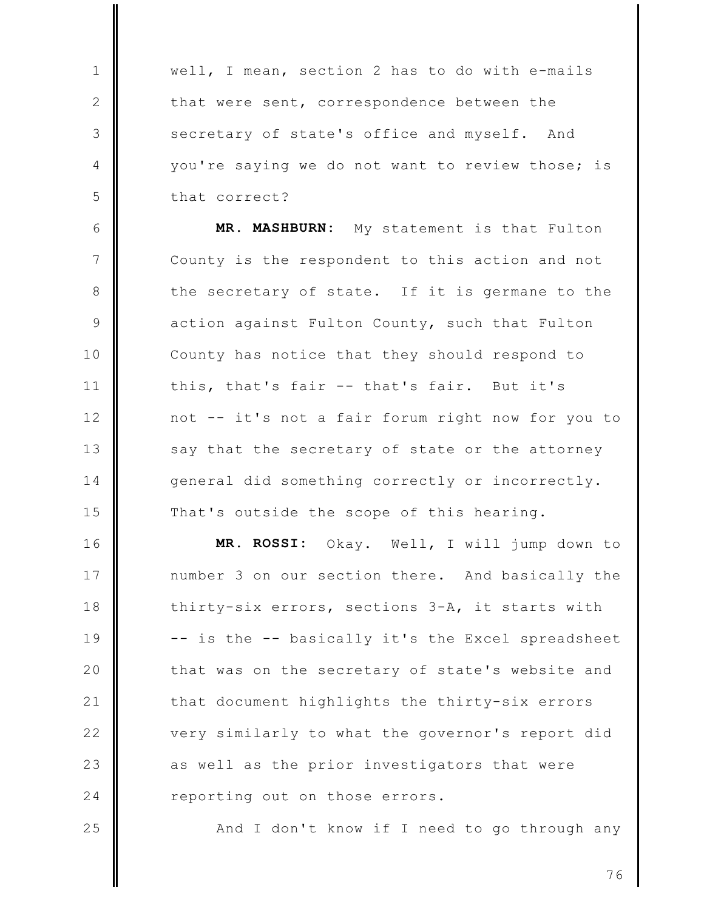well, I mean, section 2 has to do with e-mails that were sent, correspondence between the secretary of state's office and myself. And you're saying we do not want to review those; is that correct?

 $\mathbf{1}$ 

 $\mathbf{2}$ 

3

4

5

25

6 MR. MASHBURN: My statement is that Fulton  $\overline{7}$ County is the respondent to this action and not 8 the secretary of state. If it is germane to the 9 action against Fulton County, such that Fulton County has notice that they should respond to  $10$  $11$ this, that's fair -- that's fair. But it's  $12$ not -- it's not a fair forum right now for you to  $13$ say that the secretary of state or the attorney 14 general did something correctly or incorrectly. 15 That's outside the scope of this hearing.

 $16$ MR. ROSSI: Okay. Well, I will jump down to 17 number 3 on our section there. And basically the 18 thirty-six errors, sections 3-A, it starts with 19 -- is the -- basically it's the Excel spreadsheet 20 that was on the secretary of state's website and  $21$ that document highlights the thirty-six errors  $22$ very similarly to what the governor's report did 23 as well as the prior investigators that were 24 reporting out on those errors.

And I don't know if I need to go through any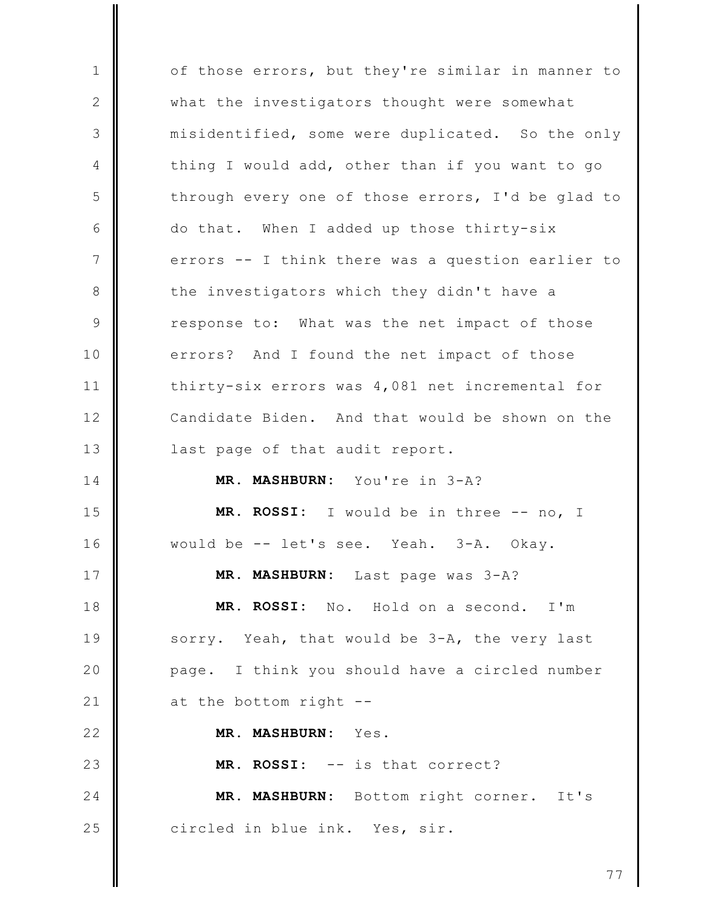of those errors, but they're similar in manner to  $\mathbf{1}$  $\mathbf{2}$ what the investigators thought were somewhat 3 misidentified, some were duplicated. So the only thing I would add, other than if you want to go 4 5 through every one of those errors, I'd be glad to 6 do that. When I added up those thirty-six  $\overline{7}$ errors -- I think there was a question earlier to 8 the investigators which they didn't have a 9 response to: What was the net impact of those  $10$ And I found the net impact of those errors?  $11$ thirty-six errors was 4,081 net incremental for  $12$ Candidate Biden. And that would be shown on the  $13$ last page of that audit report. 14 MR. MASHBURN: You're in 3-A? 15 MR. ROSSI: I would be in three -- no, I  $16$ would be -- let's see. Yeah. 3-A. Okav. 17 MR. MASHBURN: Last page was 3-A? 18 MR. ROSSI: No. Hold on a second. I'm 19 sorry. Yeah, that would be 3-A, the very last 20 I think you should have a circled number page.  $21$ at the bottom right -- $22$ MR. MASHBURN: Yes. 23 MR. ROSSI: -- is that correct? 24 MR. MASHBURN: Bottom right corner. It's 25 circled in blue ink. Yes, sir.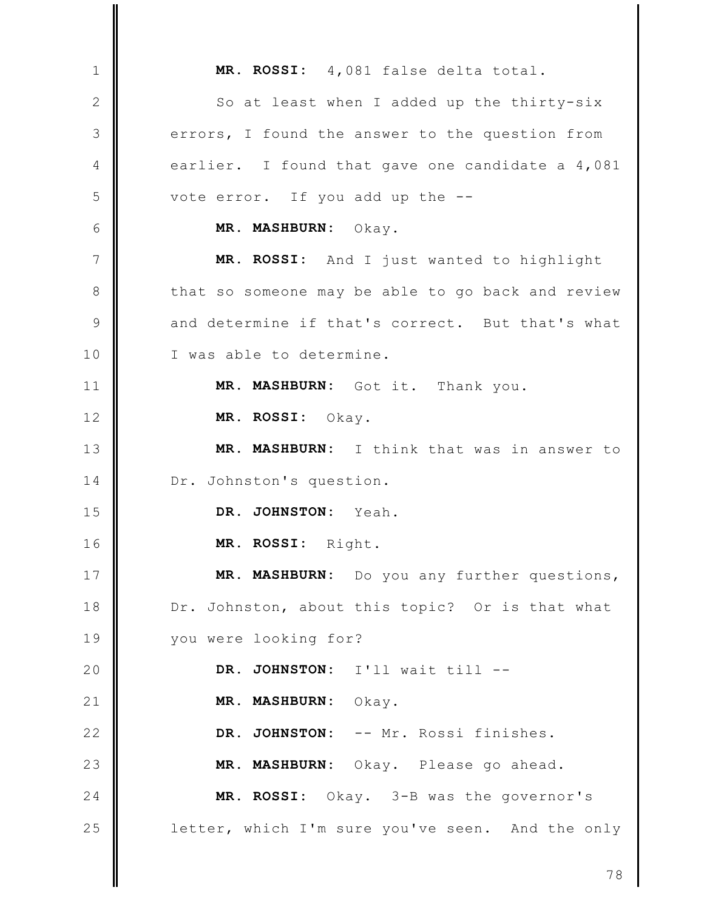MR. ROSSI: 4,081 false delta total.  $\mathbf{1}$  $\mathbf{2}$ So at least when I added up the thirty-six 3 errors, I found the answer to the question from earlier. I found that gave one candidate a 4,081 4 vote error. If you add up the --5 6 MR. MASHBURN: Okay.  $\overline{7}$ MR. ROSSI: And I just wanted to highlight 8 that so someone may be able to go back and review and determine if that's correct. But that's what 9 I was able to determine.  $10$  $11$ MR. MASHBURN: Got it. Thank you.  $12$ MR. ROSSI: Okay.  $13$ MR. MASHBURN: I think that was in answer to 14 Dr. Johnston's question. DR. JOHNSTON: Yeah. 15 16 MR. ROSSI: Right. 17 MR. MASHBURN: Do you any further questions, 18 Dr. Johnston, about this topic? Or is that what 19 you were looking for? 20 DR. JOHNSTON: I'll wait till -- $21$ MR. MASHBURN: Okay.  $22$ DR. JOHNSTON: -- Mr. Rossi finishes. 23 MR. MASHBURN: Okay. Please go ahead. 24 MR. ROSSI: Okay. 3-B was the governor's 25 letter, which I'm sure you've seen. And the only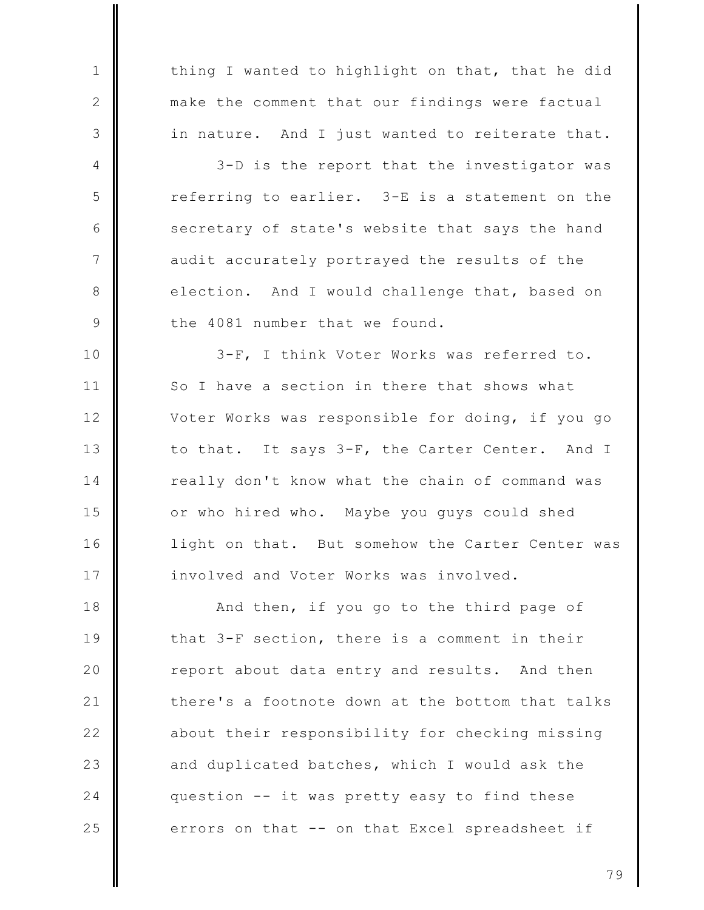thing I wanted to highlight on that, that he did make the comment that our findings were factual in nature. And I just wanted to reiterate that.

 $\mathbf{1}$ 

 $\mathbf{2}$ 

3

4

5

6

 $\overline{7}$ 

8

9

3-D is the report that the investigator was referring to earlier. 3-E is a statement on the secretary of state's website that says the hand audit accurately portrayed the results of the election. And I would challenge that, based on the 4081 number that we found.

3-F, I think Voter Works was referred to.  $10$  $11$ So I have a section in there that shows what  $12$ Voter Works was responsible for doing, if you go  $13$ to that. It says 3-F, the Carter Center. And I 14 really don't know what the chain of command was 15 or who hired who. Maybe you guys could shed  $16$ light on that. But somehow the Carter Center was 17 involved and Voter Works was involved.

18 And then, if you go to the third page of 19 that 3-F section, there is a comment in their 20 report about data entry and results. And then  $21$ there's a footnote down at the bottom that talks  $22$ about their responsibility for checking missing 23 and duplicated batches, which I would ask the 24 question -- it was pretty easy to find these 25 errors on that -- on that Excel spreadsheet if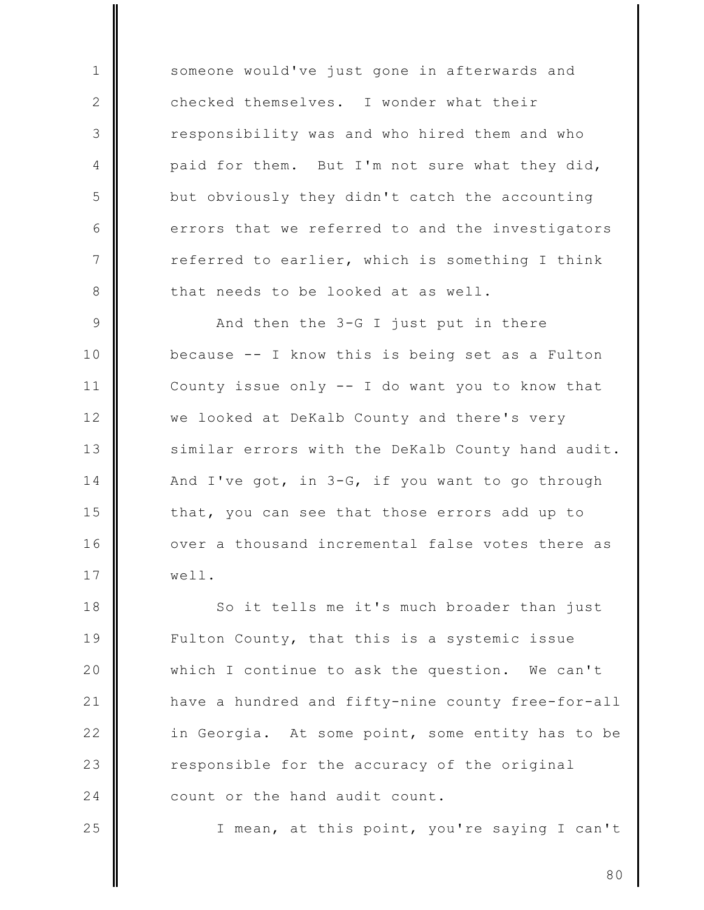someone would've just gone in afterwards and checked themselves. I wonder what their responsibility was and who hired them and who paid for them. But I'm not sure what they did, but obviously they didn't catch the accounting errors that we referred to and the investigators referred to earlier, which is something I think that needs to be looked at as well.

 $\mathbf{1}$ 

2

3

 $\overline{4}$ 

5

6

 $\overline{7}$ 

8

25

9 And then the 3-G I just put in there  $10$ because -- I know this is being set as a Fulton  $11$ County issue only -- I do want you to know that  $12$ we looked at DeKalb County and there's very  $13$ similar errors with the DeKalb County hand audit. 14 And I've got, in 3-G, if you want to go through 15 that, you can see that those errors add up to 16 over a thousand incremental false votes there as 17 well.

18 So it tells me it's much broader than just 19 Fulton County, that this is a systemic issue 20 which I continue to ask the question. We can't  $21$ have a hundred and fifty-nine county free-for-all  $22$ in Georgia. At some point, some entity has to be 23 responsible for the accuracy of the original 24 count or the hand audit count.

I mean, at this point, you're saying I can't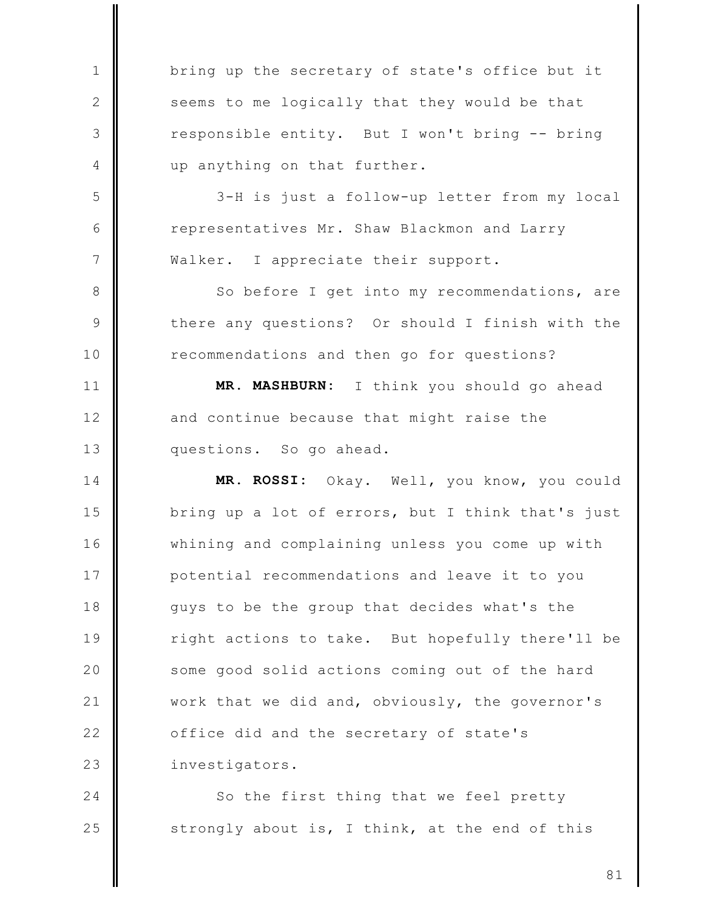bring up the secretary of state's office but it seems to me logically that they would be that responsible entity. But I won't bring -- bring up anything on that further.

 $\mathbf{1}$ 

2

3

 $\overline{4}$ 

5

6

 $\overline{7}$ 

8

 $\mathcal{Q}$ 

 $10$ 

 $11$ 

 $12$ 

 $13$ 

3-H is just a follow-up letter from my local representatives Mr. Shaw Blackmon and Larry Walker. I appreciate their support.

So before I get into my recommendations, are there any questions? Or should I finish with the recommendations and then go for questions?

MR. MASHBURN: I think you should go ahead and continue because that might raise the questions. So go ahead.

14 MR. ROSSI: Okay. Well, you know, you could 15 bring up a lot of errors, but I think that's just  $16$ whining and complaining unless you come up with 17 potential recommendations and leave it to you 18 quys to be the group that decides what's the 19 right actions to take. But hopefully there'll be 20 some good solid actions coming out of the hard  $21$ work that we did and, obviously, the governor's  $22$ office did and the secretary of state's 23 investigators.

 $24$ So the first thing that we feel pretty 25 strongly about is, I think, at the end of this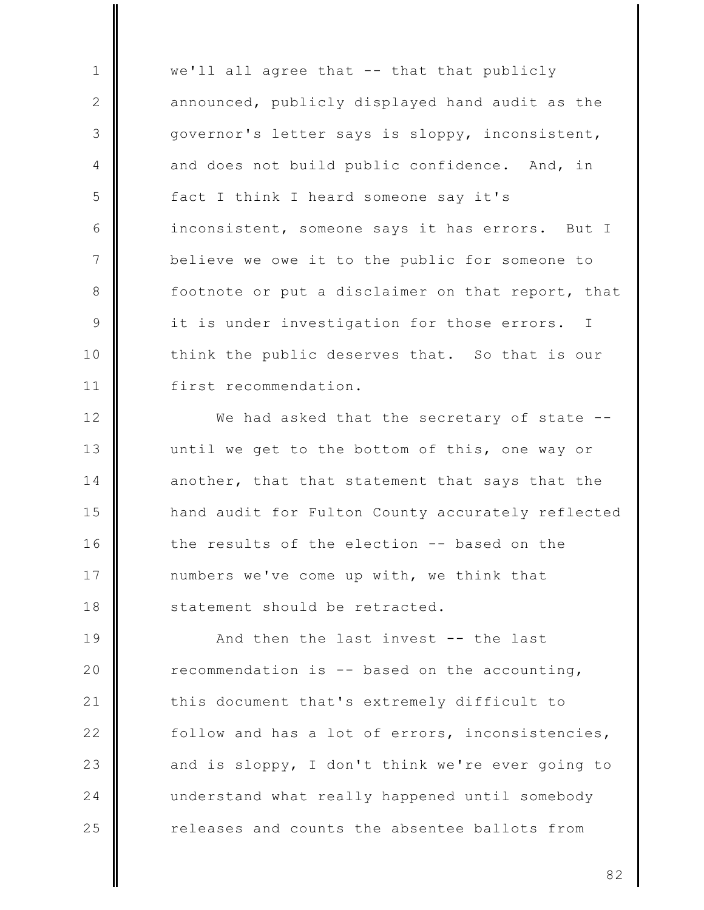$\mathbf{1}$ we'll all agree that -- that that publicly  $\mathbf{2}$ announced, publicly displayed hand audit as the 3 governor's letter says is sloppy, inconsistent, and does not build public confidence. 4 And, in 5 fact I think I heard someone say it's 6 inconsistent, someone says it has errors. But I  $7\phantom{.0}$ believe we owe it to the public for someone to 8 footnote or put a disclaimer on that report, that 9 it is under investigation for those errors.  $\mathbb{I}$ think the public deserves that. So that is our  $10$ first recommendation.  $11$ 

 $12$ We had asked that the secretary of state -- $13$ until we get to the bottom of this, one way or 14 another, that that statement that says that the 15 hand audit for Fulton County accurately reflected  $16$ the results of the election -- based on the 17 numbers we've come up with, we think that 18 statement should be retracted.

19 And then the last invest -- the last 20 recommendation is  $-$ - based on the accounting,  $21$ this document that's extremely difficult to  $22$ follow and has a lot of errors, inconsistencies, 23 and is sloppy, I don't think we're ever going to 24 understand what really happened until somebody 25 releases and counts the absentee ballots from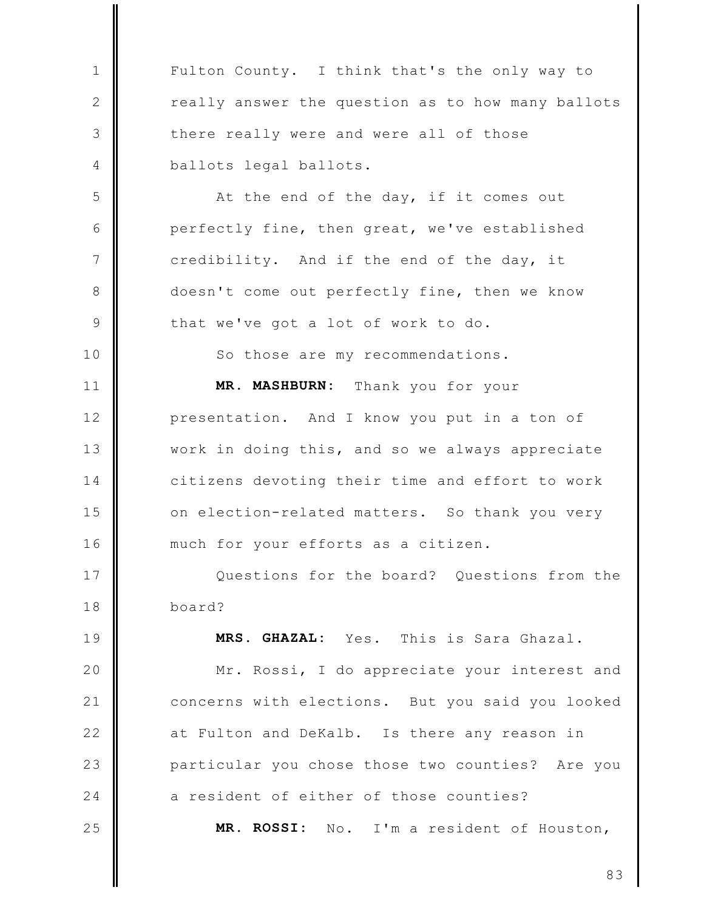Fulton County. I think that's the only way to really answer the question as to how many ballots there really were and were all of those ballots legal ballots.

 $\mathbf{1}$ 

 $\mathbf{2}$ 

3

4

5

6

 $\overline{7}$ 

8

 $\mathcal{Q}$ 

 $10$ 

19

20

 $21$ 

 $22$ 

23

24

25

At the end of the day, if it comes out perfectly fine, then great, we've established credibility. And if the end of the day, it doesn't come out perfectly fine, then we know that we've got a lot of work to do.

So those are my recommendations.

MR. MASHBURN: Thank you for your  $11$  $12$ presentation. And I know you put in a ton of  $13$ work in doing this, and so we always appreciate 14 citizens devoting their time and effort to work 15 on election-related matters. So thank you very  $16$ much for your efforts as a citizen.

17 Questions for the board? Questions from the 18 board?

MRS. GHAZAL: Yes. This is Sara Ghazal.

Mr. Rossi, I do appreciate your interest and concerns with elections. But you said you looked at Fulton and DeKalb. Is there any reason in particular you chose those two counties? Are you a resident of either of those counties?

MR. ROSSI: No. I'm a resident of Houston,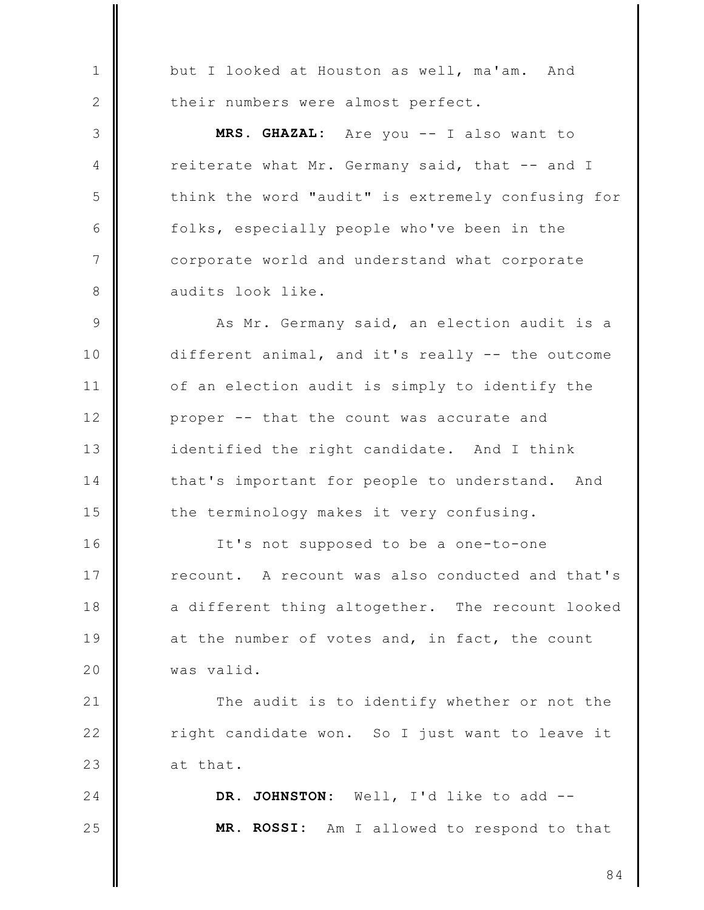but I looked at Houston as well, ma'am. And their numbers were almost perfect.

 $\mathbf{1}$ 

 $\mathbf{2}$ 

3

 $\overline{4}$ 

5

6

 $\overline{7}$ 

8

MRS. GHAZAL: Are you -- I also want to reiterate what Mr. Germany said, that -- and I think the word "audit" is extremely confusing for folks, especially people who've been in the corporate world and understand what corporate audits look like.

As Mr. Germany said, an election audit is a 9 different animal, and it's really -- the outcome  $10$  $11$ of an election audit is simply to identify the  $12$ proper -- that the count was accurate and  $13$ identified the right candidate. And I think 14 that's important for people to understand. And 15 the terminology makes it very confusing.

 $16$ It's not supposed to be a one-to-one 17 recount. A recount was also conducted and that's 18 a different thing altogether. The recount looked 19 at the number of votes and, in fact, the count 20 was valid.

 $21$ The audit is to identify whether or not the  $22$ right candidate won. So I just want to leave it 23 at that.

24 DR. JOHNSTON: Well, I'd like to add --25 MR. ROSSI: Am I allowed to respond to that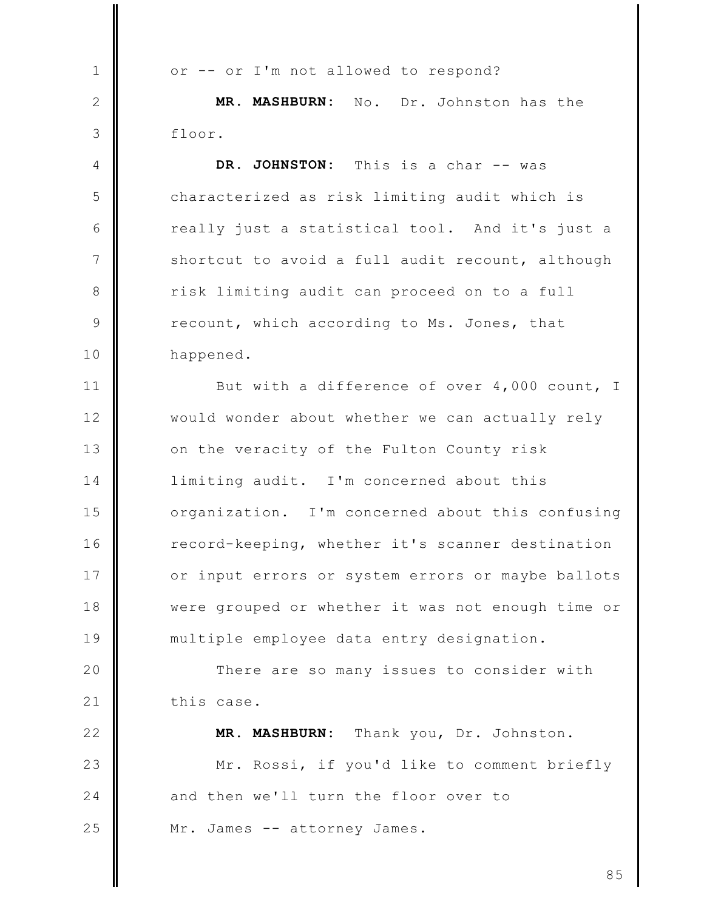or -- or I'm not allowed to respond?  $\mathbf{1}$  $\mathbf{2}$ MR. MASHBURN: No. Dr. Johnston has the 3 floor. DR. JOHNSTON:  $\overline{4}$ This is a char -- was 5 characterized as risk limiting audit which is 6 really just a statistical tool. And it's just a  $7\phantom{.0}$ shortcut to avoid a full audit recount, although risk limiting audit can proceed on to a full 8  $\circ$ recount, which according to Ms. Jones, that 10 happened.  $11$ But with a difference of over 4,000 count, I  $12$ would wonder about whether we can actually rely  $13$ on the veracity of the Fulton County risk 14 limiting audit. I'm concerned about this 15 organization. I'm concerned about this confusing  $16$ record-keeping, whether it's scanner destination 17 or input errors or system errors or maybe ballots 18 were grouped or whether it was not enough time or 19 multiple employee data entry designation. 20 There are so many issues to consider with  $21$ this case.  $22$ MR. MASHBURN: Thank you, Dr. Johnston. 23 Mr. Rossi, if you'd like to comment briefly 24 and then we'll turn the floor over to 25 Mr. James -- attorney James.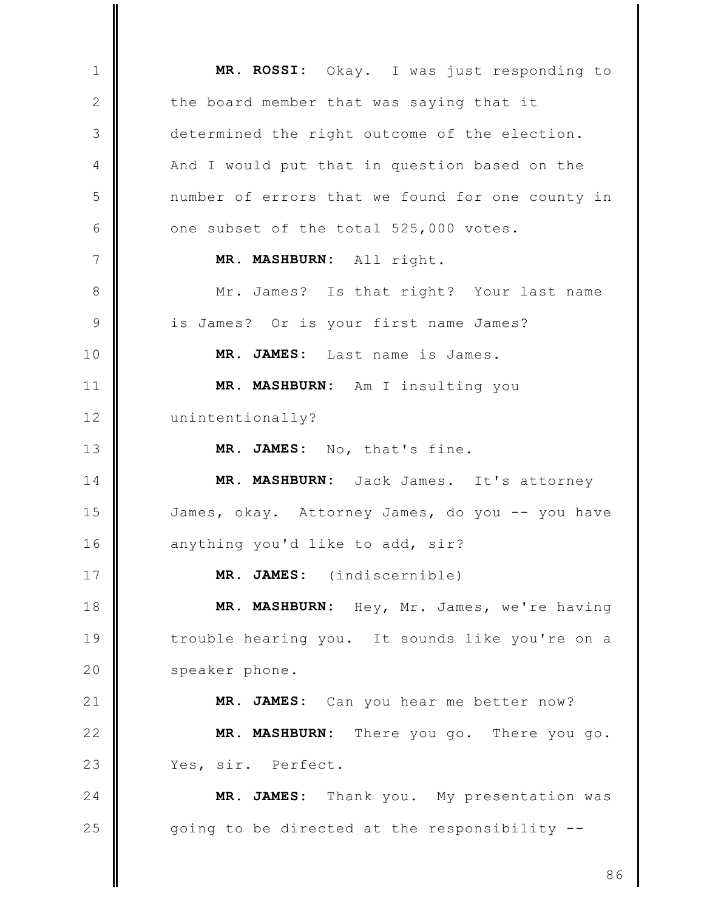MR. ROSSI: Okay. I was just responding to  $\mathbf{1}$  $\mathbf{2}$ the board member that was saying that it 3 determined the right outcome of the election. And I would put that in question based on the 4 5 number of errors that we found for one county in 6 one subset of the total 525,000 votes.  $7\phantom{.0}$ MR. MASHBURN: All right. Mr. James? Is that right? Your last name 8  $\mathcal{Q}$ is James? Or is your first name James? MR. JAMES: Last name is James.  $10$  $11$ MR. MASHBURN: Am I insulting you  $12$ unintentionally?  $13$ MR. JAMES: No, that's fine.  $14$ MR. MASHBURN: Jack James. It's attorney 15 James, okay. Attorney James, do you -- you have  $16$ anything you'd like to add, sir? 17 MR. JAMES: (indiscernible) 18 MR. MASHBURN: Hey, Mr. James, we're having 19 trouble hearing you. It sounds like you're on a 20 speaker phone.  $21$ MR. JAMES: Can you hear me better now?  $22$ MR. MASHBURN: There you go. There you go. 23 Yes, sir. Perfect. MR. JAMES: Thank you. My presentation was  $24$ 25 going to be directed at the responsibility --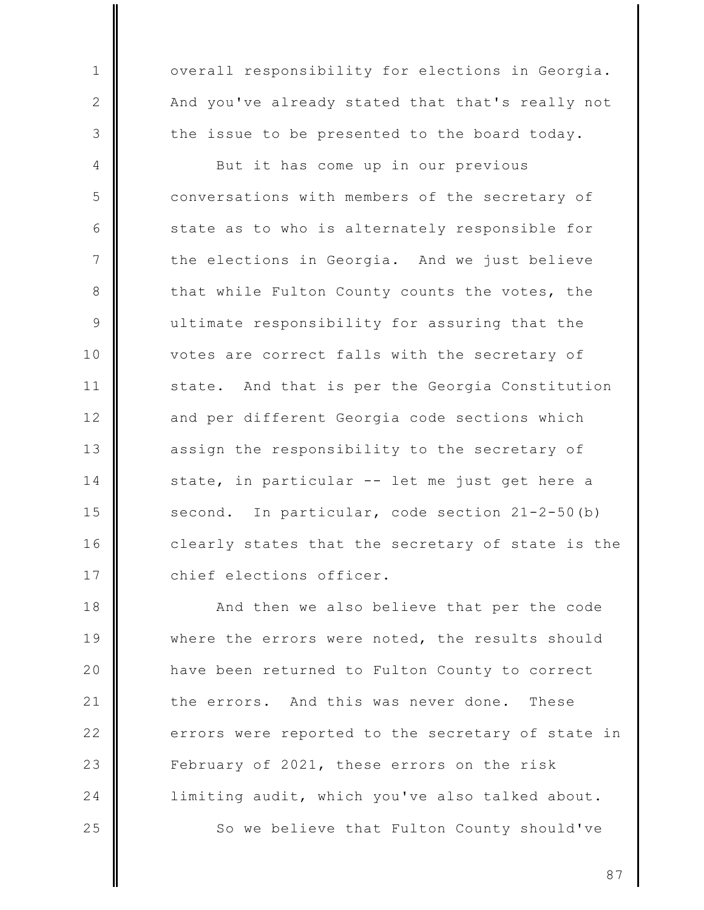overall responsibility for elections in Georgia. And you've already stated that that's really not the issue to be presented to the board today.

 $\mathbf{1}$ 

 $\mathbf{2}$ 

3

But it has come up in our previous 4 5 conversations with members of the secretary of 6 state as to who is alternately responsible for 7 the elections in Georgia. And we just believe 8 that while Fulton County counts the votes, the 9 ultimate responsibility for assuring that the votes are correct falls with the secretary of  $10$  $11$ state. And that is per the Georgia Constitution  $12$ and per different Georgia code sections which  $13$ assign the responsibility to the secretary of 14 state, in particular -- let me just get here a 15 second. In particular, code section 21-2-50(b)  $16$ clearly states that the secretary of state is the 17 chief elections officer.

18 And then we also believe that per the code 19 where the errors were noted, the results should 20 have been returned to Fulton County to correct  $21$ the errors. And this was never done. These  $22$ errors were reported to the secretary of state in 23 February of 2021, these errors on the risk 24 limiting audit, which you've also talked about. 25 So we believe that Fulton County should've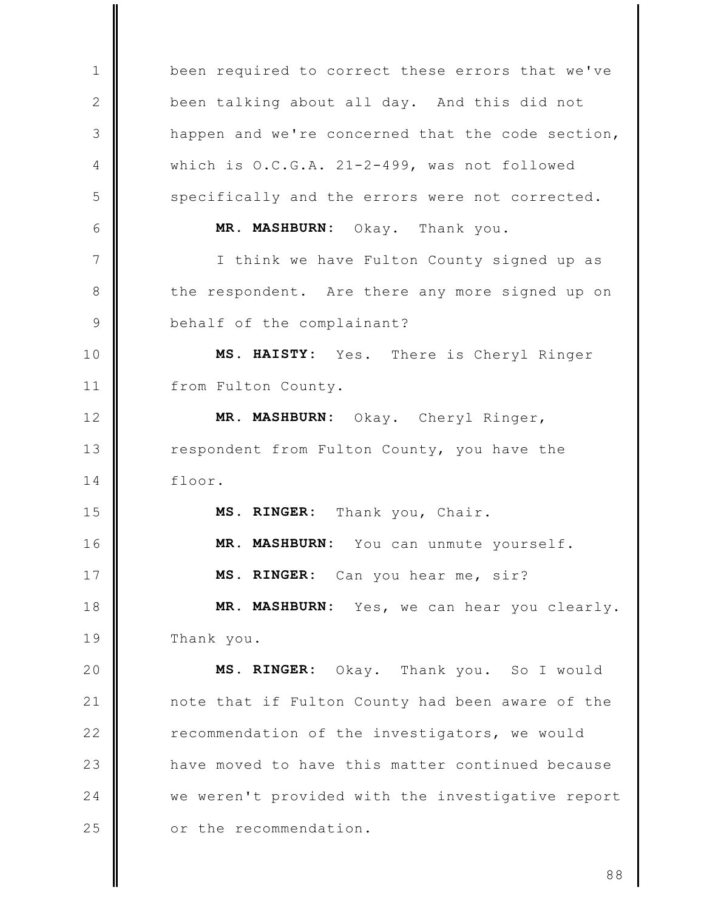been required to correct these errors that we've  $\mathbf{1}$  $\mathbf{2}$ been talking about all day. And this did not 3 happen and we're concerned that the code section,  $\overline{4}$ which is O.C.G.A. 21-2-499, was not followed 5 specifically and the errors were not corrected. 6 MR. MASHBURN: Okay. Thank you.  $7\phantom{.0}$ I think we have Fulton County signed up as 8 the respondent. Are there any more signed up on  $\mathcal{Q}$ behalf of the complainant? 10 MS. HAISTY: Yes. There is Cheryl Ringer  $11$ from Fulton County.  $12$ MR. MASHBURN: Okay. Cheryl Ringer,  $13$ respondent from Fulton County, you have the  $14$ floor. 15 MS. RINGER: Thank you, Chair.  $16$ MR. MASHBURN: You can unmute yourself. 17 MS. RINGER: Can you hear me, sir? 18 MR. MASHBURN: Yes, we can hear you clearly. 19 Thank you. 20 MS. RINGER: Okay. Thank you. So I would  $21$ note that if Fulton County had been aware of the  $22$ recommendation of the investigators, we would 23 have moved to have this matter continued because 24 we weren't provided with the investigative report 25 or the recommendation.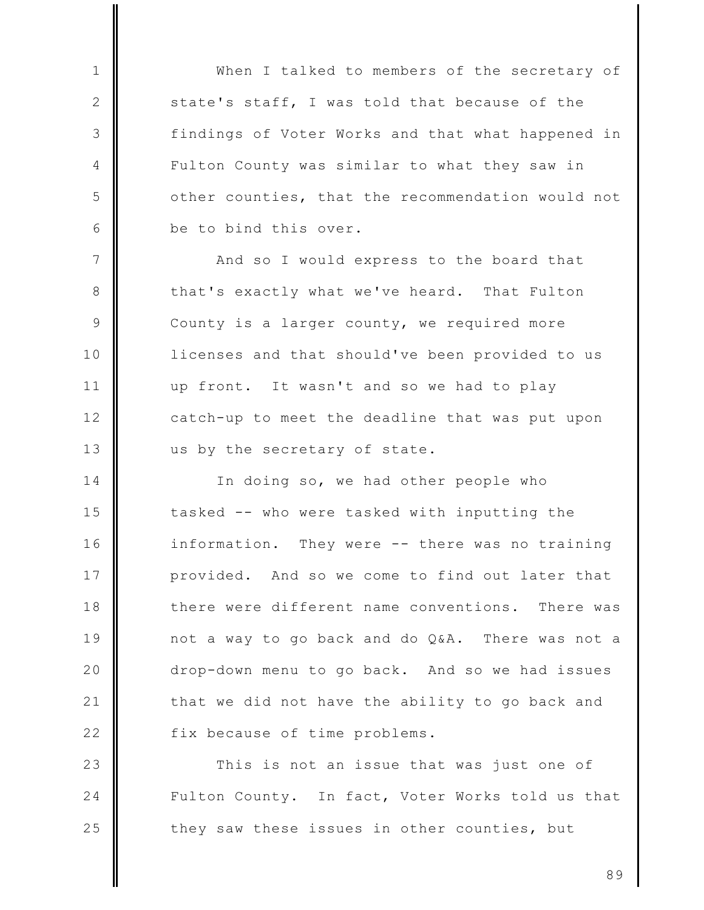When I talked to members of the secretary of state's staff, I was told that because of the findings of Voter Works and that what happened in Fulton County was similar to what they saw in other counties, that the recommendation would not be to bind this over.

 $\mathbf{1}$ 

2

3

 $\overline{4}$ 

5

6

 $7\phantom{.0}$ And so I would express to the board that 8 that's exactly what we've heard. That Fulton 9 County is a larger county, we required more  $10$ licenses and that should've been provided to us  $11$ up front. It wasn't and so we had to play  $12$ catch-up to meet the deadline that was put upon  $13$ us by the secretary of state.

14 In doing so, we had other people who 15 tasked -- who were tasked with inputting the  $16$ information. They were -- there was no training 17 provided. And so we come to find out later that 18 there were different name conventions. There was 19 not a way to go back and do Q&A. There was not a 20 drop-down menu to go back. And so we had issues  $21$ that we did not have the ability to go back and  $22$ fix because of time problems.

23 This is not an issue that was just one of 24 Fulton County. In fact, Voter Works told us that 25 they saw these issues in other counties, but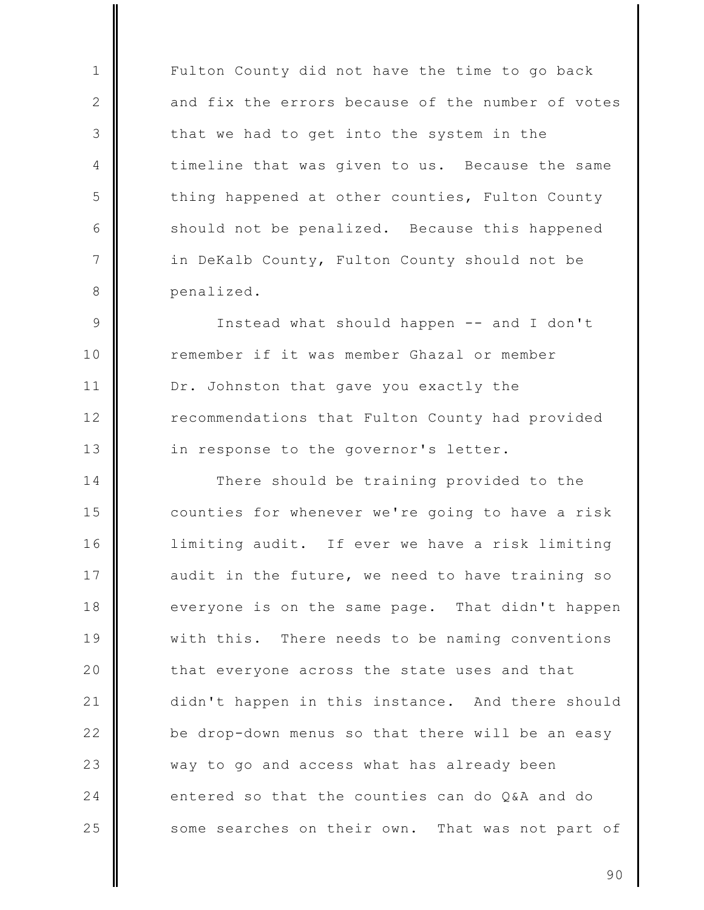Fulton County did not have the time to go back and fix the errors because of the number of votes that we had to get into the system in the timeline that was given to us. Because the same thing happened at other counties, Fulton County should not be penalized. Because this happened in DeKalb County, Fulton County should not be penalized.

 $\mathbf{1}$ 

 $\mathbf{2}$ 

3

4

5

6

 $7\phantom{.0}$ 

8

 $\mathcal{Q}$ Instead what should happen -- and I don't remember if it was member Ghazal or member  $10$  $11$ Dr. Johnston that gave you exactly the  $12$ recommendations that Fulton County had provided  $13$ in response to the governor's letter.

14 There should be training provided to the 15 counties for whenever we're going to have a risk  $16$ limiting audit. If ever we have a risk limiting 17 audit in the future, we need to have training so 18 everyone is on the same page. That didn't happen 19 with this. There needs to be naming conventions 20 that everyone across the state uses and that  $21$ didn't happen in this instance. And there should  $22$ be drop-down menus so that there will be an easy 23 way to go and access what has already been 24 entered so that the counties can do O&A and do 25 some searches on their own. That was not part of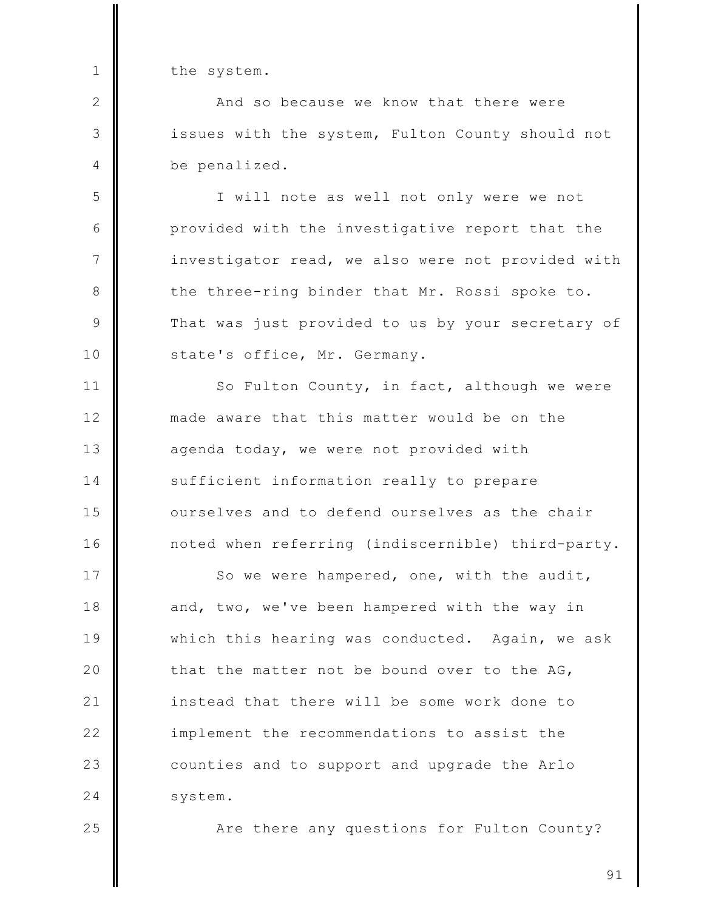the system.

 $\mathbf{1}$ 

 $\mathbf{2}$ 

3

4

5

6

 $7\phantom{.0}$ 

8

 $\mathcal{Q}$ 

 $10$ 

 $11$ 

 $12$ 

 $13$ 

14

15

 $16$ 

25

And so because we know that there were issues with the system, Fulton County should not be penalized.

I will note as well not only were we not provided with the investigative report that the investigator read, we also were not provided with the three-ring binder that Mr. Rossi spoke to. That was just provided to us by your secretary of state's office, Mr. Germany.

So Fulton County, in fact, although we were made aware that this matter would be on the agenda today, we were not provided with sufficient information really to prepare ourselves and to defend ourselves as the chair noted when referring (indiscernible) third-party.

17 So we were hampered, one, with the audit, 18 and, two, we've been hampered with the way in 19 which this hearing was conducted. Again, we ask 20 that the matter not be bound over to the AG,  $21$ instead that there will be some work done to  $22$ implement the recommendations to assist the 23 counties and to support and upgrade the Arlo 24 system.

Are there any questions for Fulton County?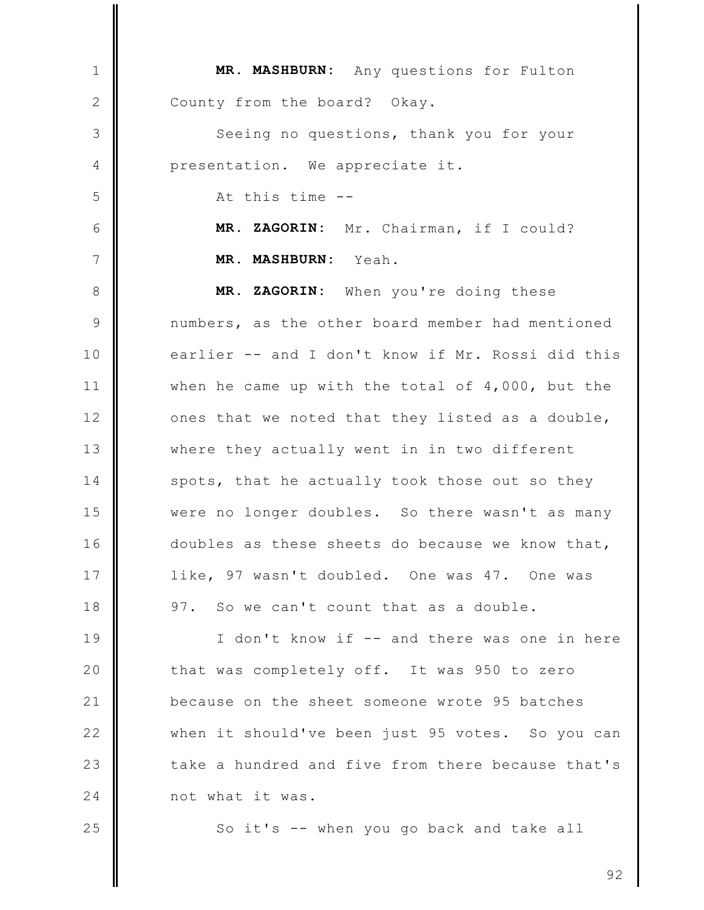MR. MASHBURN: Any questions for Fulton  $\mathbf{1}$ 2 County from the board? Okay. 3 Seeing no questions, thank you for your presentation. We appreciate it.  $\overline{4}$ 5 At this time --6 MR. ZAGORIN: Mr. Chairman, if I could?  $7\overline{ }$ MR. MASHBURN: Yeah. MR. ZAGORIN: When you're doing these 8 9 numbers, as the other board member had mentioned earlier -- and I don't know if Mr. Rossi did this  $10$  $11$ when he came up with the total of 4,000, but the  $12$ ones that we noted that they listed as a double,  $13$ where they actually went in in two different 14 spots, that he actually took those out so they 15 were no longer doubles. So there wasn't as many  $16$ doubles as these sheets do because we know that, 17 like, 97 wasn't doubled. One was 47. One was 18 97. So we can't count that as a double. 19 I don't know if -- and there was one in here 20 that was completely off. It was 950 to zero  $21$ because on the sheet someone wrote 95 batches  $22$ when it should've been just 95 votes. So you can 23 take a hundred and five from there because that's 24 not what it was. 25 So it's -- when you go back and take all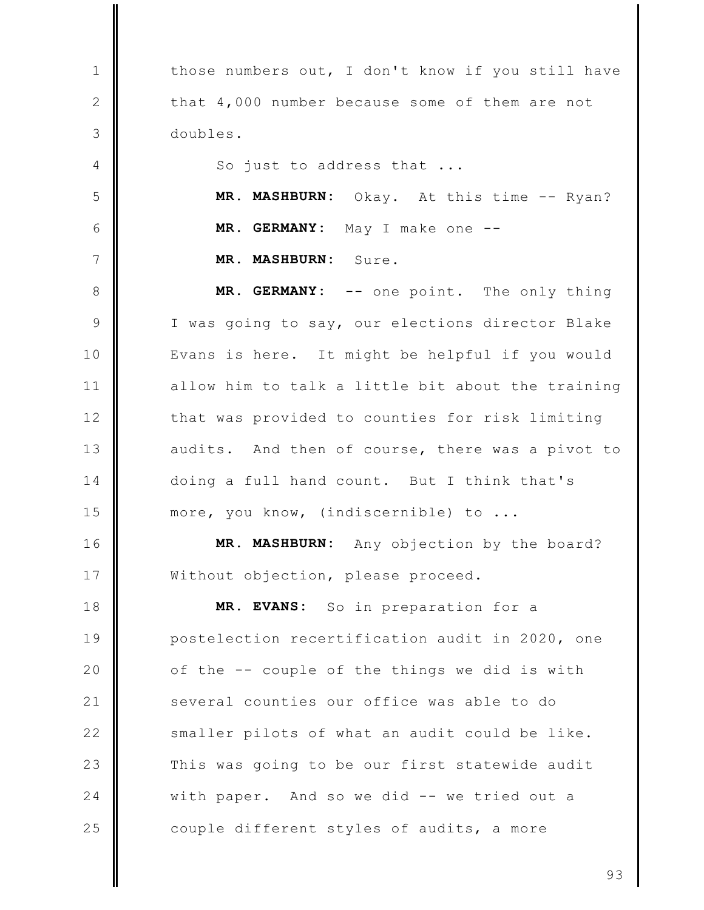| $\mathbf 1$  | those numbers out, I don't know if you still have |
|--------------|---------------------------------------------------|
| $\mathbf{2}$ | that 4,000 number because some of them are not    |
| 3            | doubles.                                          |
| 4            | So just to address that                           |
| 5            | MR. MASHBURN: Okay. At this time -- Ryan?         |
| 6            | MR. GERMANY: May I make one --                    |
| 7            | MR. MASHBURN: Sure.                               |
| $8\,$        | MR. GERMANY: -- one point. The only thing         |
| $\mathsf 9$  | I was going to say, our elections director Blake  |
| 10           | Evans is here. It might be helpful if you would   |
| 11           | allow him to talk a little bit about the training |
| 12           | that was provided to counties for risk limiting   |
| 13           | audits. And then of course, there was a pivot to  |
| 14           | doing a full hand count. But I think that's       |
| 15           | more, you know, (indiscernible) to                |
| 16           | MR. MASHBURN: Any objection by the board?         |
| 17           | Without objection, please proceed.                |
| 18           | MR. EVANS: So in preparation for a                |
| 19           | postelection recertification audit in 2020, one   |
| 20           | of the -- couple of the things we did is with     |
| 21           | several counties our office was able to do        |
| 22           | smaller pilots of what an audit could be like.    |
| 23           | This was going to be our first statewide audit    |
| 24           | with paper. And so we did -- we tried out a       |
| 25           | couple different styles of audits, a more         |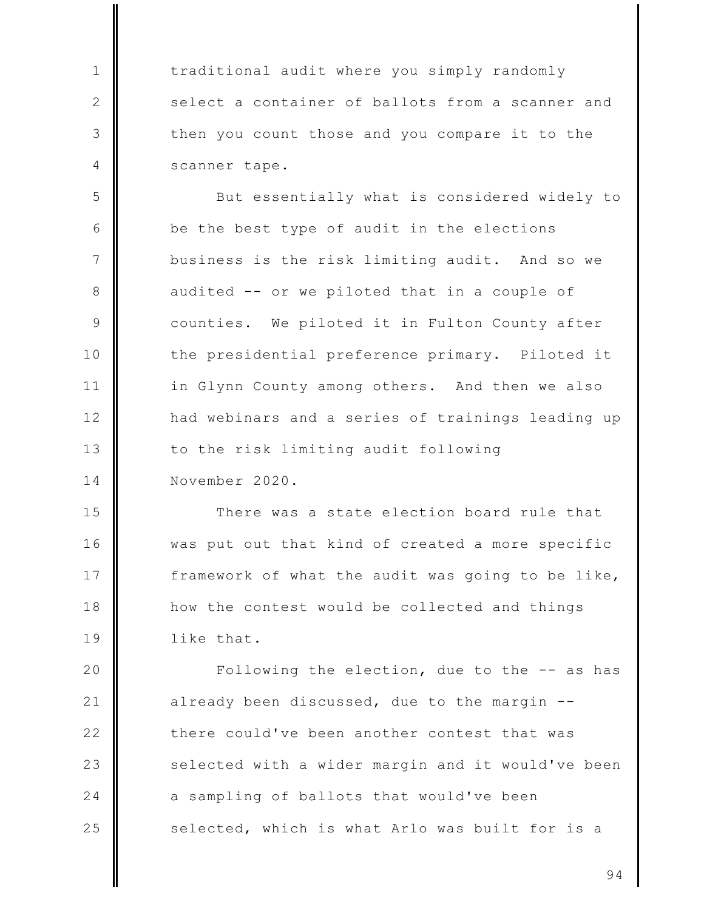traditional audit where you simply randomly select a container of ballots from a scanner and then you count those and you compare it to the scanner tape.

 $\mathbf{1}$ 

 $\mathbf{2}$ 

3

4

5 But essentially what is considered widely to 6 be the best type of audit in the elections  $7\phantom{.0}$ business is the risk limiting audit. And so we 8 audited -- or we piloted that in a couple of  $\mathcal{Q}$ counties. We piloted it in Fulton County after the presidential preference primary. Piloted it  $10$  $11$ in Glynn County among others. And then we also  $12$ had webinars and a series of trainings leading up  $13$ to the risk limiting audit following  $14$ November 2020.

15 There was a state election board rule that  $16$ was put out that kind of created a more specific 17 framework of what the audit was going to be like, 18 how the contest would be collected and things 19 like that.

20 Following the election, due to the -- as has  $21$ already been discussed, due to the margin -- $22$ there could've been another contest that was 23 selected with a wider margin and it would've been 24 a sampling of ballots that would've been 25 selected, which is what Arlo was built for is a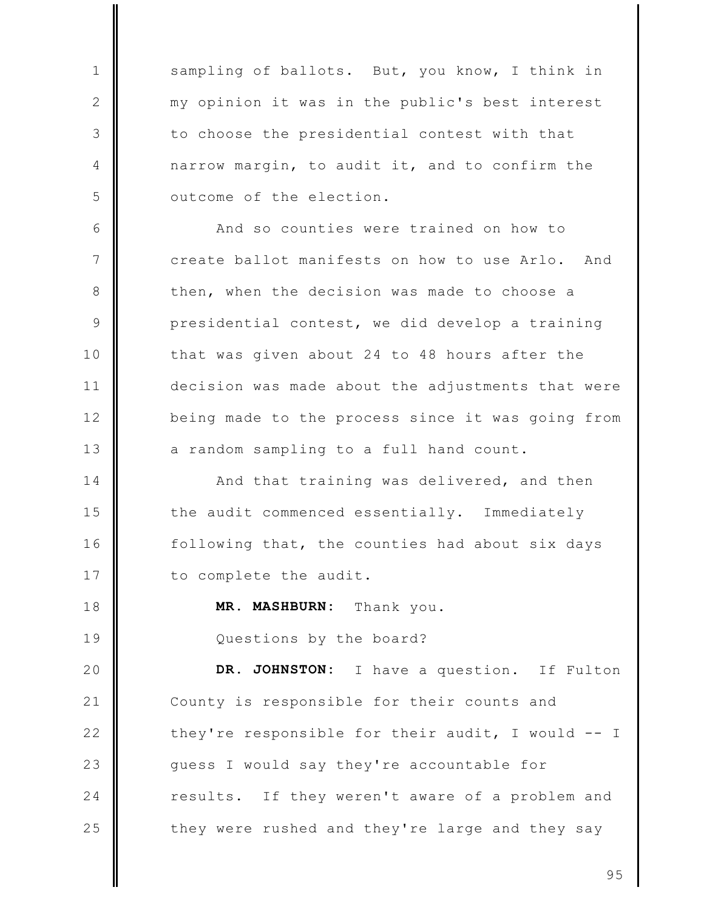sampling of ballots. But, you know, I think in my opinion it was in the public's best interest to choose the presidential contest with that narrow margin, to audit it, and to confirm the outcome of the election.

 $\mathbf{1}$ 

 $\mathbf{2}$ 

3

4

5

6

 $7\phantom{.0}$ 

8

9

 $10$ 

 $11$ 

 $12$ 

 $13$ 

18

19

And so counties were trained on how to create ballot manifests on how to use Arlo. And then, when the decision was made to choose a presidential contest, we did develop a training that was given about 24 to 48 hours after the decision was made about the adjustments that were being made to the process since it was going from a random sampling to a full hand count.

14 And that training was delivered, and then 15 the audit commenced essentially. Immediately  $16$ following that, the counties had about six days 17 to complete the audit.

> MR. MASHBURN: Thank you.

Questions by the board?

DR. JOHNSTON: 20 I have a question. If Fulton  $21$ County is responsible for their counts and  $22$ they're responsible for their audit, I would -- I 23 guess I would say they're accountable for 24 results. If they weren't aware of a problem and 25 they were rushed and they're large and they say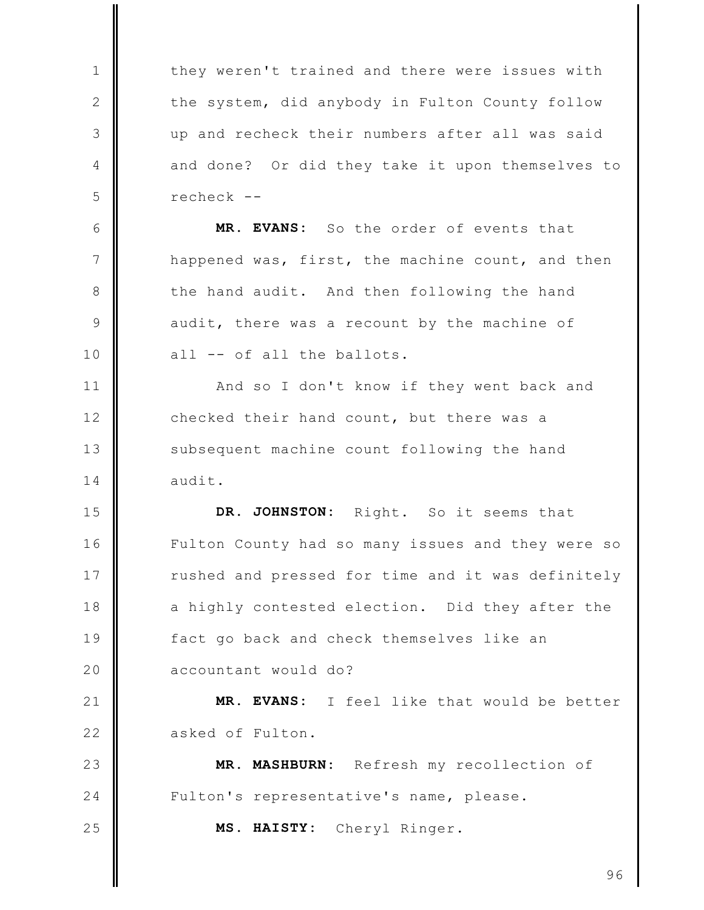they weren't trained and there were issues with  $\mathbf{1}$  $\mathbf{2}$ the system, did anybody in Fulton County follow 3 up and recheck their numbers after all was said  $\overline{4}$ and done? Or did they take it upon themselves to 5 recheck --6 MR. EVANS: So the order of events that  $7\phantom{.0}$ happened was, first, the machine count, and then the hand audit. And then following the hand 8  $\mathcal{Q}$ audit, there was a recount by the machine of  $10$ all -- of all the ballots.  $11$ And so I don't know if they went back and  $12$ checked their hand count, but there was a  $13$ subsequent machine count following the hand 14 audit. 15 DR. JOHNSTON: Right. So it seems that  $16$ Fulton County had so many issues and they were so 17 rushed and pressed for time and it was definitely 18 a highly contested election. Did they after the 19 fact go back and check themselves like an 20 accountant would do?  $21$ MR. EVANS: I feel like that would be better  $22$ asked of Fulton. 23 MR. MASHBURN: Refresh my recollection of 24 Fulton's representative's name, please. 25 MS. HAISTY: Cheryl Ringer.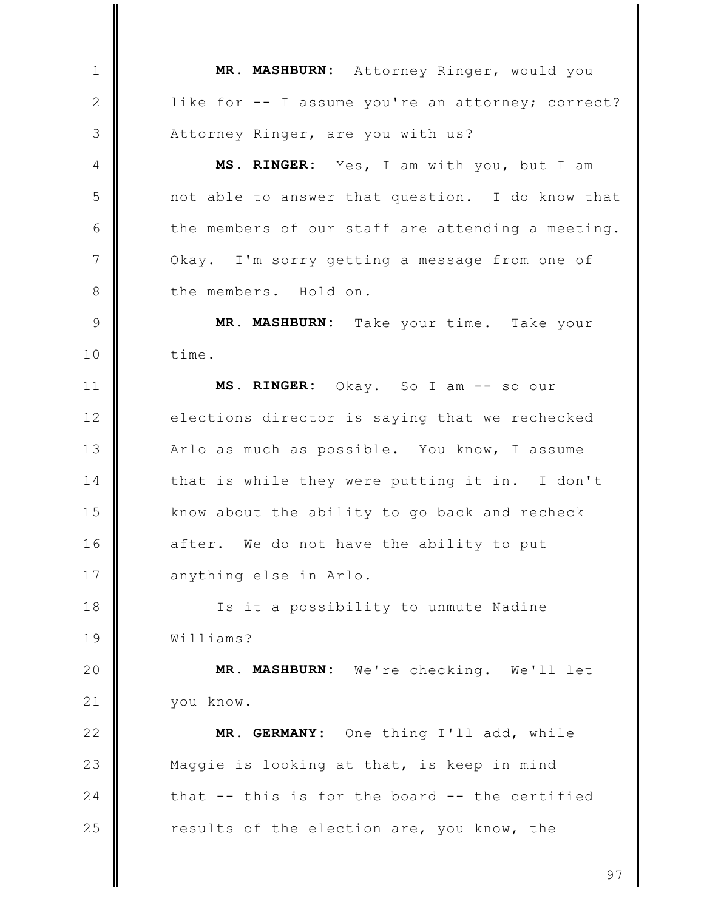MR. MASHBURN: Attorney Ringer, would you  $\mathbf{1}$ 2 like for -- I assume you're an attorney; correct? 3 Attorney Ringer, are you with us? MS. RINGER: Yes, I am with you, but I am  $\overline{4}$ 5 not able to answer that question. I do know that 6 the members of our staff are attending a meeting.  $7\overline{ }$ Okay. I'm sorry getting a message from one of the members. Hold on. 8 9 MR. MASHBURN: Take your time. Take your  $10$ time.  $11$ MS. RINGER: Okay. So I am -- so our elections director is saying that we rechecked  $12$  $13$ Arlo as much as possible. You know, I assume 14 that is while they were putting it in. I don't know about the ability to go back and recheck 15  $16$ after. We do not have the ability to put 17 anything else in Arlo. 18 Is it a possibility to unmute Nadine 19 Williams? 20 MR. MASHBURN: We're checking. We'll let  $21$ you know.  $22$ MR. GERMANY: One thing I'll add, while 23 Maggie is looking at that, is keep in mind 24 that -- this is for the board -- the certified 25 results of the election are, you know, the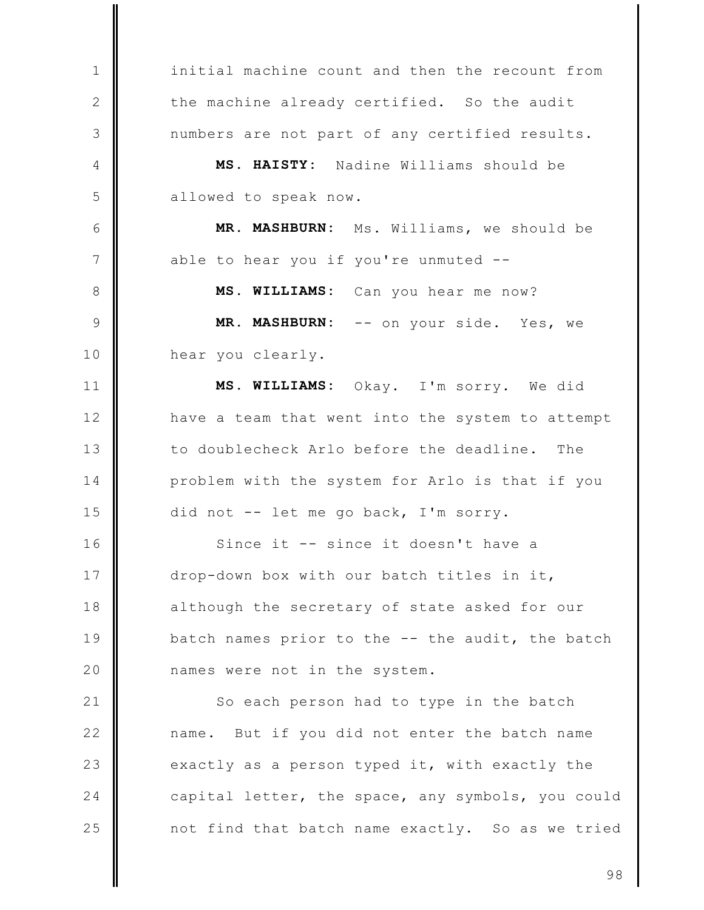initial machine count and then the recount from  $\mathbf{1}$ 2 the machine already certified. So the audit 3 numbers are not part of any certified results.  $\overline{4}$ MS. HAISTY: Nadine Williams should be 5 allowed to speak now. 6 MR. MASHBURN: Ms. Williams, we should be  $7\overline{ }$ able to hear you if you're unmuted --8 MS. WILLIAMS: Can you hear me now? 9 MR. MASHBURN: -- on your side. Yes, we  $10$ hear you clearly.  $11$ MS. WILLIAMS: Okay. I'm sorry. We did  $12$ have a team that went into the system to attempt  $13$ to doublecheck Arlo before the deadline. The problem with the system for Arlo is that if you 14 15 did not -- let me go back, I'm sorry.  $16$ Since it -- since it doesn't have a 17 drop-down box with our batch titles in it, 18 although the secretary of state asked for our 19 batch names prior to the -- the audit, the batch 20 names were not in the system.  $21$ So each person had to type in the batch  $22$ name. But if you did not enter the batch name 23 exactly as a person typed it, with exactly the 24 capital letter, the space, any symbols, you could 25 not find that batch name exactly. So as we tried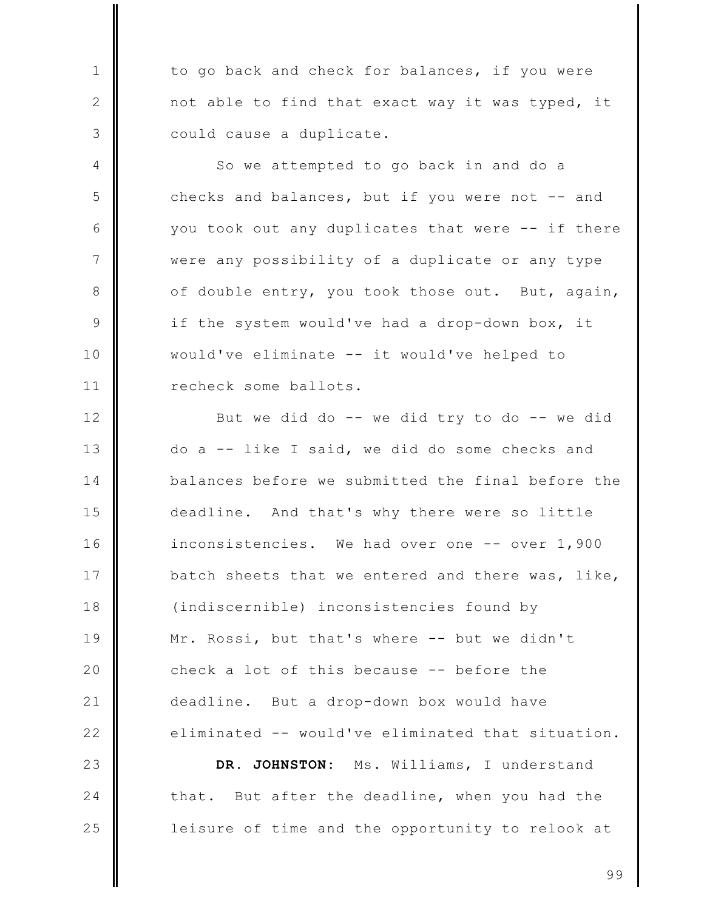to go back and check for balances, if you were not able to find that exact way it was typed, it could cause a duplicate.

 $\mathbf{1}$ 

 $\mathbf{2}$ 

3

4

5

6

 $7\phantom{.0}$ 

8

9

 $10$ 

 $11$ 

24

25

So we attempted to go back in and do a checks and balances, but if you were not -- and you took out any duplicates that were -- if there were any possibility of a duplicate or any type of double entry, you took those out. But, again, if the system would've had a drop-down box, it would've eliminate -- it would've helped to recheck some ballots.

 $12$ But we did do -- we did try to do -- we did  $13$ do a -- like I said, we did do some checks and 14 balances before we submitted the final before the 15 deadline. And that's why there were so little  $16$ inconsistencies. We had over one -- over 1,900 17 batch sheets that we entered and there was, like, 18 (indiscernible) inconsistencies found by 19 Mr. Rossi, but that's where -- but we didn't 20 check a lot of this because -- before the  $21$ deadline. But a drop-down box would have  $22$ eliminated -- would've eliminated that situation. DR. JOHNSTON: 23 Ms. Williams, I understand

that. But after the deadline, when you had the leisure of time and the opportunity to relook at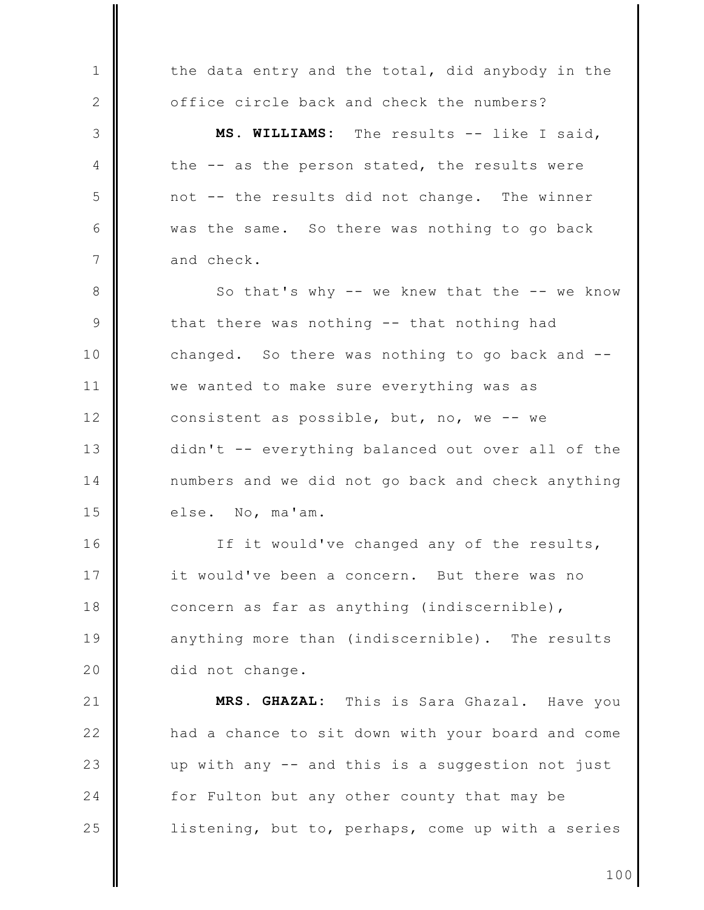the data entry and the total, did anybody in the  $\mathbf{1}$ office circle back and check the numbers?  $\mathbf{2}$ MS. WILLIAMS: The results -- like I said, 3  $\overline{4}$ the -- as the person stated, the results were 5 not -- the results did not change. The winner 6 was the same. So there was nothing to go back  $7\phantom{.0}$ and check. 8 So that's why -- we knew that the -- we know 9 that there was nothing -- that nothing had  $10$ changed. So there was nothing to go back and -- $11$ we wanted to make sure everything was as  $12$ consistent as possible, but, no, we -- we  $13$ didn't -- everything balanced out over all of the 14 numbers and we did not go back and check anything 15 else. No, ma'am.  $16$ If it would've changed any of the results, 17 it would've been a concern. But there was no 18 concern as far as anything (indiscernible), 19 anything more than (indiscernible). The results 20 did not change.  $21$ MRS. GHAZAL: This is Sara Ghazal. Have you  $22$ had a chance to sit down with your board and come 23 up with any -- and this is a suggestion not just 24 for Fulton but any other county that may be 25 listening, but to, perhaps, come up with a series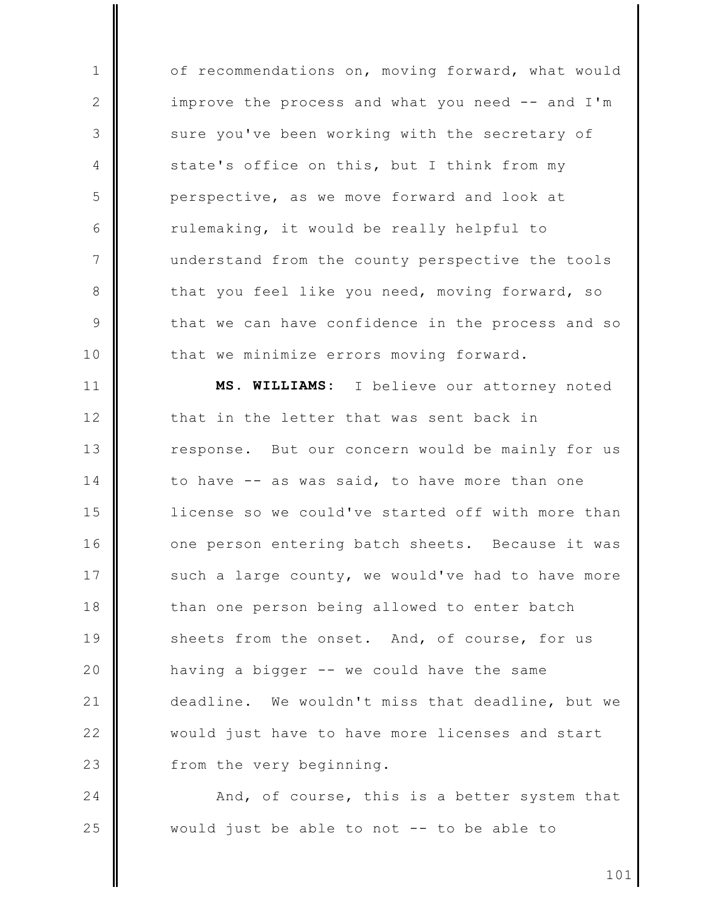of recommendations on, moving forward, what would  $\mathbf{1}$  $\mathbf{2}$ improve the process and what you need -- and I'm 3 sure you've been working with the secretary of state's office on this, but I think from my 4 5 perspective, as we move forward and look at 6 rulemaking, it would be really helpful to  $7\phantom{.0}$ understand from the county perspective the tools 8 that you feel like you need, moving forward, so  $\circ$ that we can have confidence in the process and so that we minimize errors moving forward.  $10$ 

MS. WILLIAMS:  $11$ I believe our attorney noted  $12$ that in the letter that was sent back in  $13$ response. But our concern would be mainly for us 14 to have -- as was said, to have more than one 15 license so we could've started off with more than  $16$ one person entering batch sheets. Because it was 17 such a large county, we would've had to have more 18 than one person being allowed to enter batch 19 sheets from the onset. And, of course, for us 20 having a bigger -- we could have the same  $21$ deadline. We wouldn't miss that deadline, but we  $22$ would just have to have more licenses and start 23 from the very beginning.

24 And, of course, this is a better system that 25 would just be able to not -- to be able to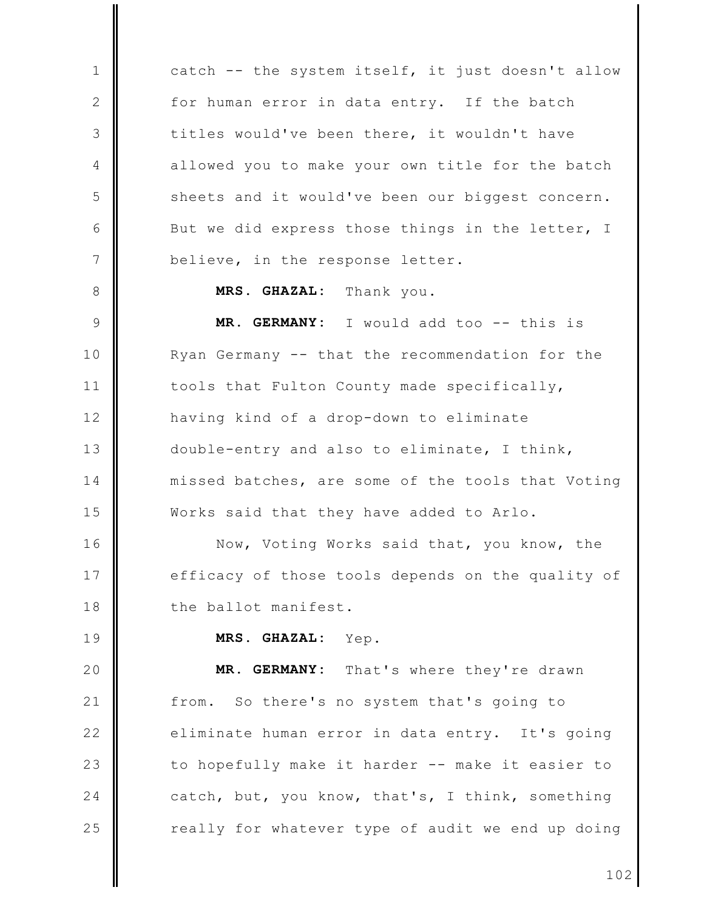catch -- the system itself, it just doesn't allow for human error in data entry. If the batch titles would've been there, it wouldn't have allowed you to make your own title for the batch sheets and it would've been our biggest concern. But we did express those things in the letter, I believe, in the response letter.

> MRS. GHAZAL: Thank you.

9 MR. GERMANY: I would add too -- this is  $10$ Ryan Germany -- that the recommendation for the  $11$ tools that Fulton County made specifically,  $12$ having kind of a drop-down to eliminate  $13$ double-entry and also to eliminate, I think, 14 missed batches, are some of the tools that Voting 15 Works said that they have added to Arlo.

 $16$ Now, Voting Works said that, you know, the 17 efficacy of those tools depends on the quality of 18 the ballot manifest.

19

 $\mathbf{1}$ 

 $\mathbf{2}$ 

3

4

5

6

7

8

MRS. GHAZAL: Yep.

MR. GERMANY: 20 That's where they're drawn  $21$ So there's no system that's going to from.  $22$ eliminate human error in data entry. It's going to hopefully make it harder -- make it easier to 23 24 catch, but, you know, that's, I think, something 25 really for whatever type of audit we end up doing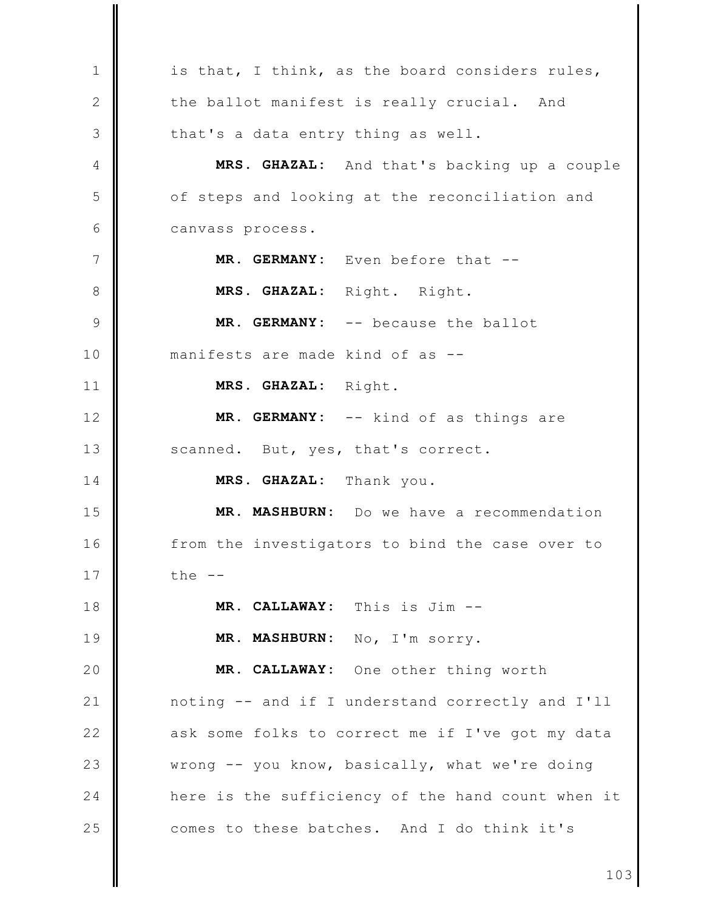is that, I think, as the board considers rules,  $\mathbf{1}$  $\mathbf{2}$ the ballot manifest is really crucial. And 3 that's a data entry thing as well. MRS. GHAZAL: And that's backing up a couple  $\overline{4}$ 5 of steps and looking at the reconciliation and 6 canvass process.  $7\phantom{.0}$ MR. GERMANY: Even before that --8 MRS. GHAZAL: Right. Right. 9 MR. GERMANY: -- because the ballot manifests are made kind of as -- $10$  $11$ MRS. GHAZAL: Right. MR. GERMANY: -- kind of as things are  $12$  $13$ scanned. But, yes, that's correct. 14 MRS. GHAZAL: Thank you. 15 MR. MASHBURN: Do we have a recommendation 16 from the investigators to bind the case over to 17 the  $--$ 18 MR. CALLAWAY: This is Jim --MR. MASHBURN: No, I'm sorry. 19 20 MR. CALLAWAY: One other thing worth  $21$ noting -- and if I understand correctly and I'll  $22$ ask some folks to correct me if I've got my data 23 wrong -- you know, basically, what we're doing 24 here is the sufficiency of the hand count when it 25 comes to these batches. And I do think it's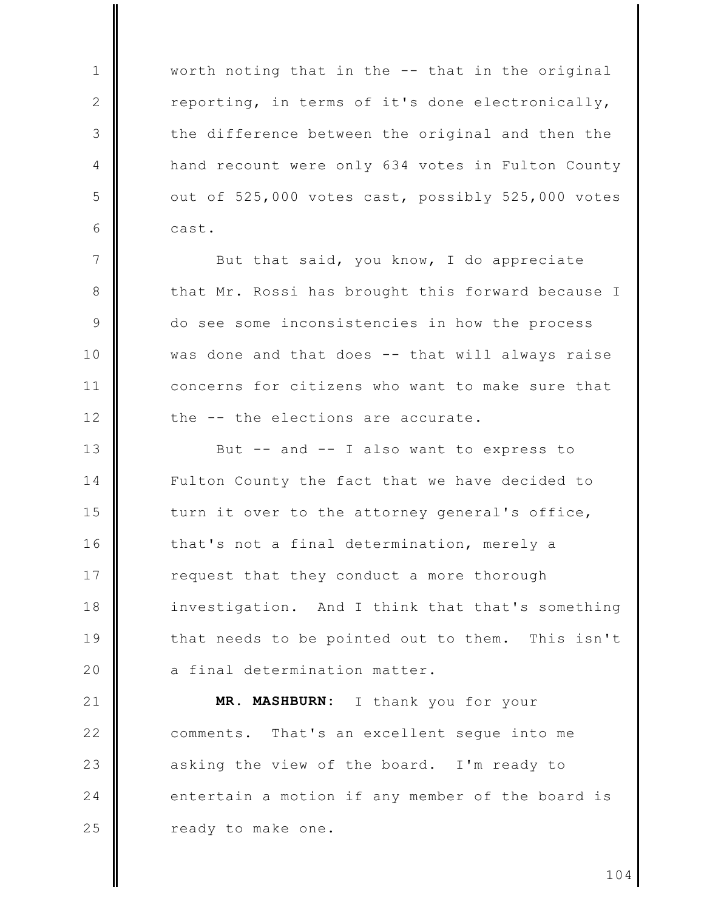worth noting that in the -- that in the original reporting, in terms of it's done electronically, the difference between the original and then the hand recount were only 634 votes in Fulton County out of 525,000 votes cast, possibly 525,000 votes cast.

 $\mathbf{1}$ 

 $\mathbf{2}$ 

3

4

5

6

 $7\phantom{.0}$ 

8

 $\circ$ 

 $10$ 

 $11$ 

 $12$ 

But that said, you know, I do appreciate that Mr. Rossi has brought this forward because I do see some inconsistencies in how the process was done and that does -- that will always raise concerns for citizens who want to make sure that the -- the elections are accurate.

 $13$ But -- and -- I also want to express to 14 Fulton County the fact that we have decided to 15 turn it over to the attorney general's office,  $16$ that's not a final determination, merely a 17 request that they conduct a more thorough 18 investigation. And I think that that's something 19 that needs to be pointed out to them. This isn't 20 a final determination matter.

 $21$ MR. MASHBURN: I thank you for your  $22$ comments. That's an excellent seque into me 23 asking the view of the board. I'm ready to 24 entertain a motion if any member of the board is 25 ready to make one.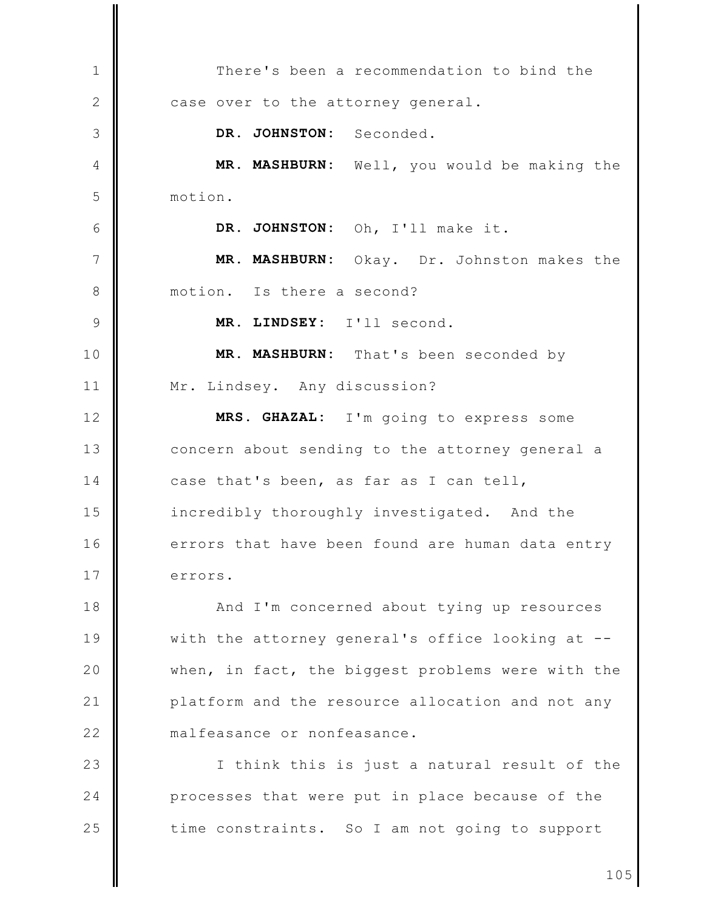There's been a recommendation to bind the  $\mathbf{1}$  $\mathbf{2}$ case over to the attorney general. DR. JOHNSTON: Seconded. 3 MR. MASHBURN: Well, you would be making the 4 5 motion. 6 DR. JOHNSTON: Oh, I'll make it.  $7\phantom{.0}$ MR. MASHBURN: Okay. Dr. Johnston makes the 8 motion. Is there a second? MR. LINDSEY: I'll second.  $\circ$ MR. MASHBURN: That's been seconded by  $10$  $11$ Mr. Lindsey. Any discussion?  $12$ MRS. GHAZAL: I'm going to express some  $13$ concern about sending to the attorney general a 14 case that's been, as far as I can tell, 15 incredibly thoroughly investigated. And the  $16$ errors that have been found are human data entry 17 errors. 18 And I'm concerned about tying up resources 19 with the attorney general's office looking at --20 when, in fact, the biggest problems were with the  $21$ platform and the resource allocation and not any  $22$ malfeasance or nonfeasance. 23 I think this is just a natural result of the 24 processes that were put in place because of the 25 time constraints. So I am not going to support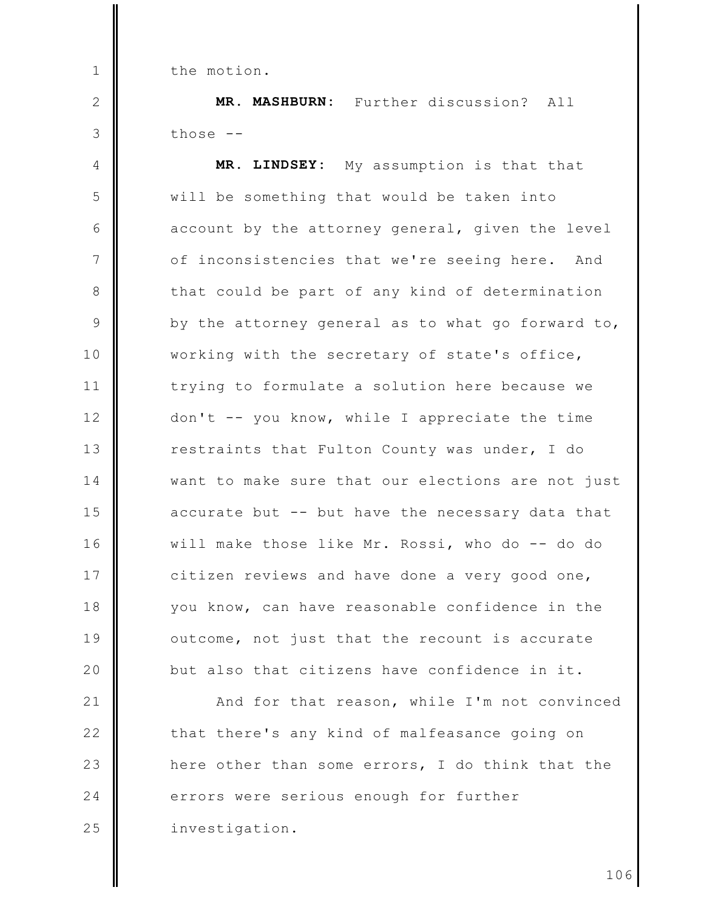the motion.

 $\mathbf{1}$ 

 $\mathbf{2}$ 

3

MR. MASHBURN: Further discussion? All those  $--$ 

MR. LINDSEY: My assumption is that that  $\overline{4}$ 5 will be something that would be taken into 6 account by the attorney general, given the level  $7\phantom{.0}$ of inconsistencies that we're seeing here. And 8 that could be part of any kind of determination 9 by the attorney general as to what go forward to, working with the secretary of state's office,  $10$  $11$ trying to formulate a solution here because we  $12$ don't -- you know, while I appreciate the time  $13$ restraints that Fulton County was under, I do 14 want to make sure that our elections are not just 15 accurate but -- but have the necessary data that 16 will make those like Mr. Rossi, who do -- do do 17 citizen reviews and have done a very good one, 18 you know, can have reasonable confidence in the 19 outcome, not just that the recount is accurate 20 but also that citizens have confidence in it.

 $21$ And for that reason, while I'm not convinced  $22$ that there's any kind of malfeasance going on 23 here other than some errors, I do think that the 24 errors were serious enough for further 25 investigation.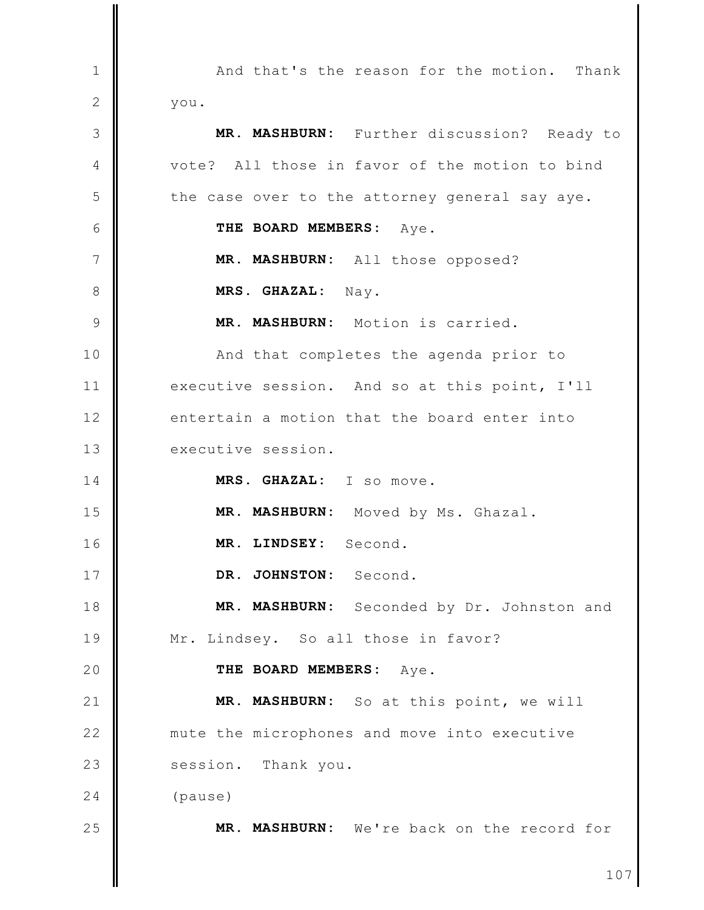And that's the reason for the motion.  $\mathbf{1}$ Thank  $\mathbf{2}$ you. 3 MR. MASHBURN: Further discussion? Ready to vote? All those in favor of the motion to bind  $\overline{4}$ 5 the case over to the attorney general say aye. 6 THE BOARD MEMBERS: Aye.  $\overline{7}$ MR. MASHBURN: All those opposed? 8 MRS. GHAZAL: Nav. MR. MASHBURN: Motion is carried.  $\circ$ And that completes the agenda prior to  $10$  $11$ executive session. And so at this point, I'll  $12$ entertain a motion that the board enter into  $13$ executive session. MRS. GHAZAL: I so move.  $14$ 15 MR. MASHBURN: Moved by Ms. Ghazal. 16 MR. LINDSEY: Second. DR. JOHNSTON: Second. 17 18 MR. MASHBURN: Seconded by Dr. Johnston and 19 Mr. Lindsey. So all those in favor? 20 THE BOARD MEMBERS: Aye.  $21$ MR. MASHBURN: So at this point, we will  $22$ mute the microphones and move into executive 23 session. Thank you.  $24$ (pause) 25 MR. MASHBURN: We're back on the record for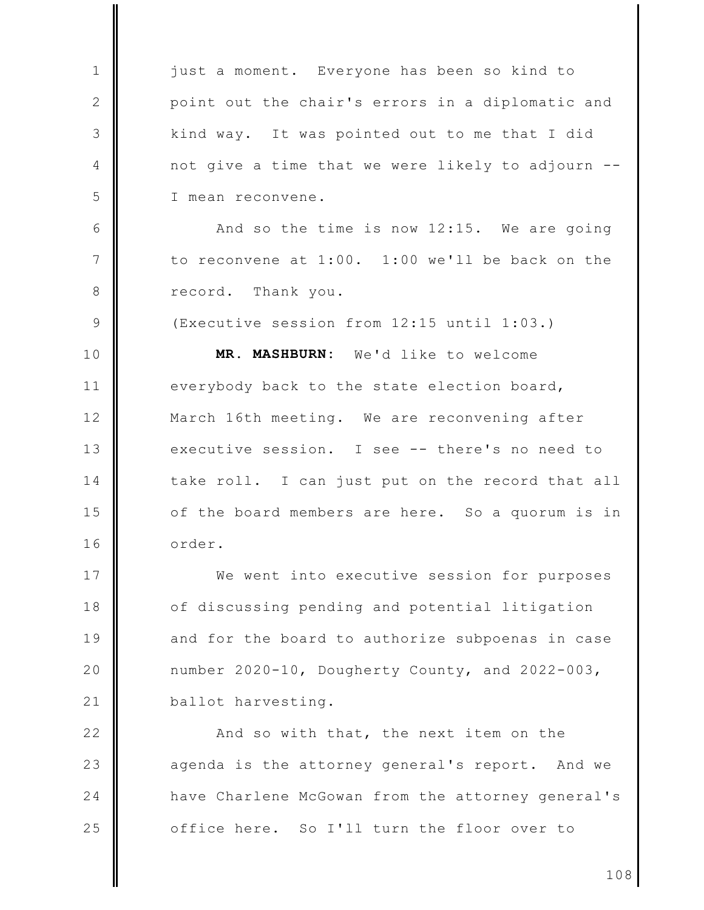just a moment. Everyone has been so kind to  $\mathbf{1}$ point out the chair's errors in a diplomatic and  $\mathbf{2}$ 3 kind way. It was pointed out to me that I did 4 not give a time that we were likely to adjourn --5 I mean reconvene. 6 And so the time is now 12:15. We are going  $\overline{7}$ to reconvene at 1:00. 1:00 we'll be back on the 8 record. Thank you.  $\circ$ (Executive session from 12:15 until 1:03.) MR. MASHBURN: We'd like to welcome  $10$  $11$ everybody back to the state election board,  $12$ March 16th meeting. We are reconvening after  $13$ executive session. I see -- there's no need to 14 take roll. I can just put on the record that all 15 of the board members are here. So a quorum is in  $16$ order. 17 We went into executive session for purposes 18 of discussing pending and potential litigation 19 and for the board to authorize subpoenas in case 20 number 2020-10, Dougherty County, and 2022-003, ballot harvesting.  $21$  $22$ And so with that, the next item on the 23 agenda is the attorney general's report. And we 24 have Charlene McGowan from the attorney general's 25 office here. So I'll turn the floor over to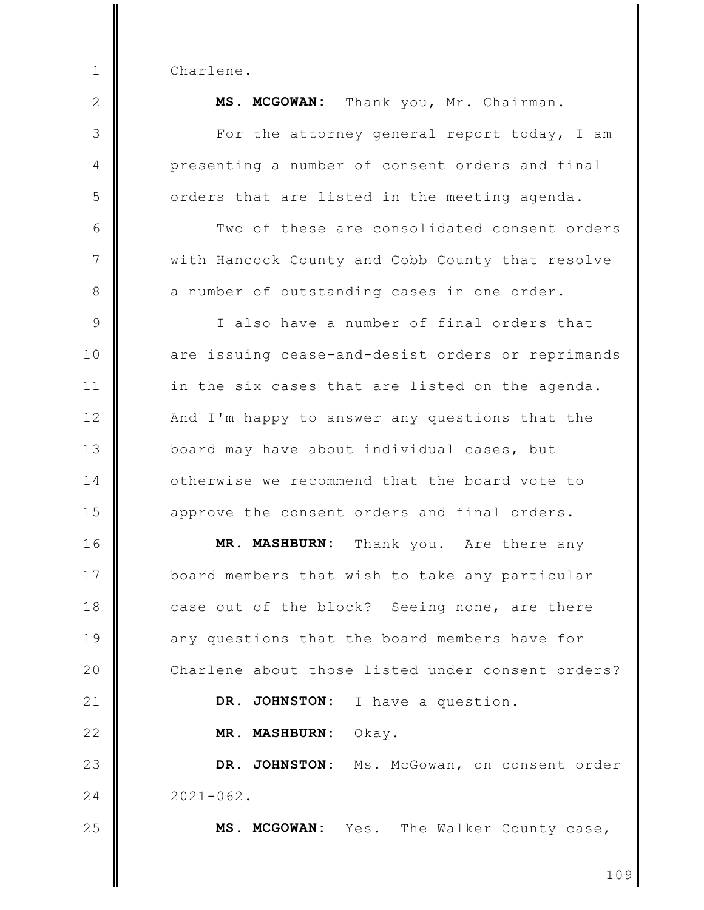Charlene.

 $\mathbf{1}$ 

| $\overline{2}$ | MS. MCGOWAN: Thank you, Mr. Chairman.             |
|----------------|---------------------------------------------------|
| 3              | For the attorney general report today, I am       |
| 4              | presenting a number of consent orders and final   |
| 5              | orders that are listed in the meeting agenda.     |
| 6              | Two of these are consolidated consent orders      |
| 7              | with Hancock County and Cobb County that resolve  |
| 8              | a number of outstanding cases in one order.       |
| $\mathcal{G}$  | I also have a number of final orders that         |
| 10             | are issuing cease-and-desist orders or reprimands |
| 11             | in the six cases that are listed on the agenda.   |
| 12             | And I'm happy to answer any questions that the    |
| 13             | board may have about individual cases, but        |
| 14             | otherwise we recommend that the board vote to     |
| 15             | approve the consent orders and final orders.      |
| 16             | MR. MASHBURN:<br>Thank you. Are there any         |
| 17             | board members that wish to take any particular    |
| 18             | case out of the block? Seeing none, are there     |
| 19             | any questions that the board members have for     |
| 20             | Charlene about those listed under consent orders? |
| 21             | DR. JOHNSTON:<br>I have a question.               |
| 22             | MR. MASHBURN:<br>Okay.                            |
| 23             | DR. JOHNSTON: Ms. McGowan, on consent order       |
| 24             | $2021 - 062$ .                                    |
| 25             | MS. MCGOWAN: Yes. The Walker County case,         |
|                | 109                                               |
|                |                                                   |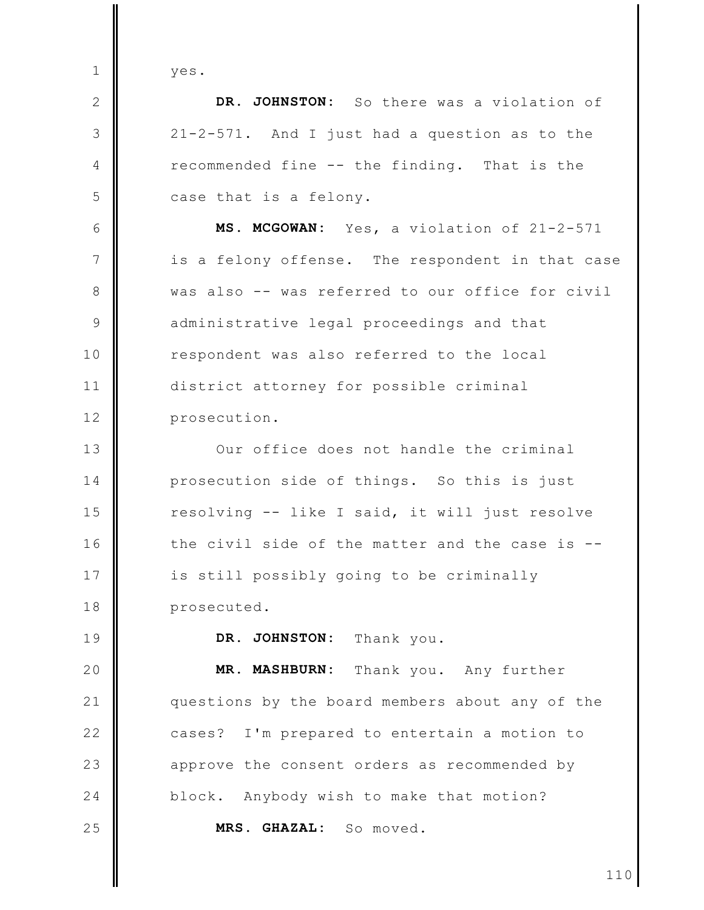yes.

 $\mathbf{1}$ 

 $\mathbf{2}$ 

3

 $\overline{4}$ 

5

6

 $\overline{7}$ 

8

 $\circ$ 

 $10$ 

 $11$ 

 $12$ 

 $13$ 

 $14$ 

19

DR. JOHNSTON: So there was a violation of 21-2-571. And I just had a question as to the recommended fine -- the finding. That is the case that is a felony. MS. MCGOWAN: Yes, a violation of 21-2-571 is a felony offense. The respondent in that case was also -- was referred to our office for civil administrative legal proceedings and that respondent was also referred to the local district attorney for possible criminal prosecution. Our office does not handle the criminal prosecution side of things. So this is just

15 resolving -- like I said, it will just resolve  $16$ the civil side of the matter and the case is --17 is still possibly going to be criminally 18 prosecuted.

> DR. JOHNSTON: Thank you.

20 MR. MASHBURN: Thank you. Any further  $21$ questions by the board members about any of the  $22$ cases? I'm prepared to entertain a motion to 23 approve the consent orders as recommended by  $24$ Anybody wish to make that motion? block. 25 MRS. GHAZAL: So moved.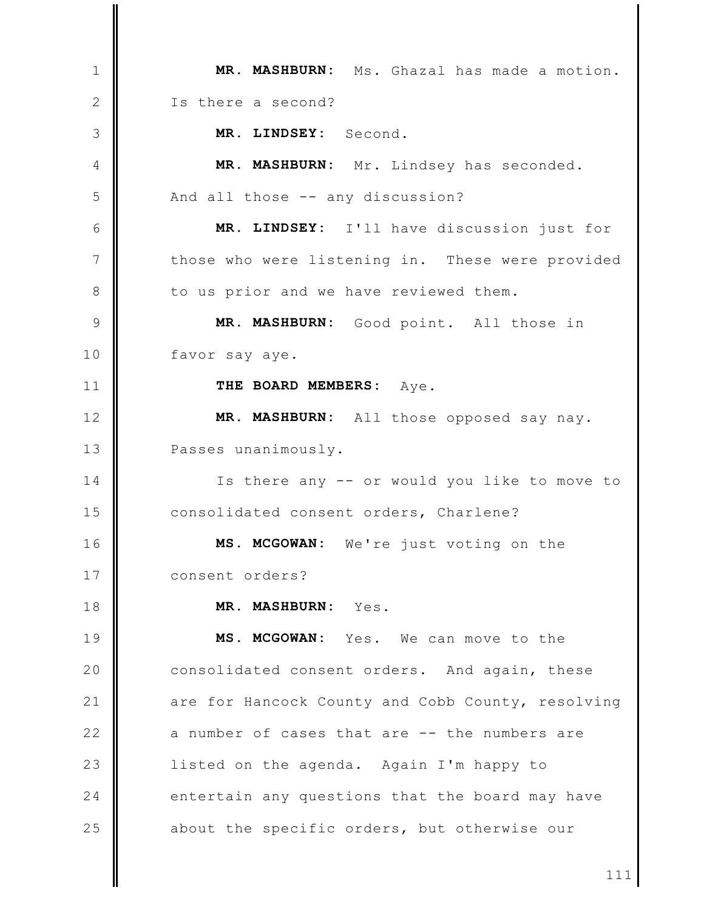MR. MASHBURN: Ms. Ghazal has made a motion.  $\mathbf{1}$ Is there a second?  $\mathbf{2}$ MR. LINDSEY: Second. 3 MR. MASHBURN: Mr. Lindsey has seconded. 4 5 And all those -- any discussion? 6 MR. LINDSEY: I'll have discussion just for  $\overline{7}$ those who were listening in. These were provided 8 to us prior and we have reviewed them.  $\mathcal{Q}$ MR. MASHBURN: Good point. All those in  $10$ favor say aye. THE BOARD MEMBERS: Aye.  $11$  $12$ MR. MASHBURN: All those opposed say nay.  $13$ Passes unanimously. 14 Is there any -- or would you like to move to 15 consolidated consent orders, Charlene?  $16$ MS. MCGOWAN: We're just voting on the 17 consent orders? 18 MR. MASHBURN: Yes. 19 MS. MCGOWAN: Yes. We can move to the 20 consolidated consent orders. And again, these  $21$ are for Hancock County and Cobb County, resolving  $22$ a number of cases that are -- the numbers are 23 listed on the agenda. Again I'm happy to 24 entertain any questions that the board may have 25 about the specific orders, but otherwise our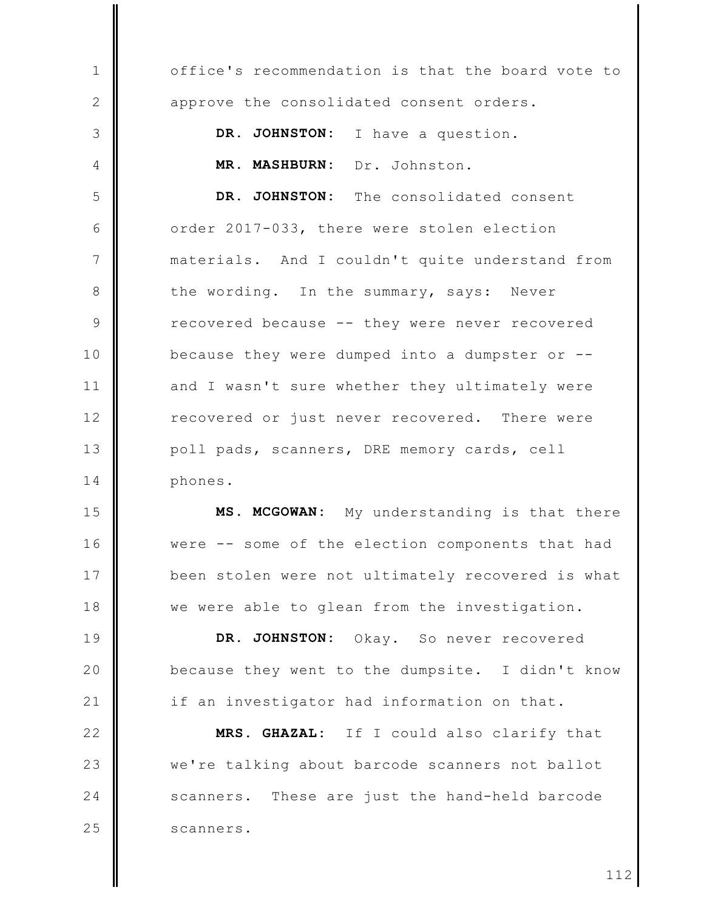office's recommendation is that the board vote to  $\mathbf{1}$  $\mathbf{2}$ approve the consolidated consent orders. 3 DR. JOHNSTON: I have a question. MR. MASHBURN: Dr. Johnston. 4 DR. JOHNSTON: The consolidated consent 5 6 order 2017-033, there were stolen election 7 materials. And I couldn't quite understand from 8 the wording. In the summary, says: Never 9 recovered because -- they were never recovered  $10$ because they were dumped into a dumpster or  $-$ - $11$ and I wasn't sure whether they ultimately were  $12$ recovered or just never recovered. There were  $13$ poll pads, scanners, DRE memory cards, cell 14 phones. 15 MS. MCGOWAN: My understanding is that there  $16$ were -- some of the election components that had 17 been stolen were not ultimately recovered is what 18 we were able to glean from the investigation. 19 DR. JOHNSTON: Okay. So never recovered 20 because they went to the dumpsite. I didn't know  $21$ if an investigator had information on that.  $22$ MRS. GHAZAL: If I could also clarify that

we're talking about barcode scanners not ballot scanners. These are just the hand-held barcode scanners.

23

24

25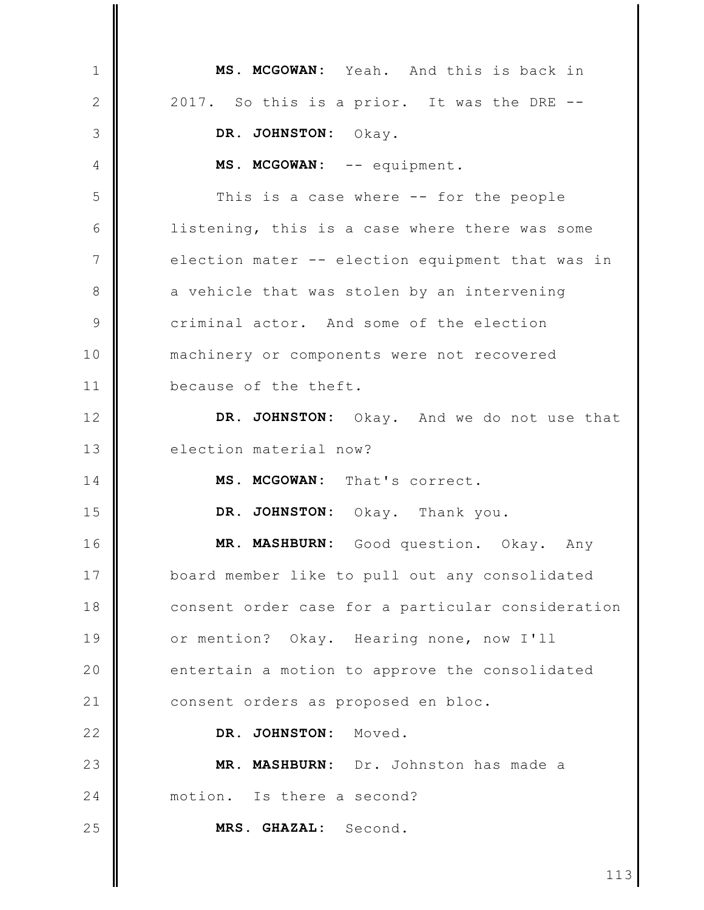MS. MCGOWAN: Yeah. And this is back in  $\mathbf{1}$ 2 2017. So this is a prior. It was the DRE --3 DR. JOHNSTON: Okay. MS. MCGOWAN: -- equipment.  $\overline{4}$ 5 This is a case where -- for the people 6 listening, this is a case where there was some  $\overline{7}$ election mater -- election equipment that was in 8 a vehicle that was stolen by an intervening 9 criminal actor. And some of the election  $10$ machinery or components were not recovered  $11$ because of the theft.  $12$ DR. JOHNSTON: Okay. And we do not use that  $13$ election material now? MS. MCGOWAN: That's correct. 14 15 DR. JOHNSTON: Okay. Thank you. 16 MR. MASHBURN: Good question. Okay. Any 17 board member like to pull out any consolidated 18 consent order case for a particular consideration 19 or mention? Okay. Hearing none, now I'll 20 entertain a motion to approve the consolidated  $21$ consent orders as proposed en bloc.  $22$ DR. JOHNSTON: Moved. 23 MR. MASHBURN: Dr. Johnston has made a 24 motion. Is there a second? 25 MRS. GHAZAL: Second.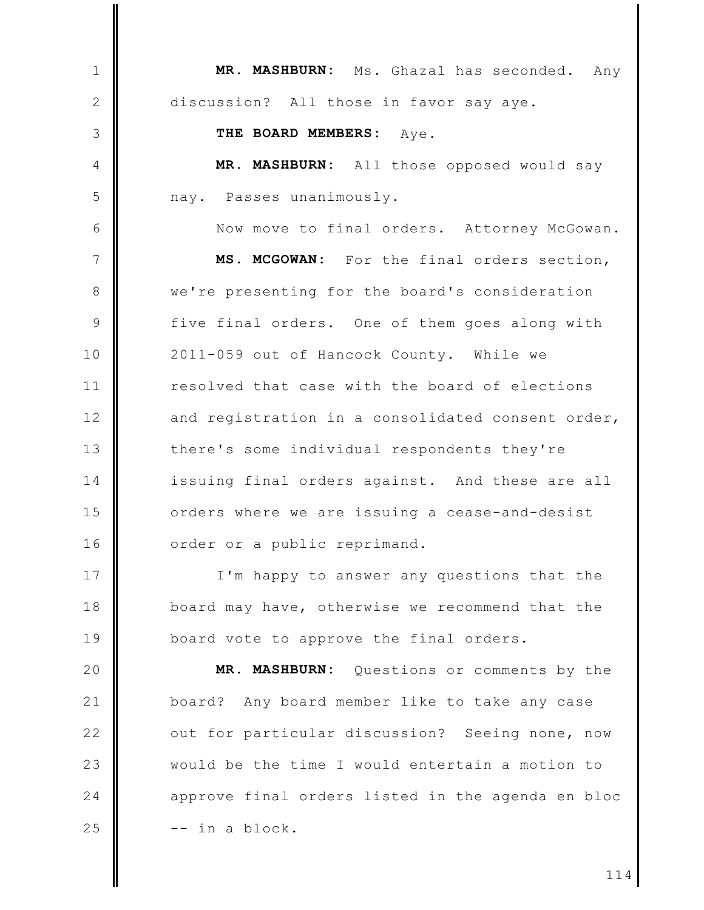MR. MASHBURN: Ms. Ghazal has seconded.  $\mathbf{1}$ Any  $\mathbf{2}$ discussion? All those in favor say aye. THE BOARD MEMBERS: 3 Aye.  $\overline{4}$ MR. MASHBURN: All those opposed would say 5 nay. Passes unanimously. 6 Now move to final orders. Attorney McGowan.  $\overline{7}$ MS. MCGOWAN: For the final orders section, we're presenting for the board's consideration 8  $\mathcal{Q}$ five final orders. One of them goes along with 10 2011-059 out of Hancock County. While we resolved that case with the board of elections  $11$  $12$ and registration in a consolidated consent order,  $13$ there's some individual respondents they're  $14$ issuing final orders against. And these are all 15 orders where we are issuing a cease-and-desist  $16$ order or a public reprimand. 17 I'm happy to answer any questions that the 18 board may have, otherwise we recommend that the 19 board vote to approve the final orders. 20 MR. MASHBURN: Questions or comments by the  $21$ board? Any board member like to take any case  $22$ out for particular discussion? Seeing none, now 23 would be the time I would entertain a motion to  $24$ approve final orders listed in the agenda en bloc 25 -- in a block.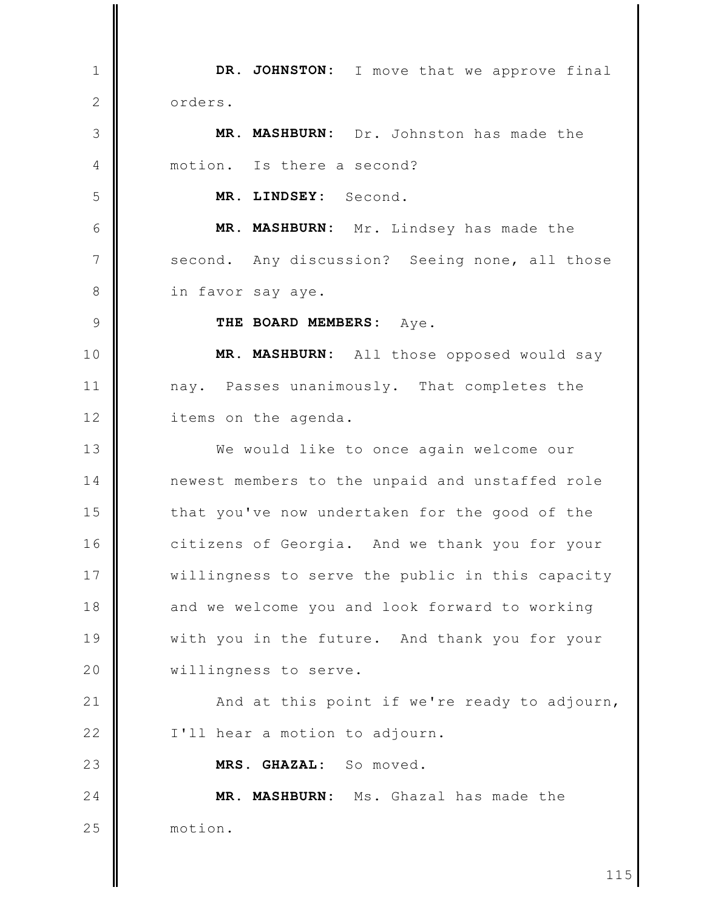DR. JOHNSTON: I move that we approve final  $\mathbf{1}$  $\mathbf{2}$ orders. MR. MASHBURN: Dr. Johnston has made the 3 motion. Is there a second? 4 5 MR. LINDSEY: Second. 6 MR. MASHBURN: Mr. Lindsey has made the  $\overline{7}$ Any discussion? Seeing none, all those second. 8 in favor say aye. THE BOARD MEMBERS: Aye.  $\circ$ 10 MR. MASHBURN: All those opposed would say  $11$ nay. Passes unanimously. That completes the  $12$ items on the agenda.  $13$ We would like to once again welcome our 14 newest members to the unpaid and unstaffed role 15 that you've now undertaken for the good of the  $16$ citizens of Georgia. And we thank you for your 17 willingness to serve the public in this capacity 18 and we welcome you and look forward to working 19 with you in the future. And thank you for your 20 willingness to serve.  $21$ And at this point if we're ready to adjourn,  $22$ I'll hear a motion to adjourn. 23 MRS. GHAZAL: So moved. MR. MASHBURN: Ms. Ghazal has made the  $24$ 25 motion.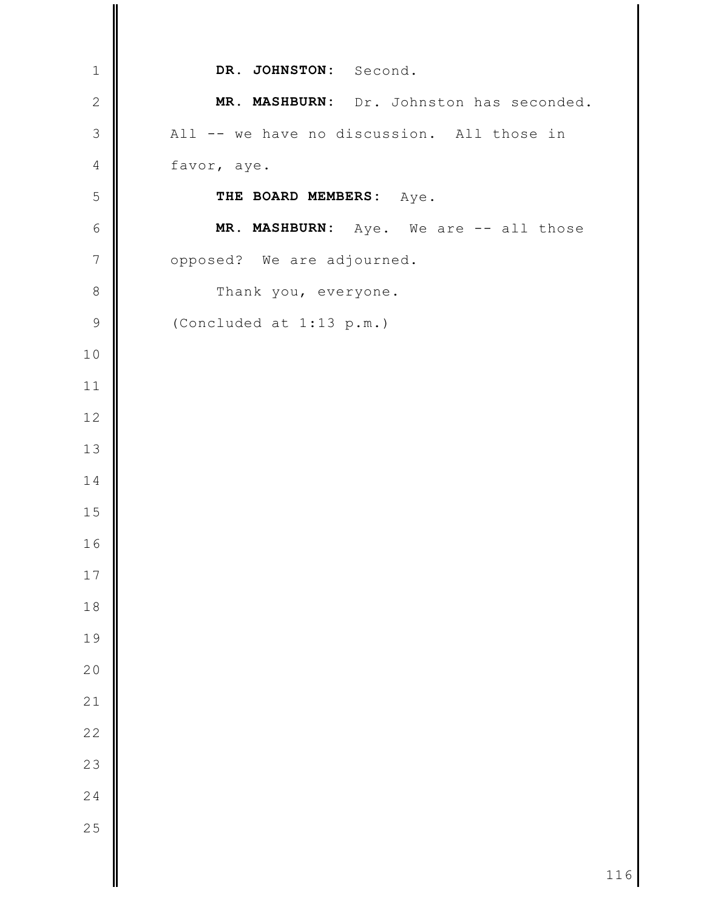| $\mathbf 1$<br>DR. JOHNSTON: Second.<br>$\mathbf{2}$<br>MR. MASHBURN: Dr. Johnston has seconded.<br>$\mathfrak{Z}$<br>All -- we have no discussion. All those in<br>$\sqrt{4}$<br>favor, aye.<br>5<br>THE BOARD MEMBERS: Aye.<br>$\epsilon$<br>MR. MASHBURN: Aye. We are -- all those<br>$\overline{7}$<br>opposed? We are adjourned.<br>$\,8\,$<br>Thank you, everyone.<br>$\mathsf 9$<br>(Concluded at 1:13 p.m.)<br>10<br>11<br>$12$<br>13<br>14<br>15<br>16<br>17<br>$1\,8$<br>19<br>20<br>21<br>$\overline{22}$<br>23 |    |  |
|----------------------------------------------------------------------------------------------------------------------------------------------------------------------------------------------------------------------------------------------------------------------------------------------------------------------------------------------------------------------------------------------------------------------------------------------------------------------------------------------------------------------------|----|--|
|                                                                                                                                                                                                                                                                                                                                                                                                                                                                                                                            |    |  |
|                                                                                                                                                                                                                                                                                                                                                                                                                                                                                                                            |    |  |
|                                                                                                                                                                                                                                                                                                                                                                                                                                                                                                                            |    |  |
|                                                                                                                                                                                                                                                                                                                                                                                                                                                                                                                            |    |  |
|                                                                                                                                                                                                                                                                                                                                                                                                                                                                                                                            |    |  |
|                                                                                                                                                                                                                                                                                                                                                                                                                                                                                                                            |    |  |
|                                                                                                                                                                                                                                                                                                                                                                                                                                                                                                                            |    |  |
|                                                                                                                                                                                                                                                                                                                                                                                                                                                                                                                            |    |  |
|                                                                                                                                                                                                                                                                                                                                                                                                                                                                                                                            |    |  |
|                                                                                                                                                                                                                                                                                                                                                                                                                                                                                                                            |    |  |
|                                                                                                                                                                                                                                                                                                                                                                                                                                                                                                                            |    |  |
|                                                                                                                                                                                                                                                                                                                                                                                                                                                                                                                            |    |  |
|                                                                                                                                                                                                                                                                                                                                                                                                                                                                                                                            |    |  |
|                                                                                                                                                                                                                                                                                                                                                                                                                                                                                                                            |    |  |
|                                                                                                                                                                                                                                                                                                                                                                                                                                                                                                                            |    |  |
|                                                                                                                                                                                                                                                                                                                                                                                                                                                                                                                            |    |  |
|                                                                                                                                                                                                                                                                                                                                                                                                                                                                                                                            |    |  |
|                                                                                                                                                                                                                                                                                                                                                                                                                                                                                                                            |    |  |
|                                                                                                                                                                                                                                                                                                                                                                                                                                                                                                                            |    |  |
|                                                                                                                                                                                                                                                                                                                                                                                                                                                                                                                            |    |  |
|                                                                                                                                                                                                                                                                                                                                                                                                                                                                                                                            |    |  |
|                                                                                                                                                                                                                                                                                                                                                                                                                                                                                                                            |    |  |
|                                                                                                                                                                                                                                                                                                                                                                                                                                                                                                                            |    |  |
|                                                                                                                                                                                                                                                                                                                                                                                                                                                                                                                            | 24 |  |
| 25                                                                                                                                                                                                                                                                                                                                                                                                                                                                                                                         |    |  |
|                                                                                                                                                                                                                                                                                                                                                                                                                                                                                                                            |    |  |